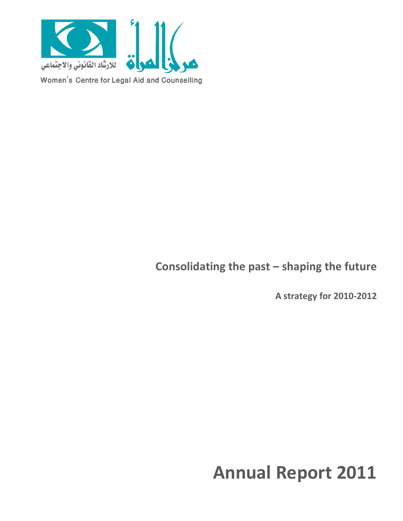

Women's Centre for Legal Aid and Counselling

**Consolidating the past – shaping the future**

**A strategy for 2010-2012**

# **Annual Report 2011**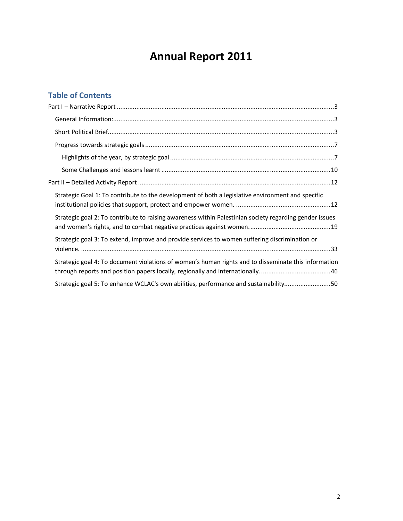## **Annual Report 2011**

## **Table of Contents**

| Strategic Goal 1: To contribute to the development of both a legislative environment and specific       |
|---------------------------------------------------------------------------------------------------------|
| Strategic goal 2: To contribute to raising awareness within Palestinian society regarding gender issues |
| Strategic goal 3: To extend, improve and provide services to women suffering discrimination or          |
| Strategic goal 4: To document violations of women's human rights and to disseminate this information    |
| Strategic goal 5: To enhance WCLAC's own abilities, performance and sustainability50                    |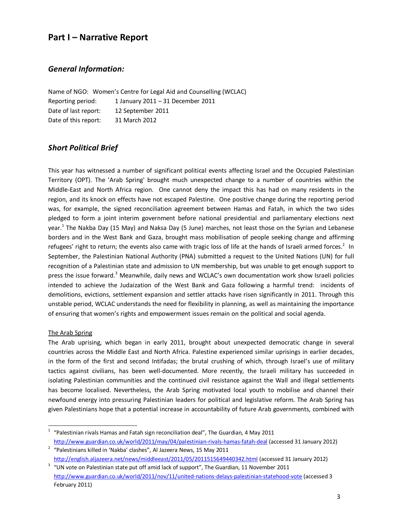## **Part I – Narrative Report**

## *General Information:*

Name of NGO: Women's Centre for Legal Aid and Counselling (WCLAC) Reporting period: 1 January 2011 – 31 December 2011 Date of last report: 12 September 2011 Date of this report: 31 March 2012

## *Short Political Brief*

This year has witnessed a number of significant political events affecting Israel and the Occupied Palestinian Territory (OPT). The 'Arab Spring' brought much unexpected change to a number of countries within the Middle-East and North Africa region. One cannot deny the impact this has had on many residents in the region, and its knock on effects have not escaped Palestine. One positive change during the reporting period was, for example, the signed reconciliation agreement between Hamas and Fatah, in which the two sides pledged to form a joint interim government before national presidential and parliamentary elections next year.<sup>1</sup> The Nakba Day (15 May) and Naksa Day (5 June) marches, not least those on the Syrian and Lebanese borders and in the West Bank and Gaza, brought mass mobilisation of people seeking change and affirming refugees' right to return; the events also came with tragic loss of life at the hands of Israeli armed forces.<sup>2</sup> In September, the Palestinian National Authority (PNA) submitted a request to the United Nations (UN) for full recognition of a Palestinian state and admission to UN membership, but was unable to get enough support to press the issue forward.<sup>3</sup> Meanwhile, daily news and WCLAC's own documentation work show Israeli policies intended to achieve the Judaization of the West Bank and Gaza following a harmful trend: incidents of demolitions, evictions, settlement expansion and settler attacks have risen significantly in 2011. Through this unstable period, WCLAC understands the need for flexibility in planning, as well as maintaining the importance of ensuring that women's rights and empowerment issues remain on the political and social agenda.

#### The Arab Spring

The Arab uprising, which began in early 2011, brought about unexpected democratic change in several countries across the Middle East and North Africa. Palestine experienced similar uprisings in earlier decades, in the form of the first and second Intifadas; the brutal crushing of which, through Israel's use of military tactics against civilians, has been well-documented. More recently, the Israeli military has succeeded in isolating Palestinian communities and the continued civil resistance against the Wall and illegal settlements has become localised. Nevertheless, the Arab Spring motivated local youth to mobilise and channel their newfound energy into pressuring Palestinian leaders for political and legislative reform. The Arab Spring has given Palestinians hope that a potential increase in accountability of future Arab governments, combined with

 $1$  "Palestinian rivals Hamas and Fatah sign reconciliation deal", The Guardian, 4 May 2011 http://www.guardian.co.uk/world/2011/may/04/palestinian-rivals-hamas-fatah-deal (accessed 31 January 2012)

 $2$  "Palestinians killed in 'Nakba' clashes", Al Jazeera News, 15 May 2011 http://english.aljazeera.net/news/middleeast/2011/05/2011515649440342.html (accessed 31 January 2012)

<span id="page-2-0"></span> $3$  "UN vote on Palestinian state put off amid lack of support", The Guardian, 11 November 2011 http://www.guardian.co.uk/world/2011/nov/11/united-nations-delays-palestinian-statehood-vote (accessed 3 February 2011)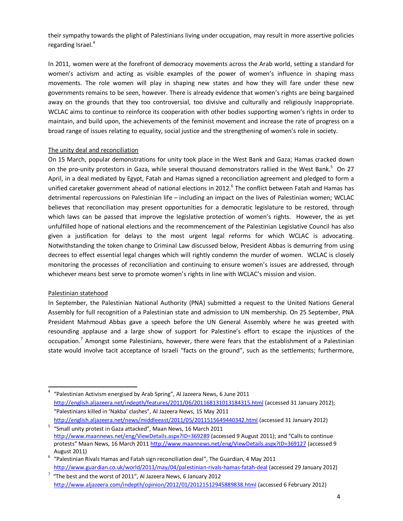their sympathy towards the plight of Palestinians living under occupation, may result in more assertive policies regarding Israel.<sup>4</sup>

In 2011, women were at the forefront of democracy movements across the Arab world, setting a standard for women's activism and acting as visible examples of the power of women's influence in shaping mass movements. The role women will play in shaping new states and how they will fare under these new governments remains to be seen, however. There is already evidence that women's rights are being bargained away on the grounds that they too controversial, too divisive and culturally and religiously inappropriate. WCLAC aims to continue to reinforce its cooperation with other bodies supporting women's rights in order to maintain, and build upon, the achievements of the feminist movement and increase the rate of progress on a broad range of issues relating to equality, social justice and the strengthening of women's role in society.

#### The unity deal and reconciliation

On 15 March, popular demonstrations for unity took place in the West Bank and Gaza; Hamas cracked down on the pro-unity protestors in Gaza, while several thousand demonstrators rallied in the West Bank.<sup>5</sup> On 27 April, in a deal mediated by Egypt, Fatah and Hamas signed a reconciliation agreement and pledged to form a unified caretaker government ahead of national elections in 2012.<sup>6</sup> The conflict between Fatah and Hamas has detrimental repercussions on Palestinian life – including an impact on the lives of Palestinian women; WCLAC believes that reconciliation may present opportunities for a democratic legislature to be restored, through which laws can be passed that improve the legislative protection of women's rights. However, the as yet unfulfilled hope of national elections and the recommencement of the Palestinian Legislative Council has also given a justification for delays to the most urgent legal reforms for which WCLAC is advocating. Notwithstanding the token change to Criminal Law discussed below, President Abbas is demurring from using decrees to effect essential legal changes which will rightly condemn the murder of women. WCLAC is closely monitoring the processes of reconciliation and continuing to ensure women's issues are addressed, through whichever means best serve to promote women's rights in line with WCLAC's mission and vision.

#### Palestinian statehood

In September, the Palestinian National Authority (PNA) submitted a request to the United Nations General Assembly for full recognition of a Palestinian state and admission to UN membership. On 25 September, PNA President Mahmoud Abbas gave a speech before the UN General Assembly where he was greeted with resounding applause and a large show of support for Palestine's effort to escape the injustices of the occupation.<sup>7</sup> Amongst some Palestinians, however, there were fears that the establishment of a Palestinian state would involve tacit acceptance of Israeli "facts on the ground", such as the settlements; furthermore,

 <sup>4</sup> "Palestinian Activism energised by Arab Spring", Al Jazeera News, 6 June 2011 http://english.aljazeera.net/indepth/features/2011/06/201168131013184315.html (accessed 31 January 2012); "Palestinians killed in 'Nakba' clashes", Al Jazeera News, 15 May 2011 http://english.aljazeera.net/news/middleeast/2011/05/2011515649440342.html (accessed 31 January 2012)

 $5$  "Small unity protest in Gaza attacked", Maan News, 16 March 2011 http://www.maannews.net/eng/ViewDetails.aspx?ID=369289 (accessed 9 August 2011); and "Calls to continue protests" Maan News, 16 March 2011 http://www.maannews.net/eng/ViewDetails.aspx?ID=369127 (accessed 9

August 2011)<br>
<sup>6</sup> "Palestinian Rivals Hamas and Fatah sign reconciliation deal", The Guardian, 4 May 2011 http://www.guardian.co.uk/world/2011/may/04/palestinian-rivals-hamas-fatah-deal (accessed 29 January 2012)

 $7\,$  "The best and the worst of 2011", Al Jazeera News, 6 January 2012 http://www.aljazeera.com/indepth/opinion/2012/01/20121512945889838.html (accessed 6 February 2012)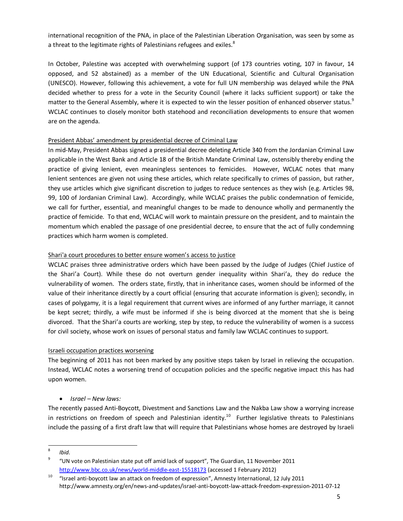international recognition of the PNA, in place of the Palestinian Liberation Organisation, was seen by some as a threat to the legitimate rights of Palestinians refugees and exiles.<sup>8</sup>

In October, Palestine was accepted with overwhelming support (of 173 countries voting, 107 in favour, 14 opposed, and 52 abstained) as a member of the UN Educational, Scientific and Cultural Organisation (UNESCO). However, following this achievement, a vote for full UN membership was delayed while the PNA decided whether to press for a vote in the Security Council (where it lacks sufficient support) or take the matter to the General Assembly, where it is expected to win the lesser position of enhanced observer status.<sup>9</sup> WCLAC continues to closely monitor both statehood and reconciliation developments to ensure that women are on the agenda.

#### President Abbas' amendment by presidential decree of Criminal Law

In mid-May, President Abbas signed a presidential decree deleting Article 340 from the Jordanian Criminal Law applicable in the West Bank and Article 18 of the British Mandate Criminal Law, ostensibly thereby ending the practice of giving lenient, even meaningless sentences to femicides. However, WCLAC notes that many lenient sentences are given not using these articles, which relate specifically to crimes of passion, but rather, they use articles which give significant discretion to judges to reduce sentences as they wish (e.g. Articles 98, 99, 100 of Jordanian Criminal Law). Accordingly, while WCLAC praises the public condemnation of femicide, we call for further, essential, and meaningful changes to be made to denounce wholly and permanently the practice of femicide. To that end, WCLAC will work to maintain pressure on the president, and to maintain the momentum which enabled the passage of one presidential decree, to ensure that the act of fully condemning practices which harm women is completed.

#### Shari'a court procedures to better ensure women's access to justice

WCLAC praises three administrative orders which have been passed by the Judge of Judges (Chief Justice of the Shari'a Court). While these do not overturn gender inequality within Shari'a, they do reduce the vulnerability of women. The orders state, firstly, that in inheritance cases, women should be informed of the value of their inheritance directly by a court official (ensuring that accurate information is given); secondly, in cases of polygamy, it is a legal requirement that current wives are informed of any further marriage, it cannot be kept secret; thirdly, a wife must be informed if she is being divorced at the moment that she is being divorced. That the Shari'a courts are working, step by step, to reduce the vulnerability of women is a success for civil society, whose work on issues of personal status and family law WCLAC continues to support.

#### Israeli occupation practices worsening

The beginning of 2011 has not been marked by any positive steps taken by Israel in relieving the occupation. Instead, WCLAC notes a worsening trend of occupation policies and the specific negative impact this has had upon women.

## · *Israel – New laws:*

The recently passed Anti-Boycott, Divestment and Sanctions Law and the Nakba Law show a worrying increase in restrictions on freedom of speech and Palestinian identity.<sup>10</sup> Further legislative threats to Palestinians include the passing of a first draft law that will require that Palestinians whose homes are destroyed by Israeli

 $\frac{8}{9}$  *Ibid.* 

<sup>9</sup> "UN vote on Palestinian state put off amid lack of support", The Guardian, 11 November 2011 http://www.bbc.co.uk/news/world-middle-east-15518173 (accessed 1 February 2012)

<sup>&</sup>lt;sup>10</sup> "Israel anti-boycott law an attack on freedom of expression", Amnesty International, 12 July 2011 http://www.amnesty.org/en/news-and-updates/israel-anti-boycott-law-attack-freedom-expression-2011-07-12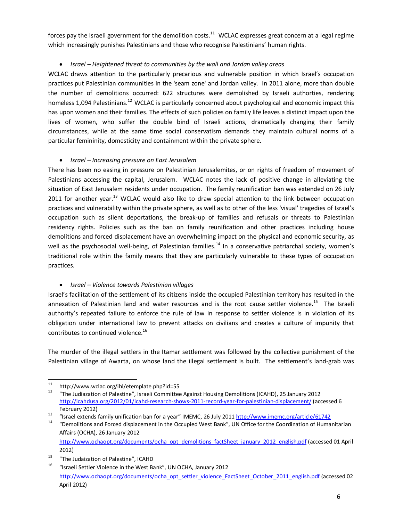forces pay the Israeli government for the demolition costs. $11$  WCLAC expresses great concern at a legal regime which increasingly punishes Palestinians and those who recognise Palestinians' human rights.

## · *Israel – Heightened threat to communities by the wall and Jordan valley areas*

WCLAC draws attention to the particularly precarious and vulnerable position in which Israel's occupation practices put Palestinian communities in the 'seam zone' and Jordan valley. In 2011 alone, more than double the number of demolitions occurred: 622 structures were demolished by Israeli authorties, rendering homeless 1,094 Palestinians.<sup>12</sup> WCLAC is particularly concerned about psychological and economic impact this has upon women and their families. The effects of such policies on family life leaves a distinct impact upon the lives of women, who suffer the double bind of Israeli actions, dramatically changing their family circumstances, while at the same time social conservatism demands they maintain cultural norms of a particular femininity, domesticity and containment within the private sphere.

## · *Israel – Increasing pressure on East Jerusalem*

There has been no easing in pressure on Palestinian Jerusalemites, or on rights of freedom of movement of Palestinians accessing the capital, Jerusalem. WCLAC notes the lack of positive change in alleviating the situation of East Jerusalem residents under occupation. The family reunification ban was extended on 26 July 2011 for another year.<sup>13</sup> WCLAC would also like to draw special attention to the link between occupation practices and vulnerability within the private sphere, as well as to other of the less 'visual' tragedies of Israel's occupation such as silent deportations, the break-up of families and refusals or threats to Palestinian residency rights. Policies such as the ban on family reunification and other practices including house demolitions and forced displacement have an overwhelming impact on the physical and economic security, as well as the psychosocial well-being, of Palestinian families.<sup>14</sup> In a conservative patriarchal society, women's traditional role within the family means that they are particularly vulnerable to these types of occupation practices.

## · *Israel – Violence towards Palestinian villages*

Israel's facilitation of the settlement of its citizens inside the occupied Palestinian territory has resulted in the annexation of Palestinian land and water resources and is the root cause settler violence.<sup>15</sup> The Israeli authority's repeated failure to enforce the rule of law in response to settler violence is in violation of its obligation under international law to prevent attacks on civilians and creates a culture of impunity that contributes to continued violence.<sup>16</sup>

The murder of the illegal settlers in the Itamar settlement was followed by the collective punishment of the Palestinian village of Awarta, on whose land the illegal settlement is built. The settlement's land-grab was

<sup>&</sup>lt;sup>11</sup> http://www.wclac.org/ihl/etemplate.php?id=55<br><sup>12</sup> "The Judiazation of Palestine", Israeli Committee Against Housing Demolitions (ICAHD), 25 January 2012 http://icahdusa.org/2012/01/icahd-research-shows-2011-record-year-for-palestinian-displacement/ (accessed 6 February 2012)<br>
"Israel extends family unification ban for a year" IMEMC, 26 July 2011 http://www.imemc.org/article/61742<br>
"Demolitions and Forced displacement in the Occupied West Bank", UN Office for the Coordination of

Affairs (OCHA), 26 January 2012

http://www.ochaopt.org/documents/ocha\_opt\_demolitions\_factSheet\_january\_2012\_english.pdf (accessed 01 April 2012)

<sup>&</sup>lt;sup>15</sup> "The Judaization of Palestine", ICAHD

<sup>16</sup> "Israeli Settler Violence in the West Bank", UN OCHA, January 2012 http://www.ochaopt.org/documents/ocha\_opt\_settler\_violence\_FactSheet\_October\_2011\_english.pdf (accessed 02 April 2012)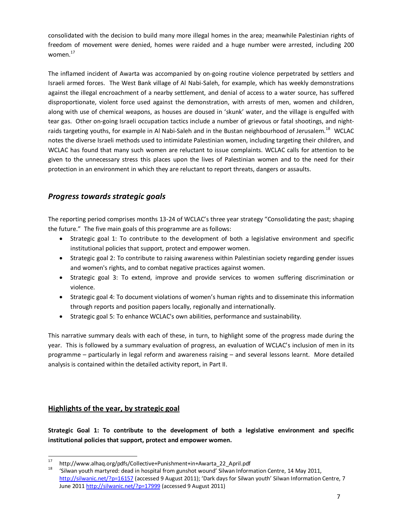consolidated with the decision to build many more illegal homes in the area; meanwhile Palestinian rights of freedom of movement were denied, homes were raided and a huge number were arrested, including 200 women.<sup>17</sup>

The inflamed incident of Awarta was accompanied by on-going routine violence perpetrated by settlers and Israeli armed forces. The West Bank village of Al Nabi-Saleh, for example, which has weekly demonstrations against the illegal encroachment of a nearby settlement, and denial of access to a water source, has suffered disproportionate, violent force used against the demonstration, with arrests of men, women and children, along with use of chemical weapons, as houses are doused in 'skunk' water, and the village is engulfed with tear gas. Other on-going Israeli occupation tactics include a number of grievous or fatal shootings, and nightraids targeting youths, for example in Al Nabi-Saleh and in the Bustan neighbourhood of Jerusalem.<sup>18</sup> WCLAC notes the diverse Israeli methods used to intimidate Palestinian women, including targeting their children, and WCLAC has found that many such women are reluctant to issue complaints. WCLAC calls for attention to be given to the unnecessary stress this places upon the lives of Palestinian women and to the need for their protection in an environment in which they are reluctant to report threats, dangers or assaults.

## *Progress towards strategic goals*

The reporting period comprises months 13-24 of WCLAC's three year strategy "Consolidating the past; shaping the future." The five main goals of this programme are as follows:

- · Strategic goal 1: To contribute to the development of both a legislative environment and specific institutional policies that support, protect and empower women.
- Strategic goal 2: To contribute to raising awareness within Palestinian society regarding gender issues and women's rights, and to combat negative practices against women.
- · Strategic goal 3: To extend, improve and provide services to women suffering discrimination or violence.
- · Strategic goal 4: To document violations of women's human rights and to disseminate this information through reports and position papers locally, regionally and internationally.
- · Strategic goal 5: To enhance WCLAC's own abilities, performance and sustainability.

This narrative summary deals with each of these, in turn, to highlight some of the progress made during the year. This is followed by a summary evaluation of progress, an evaluation of WCLAC's inclusion of men in its programme – particularly in legal reform and awareness raising – and several lessons learnt. More detailed analysis is contained within the detailed activity report, in Part II.

## **Highlights of the year, by strategic goal**

**Strategic Goal 1: To contribute to the development of both a legislative environment and specific institutional policies that support, protect and empower women.**

<span id="page-6-0"></span>

<sup>17</sup> http://www.alhaq.org/pdfs/Collective+Punishment+in+Awarta\_22\_April.pdf<br><sup>18</sup> 'Silwan youth martyred: dead in hospital from gunshot wound' Silwan Information Centre, 14 May 2011, http://silwanic.net/?p=16157 (accessed 9 August 2011); 'Dark days for Silwan youth' Silwan Information Centre, 7 June 2011 http://silwanic.net/?p=17999 (accessed 9 August 2011)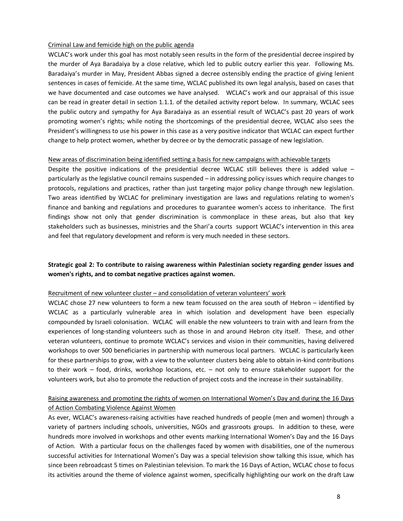#### Criminal Law and femicide high on the public agenda

WCLAC's work under this goal has most notably seen results in the form of the presidential decree inspired by the murder of Aya Baradaiya by a close relative, which led to public outcry earlier this year. Following Ms. Baradaiya's murder in May, President Abbas signed a decree ostensibly ending the practice of giving lenient sentences in cases of femicide. At the same time, WCLAC published its own legal analysis, based on cases that we have documented and case outcomes we have analysed. WCLAC's work and our appraisal of this issue can be read in greater detail in section 1.1.1. of the detailed activity report below. In summary, WCLAC sees the public outcry and sympathy for Aya Baradaiya as an essential result of WCLAC's past 20 years of work promoting women's rights; while noting the shortcomings of the presidential decree, WCLAC also sees the President's willingness to use his power in this case as a very positive indicator that WCLAC can expect further change to help protect women, whether by decree or by the democratic passage of new legislation.

#### New areas of discrimination being identified setting a basis for new campaigns with achievable targets

Despite the positive indications of the presidential decree WCLAC still believes there is added value – particularly as the legislative council remains suspended – in addressing policy issues which require changes to protocols, regulations and practices, rather than just targeting major policy change through new legislation. Two areas identified by WCLAC for preliminary investigation are laws and regulations relating to women's finance and banking and regulations and procedures to guarantee women's access to inheritance. The first findings show not only that gender discrimination is commonplace in these areas, but also that key stakeholders such as businesses, ministries and the Shari'a courts support WCLAC's intervention in this area and feel that regulatory development and reform is very much needed in these sectors.

## **Strategic goal 2: To contribute to raising awareness within Palestinian society regarding gender issues and women's rights, and to combat negative practices against women.**

#### Recruitment of new volunteer cluster – and consolidation of veteran volunteers' work

WCLAC chose 27 new volunteers to form a new team focussed on the area south of Hebron – identified by WCLAC as a particularly vulnerable area in which isolation and development have been especially compounded by Israeli colonisation. WCLAC will enable the new volunteers to train with and learn from the experiences of long-standing volunteers such as those in and around Hebron city itself. These, and other veteran volunteers, continue to promote WCLAC's services and vision in their communities, having delivered workshops to over 500 beneficiaries in partnership with numerous local partners. WCLAC is particularly keen for these partnerships to grow, with a view to the volunteer clusters being able to obtain in-kind contributions to their work – food, drinks, workshop locations, etc. – not only to ensure stakeholder support for the volunteers work, but also to promote the reduction of project costs and the increase in their sustainability.

## Raising awareness and promoting the rights of women on International Women's Day and during the 16 Days of Action Combating Violence Against Women

As ever, WCLAC's awareness-raising activities have reached hundreds of people (men and women) through a variety of partners including schools, universities, NGOs and grassroots groups. In addition to these, were hundreds more involved in workshops and other events marking International Women's Day and the 16 Days of Action. With a particular focus on the challenges faced by women with disabilities, one of the numerous successful activities for International Women's Day was a special television show talking this issue, which has since been rebroadcast 5 times on Palestinian television. To mark the 16 Days of Action, WCLAC chose to focus its activities around the theme of violence against women, specifically highlighting our work on the draft Law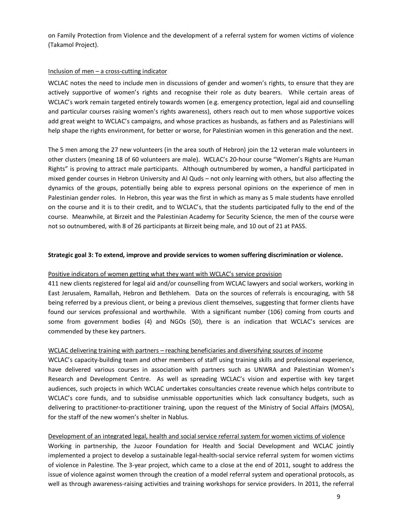on Family Protection from Violence and the development of a referral system for women victims of violence (Takamol Project).

## Inclusion of men – a cross-cutting indicator

WCLAC notes the need to include men in discussions of gender and women's rights, to ensure that they are actively supportive of women's rights and recognise their role as duty bearers. While certain areas of WCLAC's work remain targeted entirely towards women (e.g. emergency protection, legal aid and counselling and particular courses raising women's rights awareness), others reach out to men whose supportive voices add great weight to WCLAC's campaigns, and whose practices as husbands, as fathers and as Palestinians will help shape the rights environment, for better or worse, for Palestinian women in this generation and the next.

The 5 men among the 27 new volunteers (in the area south of Hebron) join the 12 veteran male volunteers in other clusters (meaning 18 of 60 volunteers are male). WCLAC's 20-hour course "Women's Rights are Human Rights" is proving to attract male participants. Although outnumbered by women, a handful participated in mixed gender courses in Hebron University and Al Quds – not only learning with others, but also affecting the dynamics of the groups, potentially being able to express personal opinions on the experience of men in Palestinian gender roles. In Hebron, this year was the first in which as many as 5 male students have enrolled on the course and it is to their credit, and to WCLAC's, that the students participated fully to the end of the course. Meanwhile, at Birzeit and the Palestinian Academy for Security Science, the men of the course were not so outnumbered, with 8 of 26 participants at Birzeit being male, and 10 out of 21 at PASS.

#### **Strategic goal 3: To extend, improve and provide services to women suffering discrimination or violence.**

#### Positive indicators of women getting what they want with WCLAC's service provision

411 new clients registered for legal aid and/or counselling from WCLAC lawyers and social workers, working in East Jerusalem, Ramallah, Hebron and Bethlehem. Data on the sources of referrals is encouraging, with 58 being referred by a previous client, or being a previous client themselves, suggesting that former clients have found our services professional and worthwhile. With a significant number (106) coming from courts and some from government bodies (4) and NGOs (50), there is an indication that WCLAC's services are commended by these key partners.

#### WCLAC delivering training with partners – reaching beneficiaries and diversifying sources of income

WCLAC's capacity-building team and other members of staff using training skills and professional experience, have delivered various courses in association with partners such as UNWRA and Palestinian Women's Research and Development Centre. As well as spreading WCLAC's vision and expertise with key target audiences, such projects in which WCLAC undertakes consultancies create revenue which helps contribute to WCLAC's core funds, and to subsidise unmissable opportunities which lack consultancy budgets, such as delivering to practitioner-to-practitioner training, upon the request of the Ministry of Social Affairs (MOSA), for the staff of the new women's shelter in Nablus.

Development of an integrated legal, health and social service referral system for women victims of violence Working in partnership, the Juzoor Foundation for Health and Social Development and WCLAC jointly implemented a project to develop a sustainable legal-health-social service referral system for women victims of violence in Palestine. The 3-year project, which came to a close at the end of 2011, sought to address the issue of violence against women through the creation of a model referral system and operational protocols, as well as through awareness-raising activities and training workshops for service providers. In 2011, the referral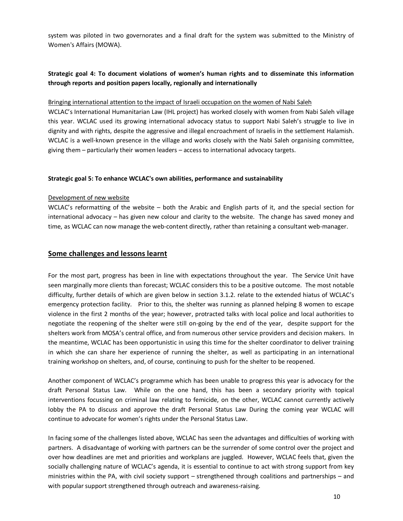system was piloted in two governorates and a final draft for the system was submitted to the Ministry of Women's Affairs (MOWA).

## **Strategic goal 4: To document violations of women's human rights and to disseminate this information through reports and position papers locally, regionally and internationally**

#### Bringing international attention to the impact of Israeli occupation on the women of Nabi Saleh

WCLAC's International Humanitarian Law (IHL project) has worked closely with women from Nabi Saleh village this year. WCLAC used its growing international advocacy status to support Nabi Saleh's struggle to live in dignity and with rights, despite the aggressive and illegal encroachment of Israelis in the settlement Halamish. WCLAC is a well-known presence in the village and works closely with the Nabi Saleh organising committee, giving them – particularly their women leaders – access to international advocacy targets.

#### **Strategic goal 5: To enhance WCLAC's own abilities, performance and sustainability**

#### Development of new website

WCLAC's reformatting of the website – both the Arabic and English parts of it, and the special section for international advocacy – has given new colour and clarity to the website. The change has saved money and time, as WCLAC can now manage the web-content directly, rather than retaining a consultant web-manager.

#### **Some challenges and lessons learnt**

For the most part, progress has been in line with expectations throughout the year. The Service Unit have seen marginally more clients than forecast; WCLAC considers this to be a positive outcome. The most notable difficulty, further details of which are given below in section 3.1.2. relate to the extended hiatus of WCLAC's emergency protection facility. Prior to this, the shelter was running as planned helping 8 women to escape violence in the first 2 months of the year; however, protracted talks with local police and local authorities to negotiate the reopening of the shelter were still on-going by the end of the year, despite support for the shelters work from MOSA's central office, and from numerous other service providers and decision makers. In the meantime, WCLAC has been opportunistic in using this time for the shelter coordinator to deliver training in which she can share her experience of running the shelter, as well as participating in an international training workshop on shelters, and, of course, continuing to push for the shelter to be reopened.

Another component of WCLAC's programme which has been unable to progress this year is advocacy for the draft Personal Status Law. While on the one hand, this has been a secondary priority with topical interventions focussing on criminal law relating to femicide, on the other, WCLAC cannot currently actively lobby the PA to discuss and approve the draft Personal Status Law During the coming year WCLAC will continue to advocate for women's rights under the Personal Status Law.

<span id="page-9-0"></span>In facing some of the challenges listed above, WCLAC has seen the advantages and difficulties of working with partners. A disadvantage of working with partners can be the surrender of some control over the project and over how deadlines are met and priorities and workplans are juggled. However, WCLAC feels that, given the socially challenging nature of WCLAC's agenda, it is essential to continue to act with strong support from key ministries within the PA, with civil society support – strengthened through coalitions and partnerships – and with popular support strengthened through outreach and awareness-raising.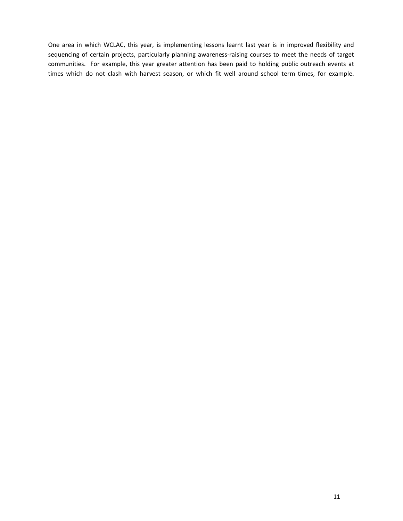One area in which WCLAC, this year, is implementing lessons learnt last year is in improved flexibility and sequencing of certain projects, particularly planning awareness-raising courses to meet the needs of target communities. For example, this year greater attention has been paid to holding public outreach events at times which do not clash with harvest season, or which fit well around school term times, for example.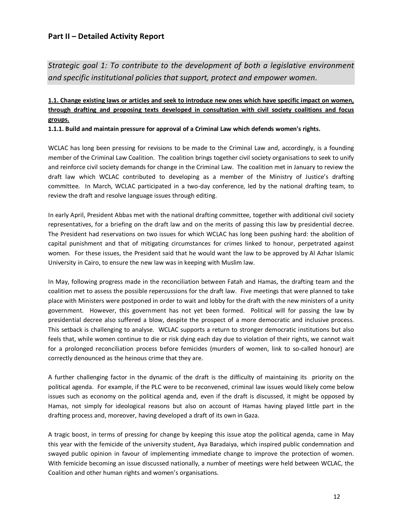## **Part II – Detailed Activity Report**

*Strategic goal 1: To contribute to the development of both a legislative environment and specific institutional policies that support, protect and empower women.*

## **1.1. Change existing laws or articles and seek to introduce new ones which have specific impact on women, through drafting and proposing texts developed in consultation with civil society coalitions and focus groups.**

**1.1.1. Build and maintain pressure for approval of a Criminal Law which defends women's rights.**

WCLAC has long been pressing for revisions to be made to the Criminal Law and, accordingly, is a founding member of the Criminal Law Coalition. The coalition brings together civil society organisations to seek to unify and reinforce civil society demands for change in the Criminal Law. The coalition met in January to review the draft law which WCLAC contributed to developing as a member of the Ministry of Justice's drafting committee. In March, WCLAC participated in a two-day conference, led by the national drafting team, to review the draft and resolve language issues through editing.

In early April, President Abbas met with the national drafting committee, together with additional civil society representatives, for a briefing on the draft law and on the merits of passing this law by presidential decree. The President had reservations on two issues for which WCLAC has long been pushing hard: the abolition of capital punishment and that of mitigating circumstances for crimes linked to honour, perpetrated against women. For these issues, the President said that he would want the law to be approved by Al Azhar Islamic University in Cairo, to ensure the new law was in keeping with Muslim law.

In May, following progress made in the reconciliation between Fatah and Hamas, the drafting team and the coalition met to assess the possible repercussions for the draft law. Five meetings that were planned to take place with Ministers were postponed in order to wait and lobby for the draft with the new ministers of a unity government. However, this government has not yet been formed. Political will for passing the law by presidential decree also suffered a blow, despite the prospect of a more democratic and inclusive process. This setback is challenging to analyse. WCLAC supports a return to stronger democratic institutions but also feels that, while women continue to die or risk dying each day due to violation of their rights, we cannot wait for a prolonged reconciliation process before femicides (murders of women, link to so-called honour) are correctly denounced as the heinous crime that they are.

A further challenging factor in the dynamic of the draft is the difficulty of maintaining its priority on the political agenda. For example, if the PLC were to be reconvened, criminal law issues would likely come below issues such as economy on the political agenda and, even if the draft is discussed, it might be opposed by Hamas, not simply for ideological reasons but also on account of Hamas having played little part in the drafting process and, moreover, having developed a draft of its own in Gaza.

<span id="page-11-1"></span><span id="page-11-0"></span>A tragic boost, in terms of pressing for change by keeping this issue atop the political agenda, came in May this year with the femicide of the university student, Aya Baradaiya, which inspired public condemnation and swayed public opinion in favour of implementing immediate change to improve the protection of women. With femicide becoming an issue discussed nationally, a number of meetings were held between WCLAC, the Coalition and other human rights and women's organisations.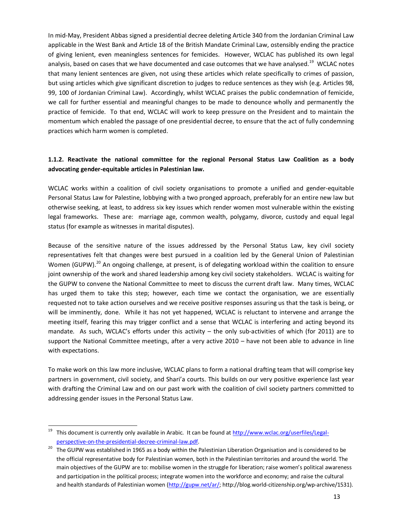In mid-May, President Abbas signed a presidential decree deleting Article 340 from the Jordanian Criminal Law applicable in the West Bank and Article 18 of the British Mandate Criminal Law, ostensibly ending the practice of giving lenient, even meaningless sentences for femicides. However, WCLAC has published its own legal analysis, based on cases that we have documented and case outcomes that we have analysed.<sup>19</sup> WCLAC notes that many lenient sentences are given, not using these articles which relate specifically to crimes of passion, but using articles which give significant discretion to judges to reduce sentences as they wish (e.g. Articles 98, 99, 100 of Jordanian Criminal Law). Accordingly, whilst WCLAC praises the public condemnation of femicide, we call for further essential and meaningful changes to be made to denounce wholly and permanently the practice of femicide. To that end, WCLAC will work to keep pressure on the President and to maintain the momentum which enabled the passage of one presidential decree, to ensure that the act of fully condemning practices which harm women is completed.

## **1.1.2. Reactivate the national committee for the regional Personal Status Law Coalition as a body advocating gender-equitable articles in Palestinian law.**

WCLAC works within a coalition of civil society organisations to promote a unified and gender-equitable Personal Status Law for Palestine, lobbying with a two pronged approach, preferably for an entire new law but otherwise seeking, at least, to address six key issues which render women most vulnerable within the existing legal frameworks. These are: marriage age, common wealth, polygamy, divorce, custody and equal legal status (for example as witnesses in marital disputes).

Because of the sensitive nature of the issues addressed by the Personal Status Law, key civil society representatives felt that changes were best pursued in a coalition led by the General Union of Palestinian Women (GUPW).<sup>20</sup> An ongoing challenge, at present, is of delegating workload within the coalition to ensure joint ownership of the work and shared leadership among key civil society stakeholders. WCLAC is waiting for the GUPW to convene the National Committee to meet to discuss the current draft law. Many times, WCLAC has urged them to take this step; however, each time we contact the organisation, we are essentially requested not to take action ourselves and we receive positive responses assuring us that the task is being, or will be imminently, done. While it has not yet happened, WCLAC is reluctant to intervene and arrange the meeting itself, fearing this may trigger conflict and a sense that WCLAC is interfering and acting beyond its mandate. As such, WCLAC's efforts under this activity – the only sub-activities of which (for 2011) are to support the National Committee meetings, after a very active 2010 – have not been able to advance in line with expectations.

To make work on this law more inclusive, WCLAC plans to form a national drafting team that will comprise key partners in government, civil society, and Shari'a courts. This builds on our very positive experience last year with drafting the Criminal Law and on our past work with the coalition of civil society partners committed to addressing gender issues in the Personal Status Law.

<sup>&</sup>lt;sup>19</sup> This document is currently only available in Arabic. It can be found at http://www.wclac.org/userfiles/Legalperspective-on-the-presidential-decree-criminal-law.pdf.<br><sup>20</sup> The GUPW was established in 1965 as a body within the Palestinian Liberation Organisation and is considered to be

the official representative body for Palestinian women, both in the Palestinian territories and around the world. The main objectives of the GUPW are to: mobilise women in the struggle for liberation; raise women's political awareness and participation in the political process; integrate women into the workforce and economy; and raise the cultural and health standards of Palestinian women (http://gupw.net/ar/; http://blog.world-citizenship.org/wp-archive/1531).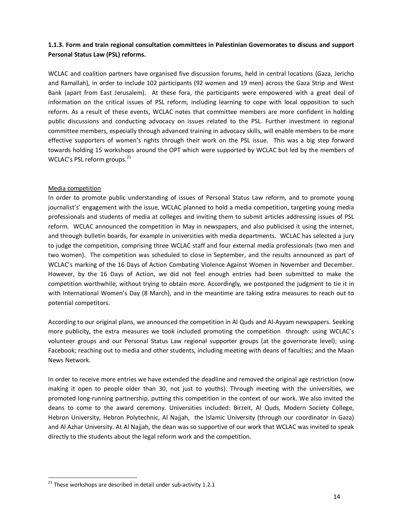## **1.1.3. Form and train regional consultation committees in Palestinian Governorates to discuss and support Personal Status Law (PSL) reforms.**

WCLAC and coalition partners have organised five discussion forums, held in central locations (Gaza, Jericho and Ramallah), in order to include 102 participants (92 women and 19 men) across the Gaza Strip and West Bank (apart from East Jerusalem). At these fora, the participants were empowered with a great deal of information on the critical issues of PSL reform, including learning to cope with local opposition to such reform. As a result of these events, WCLAC notes that committee members are more confident in holding public discussions and conducting advocacy on issues related to the PSL. Further investment in regional committee members, especially through advanced training in advocacy skills, will enable members to be more effective supporters of women's rights through their work on the PSL issue. This was a big step forward towards holding 15 workshops around the OPT which were supported by WCLAC but led by the members of WCLAC's PSL reform groups. $21$ 

## Media competition

In order to promote public understanding of issues of Personal Status Law reform, and to promote young journalist's' engagement with the issue, WCLAC planned to hold a media competition, targeting young media professionals and students of media at colleges and inviting them to submit articles addressing issues of PSL reform. WCLAC announced the competition in May in newspapers, and also publicised it using the internet, and through bulletin boards, for example in universities with media departments. WCLAC has selected a jury to judge the competition, comprising three WCLAC staff and four external media professionals (two men and two women). The competition was scheduled to close in September, and the results announced as part of WCLAC's marking of the 16 Days of Action Combating Violence Against Women in November and December. However, by the 16 Days of Action, we did not feel enough entries had been submitted to make the competition worthwhile, without trying to obtain more. Accordingly, we postponed the judgment to tie it in with International Women's Day (8 March), and in the meantime are taking extra measures to reach out to potential competitors.

According to our original plans, we announced the competition in Al Quds and Al-Ayyam newspapers. Seeking more publicity, the extra measures we took included promoting the competition through: using WCLAC's volunteer groups and our Personal Status Law regional supporter groups (at the governorate level); using Facebook; reaching out to media and other students, including meeting with deans of faculties; and the Maan News Network.

In order to receive more entries we have extended the deadline and removed the original age restriction (now making it open to people older than 30, not just to youths). Through meeting with the universities, we promoted long-running partnership, putting this competition in the context of our work. We also invited the deans to come to the award ceremony. Universities included: Birzeit, Al Quds, Modern Society College, Hebron University, Hebron Polytechnic, Al Najjah, the Islamic University (through our coordinator in Gaza) and Al Azhar University. At Al Najjah, the dean was so supportive of our work that WCLAC was invited to speak directly to the students about the legal reform work and the competition.

 $21$  These workshops are described in detail under sub-activity 1.2.1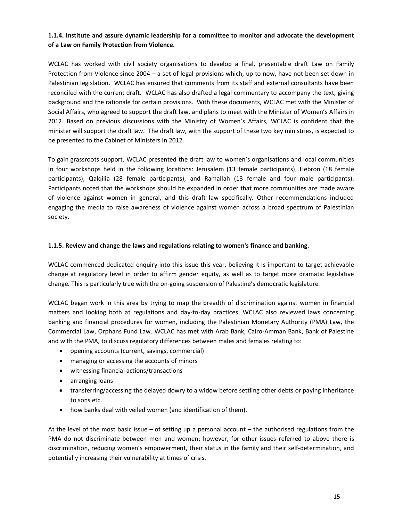## **1.1.4. Institute and assure dynamic leadership for a committee to monitor and advocate the development of a Law on Family Protection from Violence.**

WCLAC has worked with civil society organisations to develop a final, presentable draft Law on Family Protection from Violence since 2004 – a set of legal provisions which, up to now, have not been set down in Palestinian legislation. WCLAC has ensured that comments from its staff and external consultants have been reconciled with the current draft. WCLAC has also drafted a legal commentary to accompany the text, giving background and the rationale for certain provisions. With these documents, WCLAC met with the Minister of Social Affairs, who agreed to support the draft law, and plans to meet with the Minister of Women's Affairs in 2012. Based on previous discussions with the Ministry of Women's Affairs, WCLAC is confident that the minister will support the draft law. The draft law, with the support of these two key ministries, is expected to be presented to the Cabinet of Ministers in 2012.

To gain grassroots support, WCLAC presented the draft law to women's organisations and local communities in four workshops held in the following locations: Jerusalem (13 female participants), Hebron (18 female participants), Qalqilia (28 female participants), and Ramallah (13 female and four male participants). Participants noted that the workshops should be expanded in order that more communities are made aware of violence against women in general, and this draft law specifically. Other recommendations included engaging the media to raise awareness of violence against women across a broad spectrum of Palestinian society.

#### **1.1.5. Review and change the laws and regulations relating to women's finance and banking.**

WCLAC commenced dedicated enquiry into this issue this year, believing it is important to target achievable change at regulatory level in order to affirm gender equity, as well as to target more dramatic legislative change. This is particularly true with the on-going suspension of Palestine's democratic legislature.

WCLAC began work in this area by trying to map the breadth of discrimination against women in financial matters and looking both at regulations and day-to-day practices. WCLAC also reviewed laws concerning banking and financial procedures for women, including the Palestinian Monetary Authority (PMA) Law, the Commercial Law, Orphans Fund Law. WCLAC has met with Arab Bank, Cairo-Amman Bank, Bank of Palestine and with the PMA, to discuss regulatory differences between males and females relating to:

- · opening accounts (current, savings, commercial)
- · managing or accessing the accounts of minors
- · witnessing financial actions/transactions
- · arranging loans
- · transferring/accessing the delayed dowry to a widow before settling other debts or paying inheritance to sons etc.
- · how banks deal with veiled women (and identification of them).

At the level of the most basic issue – of setting up a personal account – the authorised regulations from the PMA do not discriminate between men and women; however, for other issues referred to above there is discrimination, reducing women's empowerment, their status in the family and their self-determination, and potentially increasing their vulnerability at times of crisis.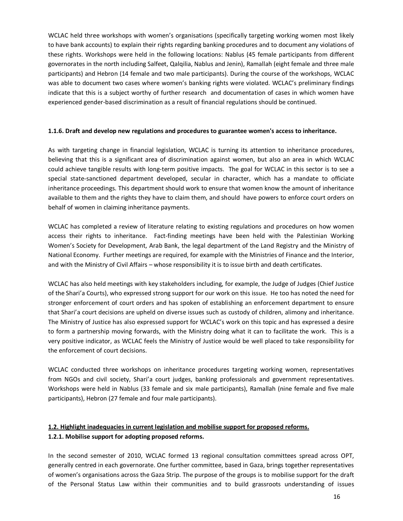WCLAC held three workshops with women's organisations (specifically targeting working women most likely to have bank accounts) to explain their rights regarding banking procedures and to document any violations of these rights. Workshops were held in the following locations: Nablus (45 female participants from different governorates in the north including Salfeet, Qalqilia, Nablus and Jenin), Ramallah (eight female and three male participants) and Hebron (14 female and two male participants). During the course of the workshops, WCLAC was able to document two cases where women's banking rights were violated. WCLAC's preliminary findings indicate that this is a subject worthy of further research and documentation of cases in which women have experienced gender-based discrimination as a result of financial regulations should be continued.

#### **1.1.6. Draft and develop new regulations and procedures to guarantee women's access to inheritance.**

As with targeting change in financial legislation, WCLAC is turning its attention to inheritance procedures, believing that this is a significant area of discrimination against women, but also an area in which WCLAC could achieve tangible results with long-term positive impacts. The goal for WCLAC in this sector is to see a special state-sanctioned department developed, secular in character, which has a mandate to officiate inheritance proceedings. This department should work to ensure that women know the amount of inheritance available to them and the rights they have to claim them, and should have powers to enforce court orders on behalf of women in claiming inheritance payments.

WCLAC has completed a review of literature relating to existing regulations and procedures on how women access their rights to inheritance. Fact-finding meetings have been held with the Palestinian Working Women's Society for Development, Arab Bank, the legal department of the Land Registry and the Ministry of National Economy. Further meetings are required, for example with the Ministries of Finance and the Interior, and with the Ministry of Civil Affairs – whose responsibility it is to issue birth and death certificates.

WCLAC has also held meetings with key stakeholders including, for example, the Judge of Judges (Chief Justice of the Shari'a Courts), who expressed strong support for our work on this issue. He too has noted the need for stronger enforcement of court orders and has spoken of establishing an enforcement department to ensure that Shari'a court decisions are upheld on diverse issues such as custody of children, alimony and inheritance. The Ministry of Justice has also expressed support for WCLAC's work on this topic and has expressed a desire to form a partnership moving forwards, with the Ministry doing what it can to facilitate the work. This is a very positive indicator, as WCLAC feels the Ministry of Justice would be well placed to take responsibility for the enforcement of court decisions.

WCLAC conducted three workshops on inheritance procedures targeting working women, representatives from NGOs and civil society, Shari'a court judges, banking professionals and government representatives. Workshops were held in Nablus (33 female and six male participants), Ramallah (nine female and five male participants), Hebron (27 female and four male participants).

## **1.2. Highlight inadequacies in current legislation and mobilise support for proposed reforms. 1.2.1. Mobilise support for adopting proposed reforms.**

In the second semester of 2010, WCLAC formed 13 regional consultation committees spread across OPT, generally centred in each governorate. One further committee, based in Gaza, brings together representatives of women's organisations across the Gaza Strip. The purpose of the groups is to mobilise support for the draft of the Personal Status Law within their communities and to build grassroots understanding of issues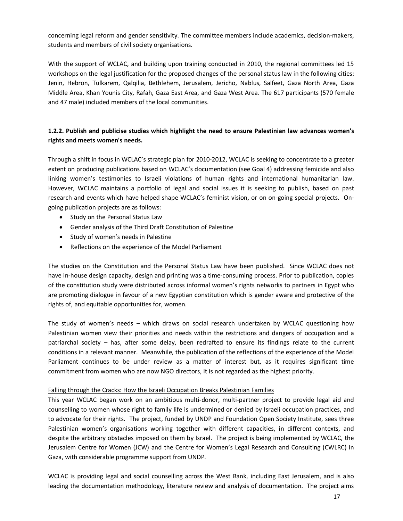concerning legal reform and gender sensitivity. The committee members include academics, decision-makers, students and members of civil society organisations.

With the support of WCLAC, and building upon training conducted in 2010, the regional committees led 15 workshops on the legal justification for the proposed changes of the personal status law in the following cities: Jenin, Hebron, Tulkarem, Qalqilia, Bethlehem, Jerusalem, Jericho, Nablus, Salfeet, Gaza North Area, Gaza Middle Area, Khan Younis City, Rafah, Gaza East Area, and Gaza West Area. The 617 participants (570 female and 47 male) included members of the local communities.

## **1.2.2. Publish and publicise studies which highlight the need to ensure Palestinian law advances women's rights and meets women's needs.**

Through a shift in focus in WCLAC's strategic plan for 2010-2012, WCLAC is seeking to concentrate to a greater extent on producing publications based on WCLAC's documentation (see Goal 4) addressing femicide and also linking women's testimonies to Israeli violations of human rights and international humanitarian law. However, WCLAC maintains a portfolio of legal and social issues it is seeking to publish, based on past research and events which have helped shape WCLAC's feminist vision, or on on-going special projects. Ongoing publication projects are as follows:

- · Study on the Personal Status Law
- · Gender analysis of the Third Draft Constitution of Palestine
- · Study of women's needs in Palestine
- · Reflections on the experience of the Model Parliament

The studies on the Constitution and the Personal Status Law have been published. Since WCLAC does not have in-house design capacity, design and printing was a time-consuming process. Prior to publication, copies of the constitution study were distributed across informal women's rights networks to partners in Egypt who are promoting dialogue in favour of a new Egyptian constitution which is gender aware and protective of the rights of, and equitable opportunities for, women.

The study of women's needs – which draws on social research undertaken by WCLAC questioning how Palestinian women view their priorities and needs within the restrictions and dangers of occupation and a patriarchal society – has, after some delay, been redrafted to ensure its findings relate to the current conditions in a relevant manner. Meanwhile, the publication of the reflections of the experience of the Model Parliament continues to be under review as a matter of interest but, as it requires significant time commitment from women who are now NGO directors, it is not regarded as the highest priority.

#### Falling through the Cracks: How the Israeli Occupation Breaks Palestinian Families

This year WCLAC began work on an ambitious multi-donor, multi-partner project to provide legal aid and counselling to women whose right to family life is undermined or denied by Israeli occupation practices, and to advocate for their rights. The project, funded by UNDP and Foundation Open Society Institute, sees three Palestinian women's organisations working together with different capacities, in different contexts, and despite the arbitrary obstacles imposed on them by Israel. The project is being implemented by WCLAC, the Jerusalem Centre for Women (JCW) and the Centre for Women's Legal Research and Consulting (CWLRC) in Gaza, with considerable programme support from UNDP.

WCLAC is providing legal and social counselling across the West Bank, including East Jerusalem, and is also leading the documentation methodology, literature review and analysis of documentation. The project aims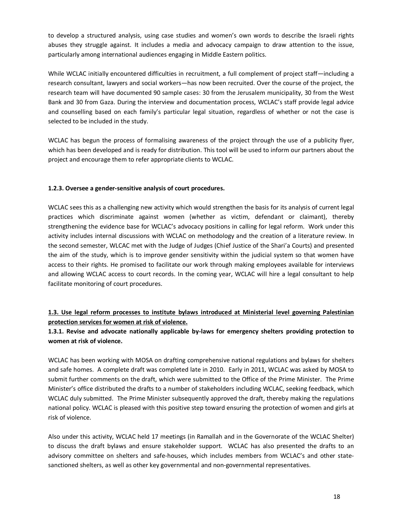to develop a structured analysis, using case studies and women's own words to describe the Israeli rights abuses they struggle against. It includes a media and advocacy campaign to draw attention to the issue, particularly among international audiences engaging in Middle Eastern politics.

While WCLAC initially encountered difficulties in recruitment, a full complement of project staff—including a research consultant, lawyers and social workers—has now been recruited. Over the course of the project, the research team will have documented 90 sample cases: 30 from the Jerusalem municipality, 30 from the West Bank and 30 from Gaza. During the interview and documentation process, WCLAC's staff provide legal advice and counselling based on each family's particular legal situation, regardless of whether or not the case is selected to be included in the study.

WCLAC has begun the process of formalising awareness of the project through the use of a publicity flyer, which has been developed and is ready for distribution. This tool will be used to inform our partners about the project and encourage them to refer appropriate clients to WCLAC.

## **1.2.3. Oversee a gender-sensitive analysis of court procedures.**

WCLAC sees this as a challenging new activity which would strengthen the basis for its analysis of current legal practices which discriminate against women (whether as victim, defendant or claimant), thereby strengthening the evidence base for WCLAC's advocacy positions in calling for legal reform. Work under this activity includes internal discussions with WCLAC on methodology and the creation of a literature review. In the second semester, WLCAC met with the Judge of Judges (Chief Justice of the Shari'a Courts) and presented the aim of the study, which is to improve gender sensitivity within the judicial system so that women have access to their rights. He promised to facilitate our work through making employees available for interviews and allowing WCLAC access to court records. In the coming year, WCLAC will hire a legal consultant to help facilitate monitoring of court procedures.

## **1.3. Use legal reform processes to institute bylaws introduced at Ministerial level governing Palestinian protection services for women at risk of violence.**

## **1.3.1. Revise and advocate nationally applicable by-laws for emergency shelters providing protection to women at risk of violence.**

WCLAC has been working with MOSA on drafting comprehensive national regulations and bylaws for shelters and safe homes. A complete draft was completed late in 2010. Early in 2011, WCLAC was asked by MOSA to submit further comments on the draft, which were submitted to the Office of the Prime Minister. The Prime Minister's office distributed the drafts to a number of stakeholders including WCLAC, seeking feedback, which WCLAC duly submitted. The Prime Minister subsequently approved the draft, thereby making the regulations national policy. WCLAC is pleased with this positive step toward ensuring the protection of women and girls at risk of violence.

Also under this activity, WCLAC held 17 meetings (in Ramallah and in the Governorate of the WCLAC Shelter) to discuss the draft bylaws and ensure stakeholder support. WCLAC has also presented the drafts to an advisory committee on shelters and safe-houses, which includes members from WCLAC's and other statesanctioned shelters, as well as other key governmental and non-governmental representatives.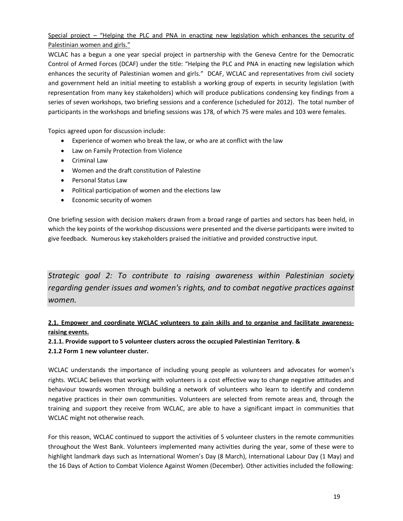## Special project – "Helping the PLC and PNA in enacting new legislation which enhances the security of Palestinian women and girls."

WCLAC has a begun a one year special project in partnership with the Geneva Centre for the Democratic Control of Armed Forces (DCAF) under the title: "Helping the PLC and PNA in enacting new legislation which enhances the security of Palestinian women and girls." DCAF, WCLAC and representatives from civil society and government held an initial meeting to establish a working group of experts in security legislation (with representation from many key stakeholders) which will produce publications condensing key findings from a series of seven workshops, two briefing sessions and a conference (scheduled for 2012). The total number of participants in the workshops and briefing sessions was 178, of which 75 were males and 103 were females.

Topics agreed upon for discussion include:

- · Experience of women who break the law, or who are at conflict with the law
- · Law on Family Protection from Violence
- · Criminal Law
- · Women and the draft constitution of Palestine
- · Personal Status Law
- · Political participation of women and the elections law
- · Economic security of women

One briefing session with decision makers drawn from a broad range of parties and sectors has been held, in which the key points of the workshop discussions were presented and the diverse participants were invited to give feedback. Numerous key stakeholders praised the initiative and provided constructive input.

*Strategic goal 2: To contribute to raising awareness within Palestinian society regarding gender issues and women's rights, and to combat negative practices against women.*

## **2.1. Empower and coordinate WCLAC volunteers to gain skills and to organise and facilitate awarenessraising events.**

**2.1.1. Provide support to 5 volunteer clusters across the occupied Palestinian Territory. & 2.1.2 Form 1 new volunteer cluster.** 

WCLAC understands the importance of including young people as volunteers and advocates for women's rights. WCLAC believes that working with volunteers is a cost effective way to change negative attitudes and behaviour towards women through building a network of volunteers who learn to identify and condemn negative practices in their own communities. Volunteers are selected from remote areas and, through the training and support they receive from WCLAC, are able to have a significant impact in communities that WCLAC might not otherwise reach.

<span id="page-18-0"></span>For this reason, WCLAC continued to support the activities of 5 volunteer clusters in the remote communities throughout the West Bank. Volunteers implemented many activities during the year, some of these were to highlight landmark days such as International Women's Day (8 March), International Labour Day (1 May) and the 16 Days of Action to Combat Violence Against Women (December). Other activities included the following: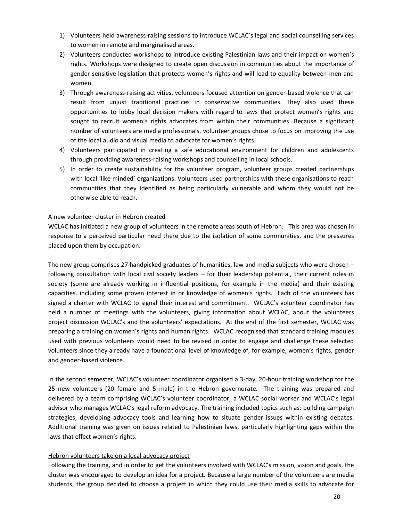- 1) Volunteers held awareness-raising sessions to introduce WCLAC's legal and social counselling services to women in remote and marginalised areas.
- 2) Volunteers conducted workshops to introduce existing Palestinian laws and their impact on women's rights. Workshops were designed to create open discussion in communities about the importance of gender-sensitive legislation that protects women's rights and will lead to equality between men and women.
- 3) Through awareness-raising activities, volunteers focused attention on gender-based violence that can result from unjust traditional practices in conservative communities. They also used these opportunities to lobby local decision makers with regard to laws that protect women's rights and sought to recruit women's rights advocates from within their communities. Because a significant number of volunteers are media professionals, volunteer groups chose to focus on improving the use of the local audio and visual media to advocate for women's rights.
- 4) Volunteers participated in creating a safe educational environment for children and adolescents through providing awareness-raising workshops and counselling in local schools.
- 5) In order to create sustainability for the volunteer program, volunteer groups created partnerships with local 'like-minded' organizations. Volunteers used partnerships with these organisations to reach communities that they identified as being particularly vulnerable and whom they would not be otherwise able to reach.

#### A new volunteer cluster in Hebron created

WCLAC has initiated a new group of volunteers in the remote areas south of Hebron. This area was chosen in response to a perceived particular need there due to the isolation of some communities, and the pressures placed upon them by occupation.

The new group comprises 27 handpicked graduates of humanities, law and media subjects who were chosen – following consultation with local civil society leaders – for their leadership potential, their current roles in society (some are already working in influential positions, for example in the media) and their existing capacities, including some proven interest in or knowledge of women's rights. Each of the volunteers has signed a charter with WCLAC to signal their interest and commitment. WCLAC's volunteer coordinator has held a number of meetings with the volunteers, giving information about WCLAC, about the volunteers project discussion WCLAC's and the volunteers' expectations. At the end of the first semester, WCLAC was preparing a training on women's rights and human rights. WCLAC recognised that standard training modules used with previous volunteers would need to be revised in order to engage and challenge these selected volunteers since they already have a foundational level of knowledge of, for example, women's rights, gender and gender-based violence.

In the second semester, WCLAC's volunteer coordinator organised a 3-day, 20-hour training workshop for the 25 new volunteers (20 female and 5 male) in the Hebron governorate. The training was prepared and delivered by a team comprising WCLAC's volunteer coordinator, a WCLAC social worker and WCLAC's legal advisor who manages WCLAC's legal reform advocacy. The training included topics such as: building campaign strategies, developing advocacy tools and learning how to situate gender issues within existing debates. Additional training was given on issues related to Palestinian laws, particularly highlighting gaps within the laws that effect women's rights.

#### Hebron volunteers take on a local advocacy project

Following the training, and in order to get the volunteers involved with WCLAC's mission, vision and goals, the cluster was encouraged to develop an idea for a project. Because a large number of the volunteers are media students, the group decided to choose a project in which they could use their media skills to advocate for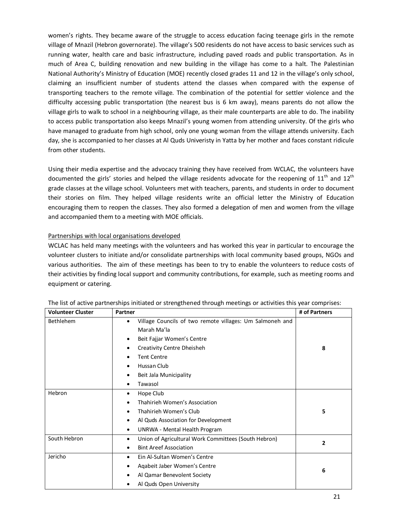women's rights. They became aware of the struggle to access education facing teenage girls in the remote village of Mnazil (Hebron governorate). The village's 500 residents do not have access to basic services such as running water, health care and basic infrastructure, including paved roads and public transportation. As in much of Area C, building renovation and new building in the village has come to a halt. The Palestinian National Authority's Ministry of Education (MOE) recently closed grades 11 and 12 in the village's only school, claiming an insufficient number of students attend the classes when compared with the expense of transporting teachers to the remote village. The combination of the potential for settler violence and the difficulty accessing public transportation (the nearest bus is 6 km away), means parents do not allow the village girls to walk to school in a neighbouring village, as their male counterparts are able to do. The inability to access public transportation also keeps Mnazil's young women from attending university. Of the girls who have managed to graduate from high school, only one young woman from the village attends university. Each day, she is accompanied to her classes at Al Quds Univeristy in Yatta by her mother and faces constant ridicule from other students.

Using their media expertise and the advocacy training they have received from WCLAC, the volunteers have documented the girls' stories and helped the village residents advocate for the reopening of  $11<sup>th</sup>$  and  $12<sup>th</sup>$ grade classes at the village school. Volunteers met with teachers, parents, and students in order to document their stories on film. They helped village residents write an official letter the Ministry of Education encouraging them to reopen the classes. They also formed a delegation of men and women from the village and accompanied them to a meeting with MOE officials.

## Partnerships with local organisations developed

WCLAC has held many meetings with the volunteers and has worked this year in particular to encourage the volunteer clusters to initiate and/or consolidate partnerships with local community based groups, NGOs and various authorities. The aim of these meetings has been to try to enable the volunteers to reduce costs of their activities by finding local support and community contributions, for example, such as meeting rooms and equipment or catering.

| <b>Volunteer Cluster</b> | Partner                                                                                                                                                                                                                      | # of Partners |
|--------------------------|------------------------------------------------------------------------------------------------------------------------------------------------------------------------------------------------------------------------------|---------------|
| Bethlehem                | Village Councils of two remote villages: Um Salmoneh and<br>٠<br>Marah Ma'la<br>Beit Fajjar Women's Centre<br>٠<br>Creativity Centre Dheisheh<br><b>Tent Centre</b><br>Hussan Club<br>Beit Jala Municipality<br>٠<br>Tawasol | 8             |
| Hebron                   | Hope Club<br>٠<br>Thahirieh Women's Association<br>Thahirieh Women's Club<br>٠<br>Al Quds Association for Development<br>UNRWA - Mental Health Program<br>٠                                                                  | 5             |
| South Hebron             | Union of Agricultural Work Committees (South Hebron)<br>٠<br><b>Bint Areef Association</b><br>٠                                                                                                                              | $\mathbf{2}$  |
| Jericho                  | Ein Al-Sultan Women's Centre<br>٠<br>Aqabeit Jaber Women's Centre<br>Al Qamar Benevolent Society<br>Al Quds Open University                                                                                                  | 6             |

| The list of active partnerships initiated or strengthened through meetings or activities this year comprises: |  |  |
|---------------------------------------------------------------------------------------------------------------|--|--|
|---------------------------------------------------------------------------------------------------------------|--|--|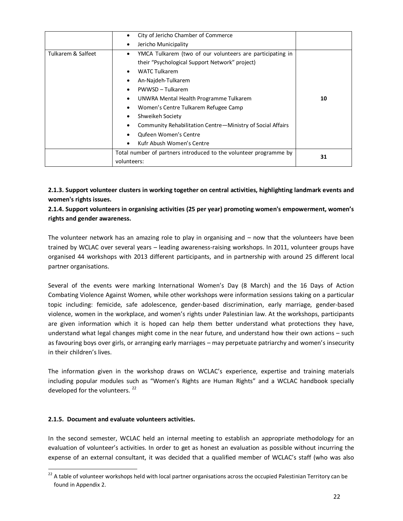|                    | City of Jericho Chamber of Commerce<br>٠                          |    |
|--------------------|-------------------------------------------------------------------|----|
|                    | Jericho Municipality<br>٠                                         |    |
| Tulkarem & Salfeet | YMCA Tulkarem (two of our volunteers are participating in<br>٠    |    |
|                    | their "Psychological Support Network" project)                    |    |
|                    | <b>WATC Tulkarem</b><br>٠                                         |    |
|                    | An-Najdeh-Tulkarem<br>٠                                           |    |
|                    | PWWSD - Tulkarem<br>٠                                             |    |
|                    | UNWRA Mental Health Programme Tulkarem<br>٠                       | 10 |
|                    | Women's Centre Tulkarem Refugee Camp<br>٠                         |    |
|                    | Shweikeh Society<br>٠                                             |    |
|                    | Community Rehabilitation Centre-Ministry of Social Affairs        |    |
|                    | <b>Qufeen Women's Centre</b>                                      |    |
|                    | Kufr Abush Women's Centre<br>٠                                    |    |
|                    | Total number of partners introduced to the volunteer programme by | 31 |
|                    | volunteers:                                                       |    |

**2.1.3. Support volunteer clusters in working together on central activities, highlighting landmark events and women's rights issues.** 

**2.1.4. Support volunteers in organising activities (25 per year) promoting women's empowerment, women's rights and gender awareness.**

The volunteer network has an amazing role to play in organising and – now that the volunteers have been trained by WCLAC over several years – leading awareness-raising workshops. In 2011, volunteer groups have organised 44 workshops with 2013 different participants, and in partnership with around 25 different local partner organisations.

Several of the events were marking International Women's Day (8 March) and the 16 Days of Action Combating Violence Against Women, while other workshops were information sessions taking on a particular topic including: femicide, safe adolescence, gender-based discrimination, early marriage, gender-based violence, women in the workplace, and women's rights under Palestinian law. At the workshops, participants are given information which it is hoped can help them better understand what protections they have, understand what legal changes might come in the near future, and understand how their own actions – such as favouring boys over girls, or arranging early marriages – may perpetuate patriarchy and women's insecurity in their children's lives.

The information given in the workshop draws on WCLAC's experience, expertise and training materials including popular modules such as "Women's Rights are Human Rights" and a WCLAC handbook specially developed for the volunteers.<sup>22</sup>

## **2.1.5. Document and evaluate volunteers activities.**

In the second semester, WCLAC held an internal meeting to establish an appropriate methodology for an evaluation of volunteer's activities. In order to get as honest an evaluation as possible without incurring the expense of an external consultant, it was decided that a qualified member of WCLAC's staff (who was also

<sup>&</sup>lt;sup>22</sup> A table of volunteer workshops held with local partner organisations across the occupied Palestinian Territory can be found in Appendix 2.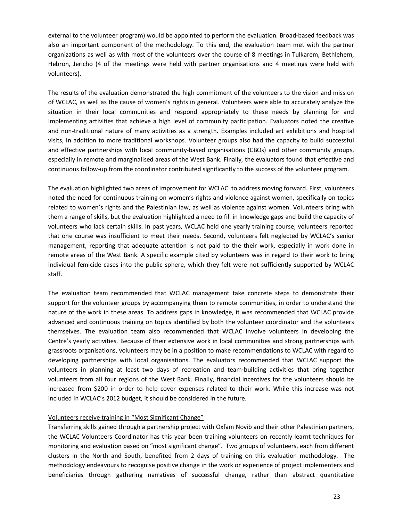external to the volunteer program) would be appointed to perform the evaluation. Broad-based feedback was also an important component of the methodology. To this end, the evaluation team met with the partner organizations as well as with most of the volunteers over the course of 8 meetings in Tulkarem, Bethlehem, Hebron, Jericho (4 of the meetings were held with partner organisations and 4 meetings were held with volunteers).

The results of the evaluation demonstrated the high commitment of the volunteers to the vision and mission of WCLAC, as well as the cause of women's rights in general. Volunteers were able to accurately analyze the situation in their local communities and respond appropriately to these needs by planning for and implementing activities that achieve a high level of community participation. Evaluators noted the creative and non-traditional nature of many activities as a strength. Examples included art exhibitions and hospital visits, in addition to more traditional workshops. Volunteer groups also had the capacity to build successful and effective partnerships with local community-based organisations (CBOs) and other community groups, especially in remote and marginalised areas of the West Bank. Finally, the evaluators found that effective and continuous follow-up from the coordinator contributed significantly to the success of the volunteer program.

The evaluation highlighted two areas of improvement for WCLAC to address moving forward. First, volunteers noted the need for continuous training on women's rights and violence against women, specifically on topics related to women's rights and the Palestinian law, as well as violence against women. Volunteers bring with them a range of skills, but the evaluation highlighted a need to fill in knowledge gaps and build the capacity of volunteers who lack certain skills. In past years, WCLAC held one yearly training course; volunteers reported that one course was insufficient to meet their needs. Second, volunteers felt neglected by WCLAC's senior management, reporting that adequate attention is not paid to the their work, especially in work done in remote areas of the West Bank. A specific example cited by volunteers was in regard to their work to bring individual femicide cases into the public sphere, which they felt were not sufficiently supported by WCLAC staff.

The evaluation team recommended that WCLAC management take concrete steps to demonstrate their support for the volunteer groups by accompanying them to remote communities, in order to understand the nature of the work in these areas. To address gaps in knowledge, it was recommended that WCLAC provide advanced and continuous training on topics identified by both the volunteer coordinator and the volunteers themselves. The evaluation team also recommended that WCLAC involve volunteers in developing the Centre's yearly activities. Because of their extensive work in local communities and strong partnerships with grassroots organisations, volunteers may be in a position to make recommendations to WCLAC with regard to developing partnerships with local organisations. The evaluators recommended that WCLAC support the volunteers in planning at least two days of recreation and team-building activities that bring together volunteers from all four regions of the West Bank. Finally, financial incentives for the volunteers should be increased from \$200 in order to help cover expenses related to their work. While this increase was not included in WCLAC's 2012 budget, it should be considered in the future.

#### Volunteers receive training in "Most Significant Change"

Transferring skills gained through a partnership project with Oxfam Novib and their other Palestinian partners, the WCLAC Volunteers Coordinator has this year been training volunteers on recently learnt techniques for monitoring and evaluation based on "most significant change". Two groups of volunteers, each from different clusters in the North and South, benefited from 2 days of training on this evaluation methodology. The methodology endeavours to recognise positive change in the work or experience of project implementers and beneficiaries through gathering narratives of successful change, rather than abstract quantitative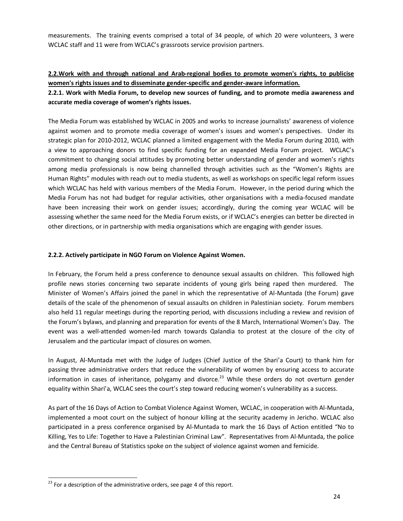measurements. The training events comprised a total of 34 people, of which 20 were volunteers, 3 were WCLAC staff and 11 were from WCLAC's grassroots service provision partners.

## **2.2.Work with and through national and Arab-regional bodies to promote women's rights, to publicise women's rights issues and to disseminate gender-specific and gender-aware information.**

## **2.2.1. Work with Media Forum, to develop new sources of funding, and to promote media awareness and accurate media coverage of women's rights issues.**

The Media Forum was established by WCLAC in 2005 and works to increase journalists' awareness of violence against women and to promote media coverage of women's issues and women's perspectives. Under its strategic plan for 2010-2012, WCLAC planned a limited engagement with the Media Forum during 2010, with a view to approaching donors to find specific funding for an expanded Media Forum project. WCLAC's commitment to changing social attitudes by promoting better understanding of gender and women's rights among media professionals is now being channelled through activities such as the "Women's Rights are Human Rights" modules with reach out to media students, as well as workshops on specific legal reform issues which WCLAC has held with various members of the Media Forum. However, in the period during which the Media Forum has not had budget for regular activities, other organisations with a media-focused mandate have been increasing their work on gender issues; accordingly, during the coming year WCLAC will be assessing whether the same need for the Media Forum exists, or if WCLAC's energies can better be directed in other directions, or in partnership with media organisations which are engaging with gender issues.

#### **2.2.2. Actively participate in NGO Forum on Violence Against Women.**

In February, the Forum held a press conference to denounce sexual assaults on children. This followed high profile news stories concerning two separate incidents of young girls being raped then murdered. The Minister of Women's Affairs joined the panel in which the representative of Al-Muntada (the Forum) gave details of the scale of the phenomenon of sexual assaults on children in Palestinian society. Forum members also held 11 regular meetings during the reporting period, with discussions including a review and revision of the Forum's bylaws, and planning and preparation for events of the 8 March, International Women's Day. The event was a well-attended women-led march towards Qalandia to protest at the closure of the city of Jerusalem and the particular impact of closures on women.

In August, Al-Muntada met with the Judge of Judges (Chief Justice of the Shari'a Court) to thank him for passing three administrative orders that reduce the vulnerability of women by ensuring access to accurate information in cases of inheritance, polygamy and divorce.<sup>23</sup> While these orders do not overturn gender equality within Shari'a, WCLAC sees the court's step toward reducing women's vulnerability as a success.

As part of the 16 Days of Action to Combat Violence Against Women, WCLAC, in cooperation with Al-Muntada, implemented a moot court on the subject of honour killing at the security academy in Jericho. WCLAC also participated in a press conference organised by Al-Muntada to mark the 16 Days of Action entitled "No to Killing, Yes to Life: Together to Have a Palestinian Criminal Law". Representatives from Al-Muntada, the police and the Central Bureau of Statistics spoke on the subject of violence against women and femicide.

 $^{23}$  For a description of the administrative orders, see page 4 of this report.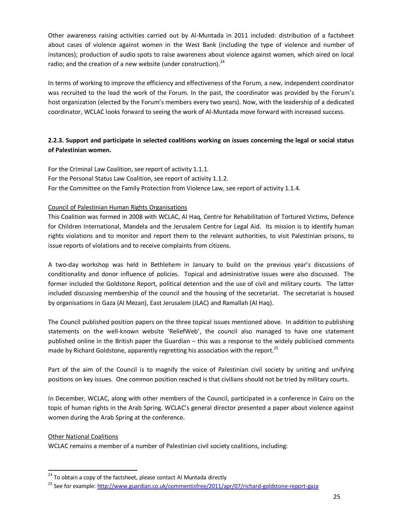Other awareness raising activities carried out by Al-Muntada in 2011 included: distribution of a factsheet about cases of violence against women in the West Bank (including the type of violence and number of instances); production of audio spots to raise awareness about violence against women, which aired on local radio; and the creation of a new website (under construction). $^{24}$ 

In terms of working to improve the efficiency and effectiveness of the Forum, a new, independent coordinator was recruited to the lead the work of the Forum. In the past, the coordinator was provided by the Forum's host organization (elected by the Forum's members every two years). Now, with the leadership of a dedicated coordinator, WCLAC looks forward to seeing the work of Al-Muntada move forward with increased success.

## **2.2.3. Support and participate in selected coalitions working on issues concerning the legal or social status of Palestinian women.**

For the Criminal Law Coalition, see report of activity 1.1.1. For the Personal Status Law Coalition, see report of activity 1.1.2. For the Committee on the Family Protection from Violence Law, see report of activity 1.1.4.

## Council of Palestinian Human Rights Organisations

This Coalition was formed in 2008 with WCLAC, Al Haq, Centre for Rehabilitation of Tortured Victims, Defence for Children International, Mandela and the Jerusalem Centre for Legal Aid. Its mission is to identify human rights violations and to monitor and report them to the relevant authorities, to visit Palestinian prisons, to issue reports of violations and to receive complaints from citizens.

A two-day workshop was held in Bethlehem in January to build on the previous year's discussions of conditionality and donor influence of policies. Topical and administrative issues were also discussed. The former included the Goldstone Report, political detention and the use of civil and military courts. The latter included discussing membership of the council and the housing of the secretariat. The secretariat is housed by organisations in Gaza (Al Mezan), East Jerusalem (JLAC) and Ramallah (Al Haq).

The Council published position papers on the three topical issues mentioned above. In addition to publishing statements on the well-known website 'ReliefWeb', the council also managed to have one statement published online in the British paper the Guardian – this was a response to the widely publicised comments made by Richard Goldstone, apparently regretting his association with the report.<sup>25</sup>

Part of the aim of the Council is to magnify the voice of Palestinian civil society by uniting and unifying positions on key issues. One common position reached is that civilians should not be tried by military courts.

In December, WCLAC, along with other members of the Council, participated in a conference in Cairo on the topic of human rights in the Arab Spring. WCLAC's general director presented a paper about violence against women during the Arab Spring at the conference.

## Other National Coalitions

WCLAC remains a member of a number of Palestinian civil society coalitions, including:

 $24$  To obtain a copy of the factsheet, please contact Al Muntada directly

<sup>&</sup>lt;sup>25</sup> See for example: http://www.guardian.co.uk/commentisfree/2011/apr/07/richard-goldstone-report-gaza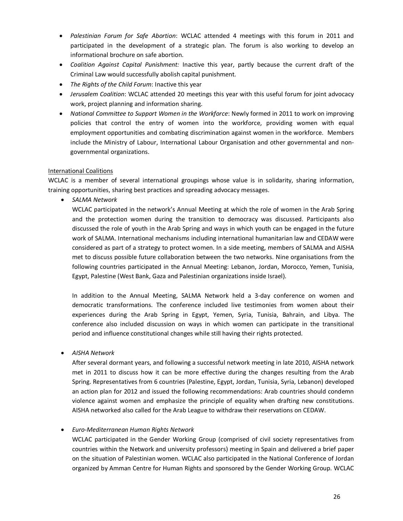- · *Palestinian Forum for Safe Abortion*: WCLAC attended 4 meetings with this forum in 2011 and participated in the development of a strategic plan. The forum is also working to develop an informational brochure on safe abortion.
- · *Coalition Against Capital Punishment:* Inactive this year, partly because the current draft of the Criminal Law would successfully abolish capital punishment.
- · *The Rights of the Child Forum*: Inactive this year
- · *Jerusalem Coalition*: WCLAC attended 20 meetings this year with this useful forum for joint advocacy work, project planning and information sharing.
- · *National Committee to Support Women in the Workforce*: Newly formed in 2011 to work on improving policies that control the entry of women into the workforce, providing women with equal employment opportunities and combating discrimination against women in the workforce. Members include the Ministry of Labour, International Labour Organisation and other governmental and nongovernmental organizations.

#### International Coalitions

WCLAC is a member of several international groupings whose value is in solidarity, sharing information, training opportunities, sharing best practices and spreading advocacy messages.

· *SALMA Network*

WCLAC participated in the network's Annual Meeting at which the role of women in the Arab Spring and the protection women during the transition to democracy was discussed. Participants also discussed the role of youth in the Arab Spring and ways in which youth can be engaged in the future work of SALMA. International mechanisms including international humanitarian law and CEDAW were considered as part of a strategy to protect women. In a side meeting, members of SALMA and AISHA met to discuss possible future collaboration between the two networks. Nine organisations from the following countries participated in the Annual Meeting: Lebanon, Jordan, Morocco, Yemen, Tunisia, Egypt, Palestine (West Bank, Gaza and Palestinian organizations inside Israel).

In addition to the Annual Meeting, SALMA Network held a 3-day conference on women and democratic transformations. The conference included live testimonies from women about their experiences during the Arab Spring in Egypt, Yemen, Syria, Tunisia, Bahrain, and Libya. The conference also included discussion on ways in which women can participate in the transitional period and influence constitutional changes while still having their rights protected.

· *AISHA Network* 

After several dormant years, and following a successful network meeting in late 2010, AISHA network met in 2011 to discuss how it can be more effective during the changes resulting from the Arab Spring. Representatives from 6 countries (Palestine, Egypt, Jordan, Tunisia, Syria, Lebanon) developed an action plan for 2012 and issued the following recommendations: Arab countries should condemn violence against women and emphasize the principle of equality when drafting new constitutions. AISHA networked also called for the Arab League to withdraw their reservations on CEDAW.

## · *Euro-Mediterranean Human Rights Network*

WCLAC participated in the Gender Working Group (comprised of civil society representatives from countries within the Network and university professors) meeting in Spain and delivered a brief paper on the situation of Palestinian women. WCLAC also participated in the National Conference of Jordan organized by Amman Centre for Human Rights and sponsored by the Gender Working Group. WCLAC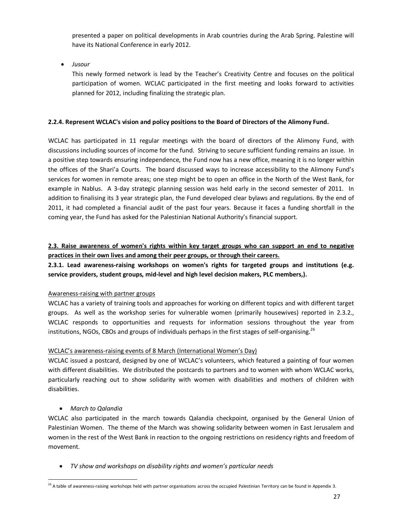presented a paper on political developments in Arab countries during the Arab Spring. Palestine will have its National Conference in early 2012.

· *Jusour* 

This newly formed network is lead by the Teacher's Creativity Centre and focuses on the political participation of women. WCLAC participated in the first meeting and looks forward to activities planned for 2012, including finalizing the strategic plan.

## **2.2.4. Represent WCLAC's vision and policy positions to the Board of Directors of the Alimony Fund.**

WCLAC has participated in 11 regular meetings with the board of directors of the Alimony Fund, with discussions including sources of income for the fund. Striving to secure sufficient funding remains an issue. In a positive step towards ensuring independence, the Fund now has a new office, meaning it is no longer within the offices of the Shari'a Courts. The board discussed ways to increase accessibility to the Alimony Fund's services for women in remote areas; one step might be to open an office in the North of the West Bank, for example in Nablus. A 3-day strategic planning session was held early in the second semester of 2011. In addition to finalising its 3 year strategic plan, the Fund developed clear bylaws and regulations. By the end of 2011, it had completed a financial audit of the past four years. Because it faces a funding shortfall in the coming year, the Fund has asked for the Palestinian National Authority's financial support.

**2.3. Raise awareness of women's rights within key target groups who can support an end to negative practices in their own lives and among their peer groups, or through their careers.**

**2.3.1. Lead awareness-raising workshops on women's rights for targeted groups and institutions (e.g. service providers, student groups, mid-level and high level decision makers, PLC members,).**

## Awareness-raising with partner groups

WCLAC has a variety of training tools and approaches for working on different topics and with different target groups. As well as the workshop series for vulnerable women (primarily housewives) reported in 2.3.2., WCLAC responds to opportunities and requests for information sessions throughout the year from institutions, NGOs, CBOs and groups of individuals perhaps in the first stages of self-organising.<sup>26</sup>

## WCLAC's awareness-raising events of 8 March (International Women's Day)

WCLAC issued a postcard, designed by one of WCLAC's volunteers, which featured a painting of four women with different disabilities. We distributed the postcards to partners and to women with whom WCLAC works, particularly reaching out to show solidarity with women with disabilities and mothers of children with disabilities.

## · *March to Qalandia*

WCLAC also participated in the march towards Qalandia checkpoint, organised by the General Union of Palestinian Women. The theme of the March was showing solidarity between women in East Jerusalem and women in the rest of the West Bank in reaction to the ongoing restrictions on residency rights and freedom of movement.

· *TV show and workshops on disability rights and women's particular needs* 

<sup>&</sup>lt;sup>26</sup> A table of awareness-raising workshops held with partner organisations across the occupied Palestinian Territory can be found in Appendix 3.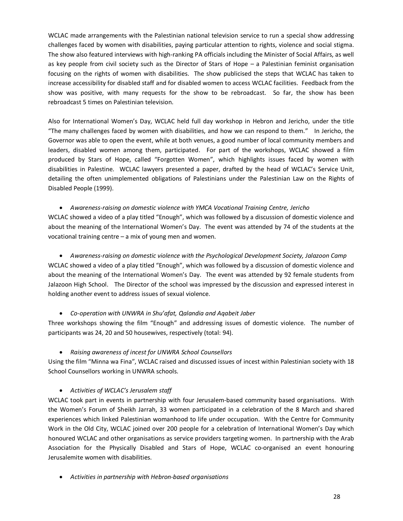WCLAC made arrangements with the Palestinian national television service to run a special show addressing challenges faced by women with disabilities, paying particular attention to rights, violence and social stigma. The show also featured interviews with high-ranking PA officials including the Minister of Social Affairs, as well as key people from civil society such as the Director of Stars of Hope – a Palestinian feminist organisation focusing on the rights of women with disabilities. The show publicised the steps that WCLAC has taken to increase accessibility for disabled staff and for disabled women to access WCLAC facilities. Feedback from the show was positive, with many requests for the show to be rebroadcast. So far, the show has been rebroadcast 5 times on Palestinian television.

Also for International Women's Day, WCLAC held full day workshop in Hebron and Jericho, under the title "The many challenges faced by women with disabilities, and how we can respond to them." In Jericho, the Governor was able to open the event, while at both venues, a good number of local community members and leaders, disabled women among them, participated. For part of the workshops, WCLAC showed a film produced by Stars of Hope, called "Forgotten Women", which highlights issues faced by women with disabilities in Palestine. WCLAC lawyers presented a paper, drafted by the head of WCLAC's Service Unit, detailing the often unimplemented obligations of Palestinians under the Palestinian Law on the Rights of Disabled People (1999).

## · *Awareness-raising on domestic violence with YMCA Vocational Training Centre, Jericho*

WCLAC showed a video of a play titled "Enough", which was followed by a discussion of domestic violence and about the meaning of the International Women's Day. The event was attended by 74 of the students at the vocational training centre – a mix of young men and women.

· *Awareness-raising on domestic violence with the Psychological Development Society, Jalazoon Camp* WCLAC showed a video of a play titled "Enough", which was followed by a discussion of domestic violence and about the meaning of the International Women's Day. The event was attended by 92 female students from Jalazoon High School. The Director of the school was impressed by the discussion and expressed interest in holding another event to address issues of sexual violence.

## · *Co-operation with UNWRA in Shu'afat, Qalandia and Aqabeit Jaber*

Three workshops showing the film "Enough" and addressing issues of domestic violence. The number of participants was 24, 20 and 50 housewives, respectively (total: 94).

## · *Raising awareness of incest for UNWRA School Counsellors*

Using the film "Minna wa Fina", WCLAC raised and discussed issues of incest within Palestinian society with 18 School Counsellors working in UNWRA schools.

## · *Activities of WCLAC's Jerusalem staff*

WCLAC took part in events in partnership with four Jerusalem-based community based organisations. With the Women's Forum of Sheikh Jarrah, 33 women participated in a celebration of the 8 March and shared experiences which linked Palestinian womanhood to life under occupation. With the Centre for Community Work in the Old City, WCLAC joined over 200 people for a celebration of International Women's Day which honoured WCLAC and other organisations as service providers targeting women. In partnership with the Arab Association for the Physically Disabled and Stars of Hope, WCLAC co-organised an event honouring Jerusalemite women with disabilities.

· *Activities in partnership with Hebron-based organisations*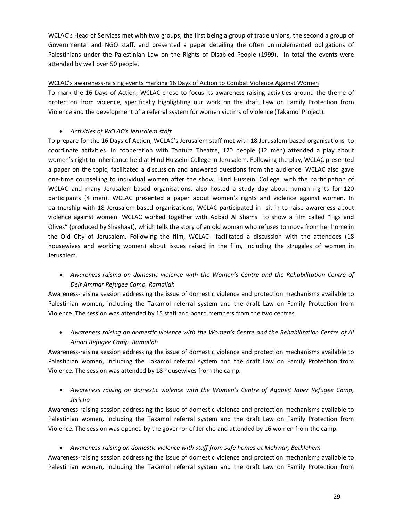WCLAC's Head of Services met with two groups, the first being a group of trade unions, the second a group of Governmental and NGO staff, and presented a paper detailing the often unimplemented obligations of Palestinians under the Palestinian Law on the Rights of Disabled People (1999). In total the events were attended by well over 50 people.

## WCLAC's awareness-raising events marking 16 Days of Action to Combat Violence Against Women

To mark the 16 Days of Action, WCLAC chose to focus its awareness-raising activities around the theme of protection from violence, specifically highlighting our work on the draft Law on Family Protection from Violence and the development of a referral system for women victims of violence (Takamol Project).

## · *Activities of WCLAC's Jerusalem staff*

To prepare for the 16 Days of Action, WCLAC's Jerusalem staff met with 18 Jerusalem-based organisations to coordinate activities. In cooperation with Tantura Theatre, 120 people (12 men) attended a play about women's right to inheritance held at Hind Husseini College in Jerusalem. Following the play, WCLAC presented a paper on the topic, facilitated a discussion and answered questions from the audience. WCLAC also gave one-time counselling to individual women after the show. Hind Husseini College, with the participation of WCLAC and many Jerusalem-based organisations, also hosted a study day about human rights for 120 participants (4 men). WCLAC presented a paper about women's rights and violence against women. In partnership with 18 Jerusalem-based organisations, WCLAC participated in sit-in to raise awareness about violence against women. WCLAC worked together with Abbad Al Shams to show a film called "Figs and Olives" (produced by Shashaat), which tells the story of an old woman who refuses to move from her home in the Old City of Jerusalem. Following the film, WCLAC facilitated a discussion with the attendees (18 housewives and working women) about issues raised in the film, including the struggles of women in Jerusalem.

· *Awareness-raising on domestic violence with the Women's Centre and the Rehabilitation Centre of Deir Ammar Refugee Camp, Ramallah*

Awareness-raising session addressing the issue of domestic violence and protection mechanisms available to Palestinian women, including the Takamol referral system and the draft Law on Family Protection from Violence. The session was attended by 15 staff and board members from the two centres.

· *Awareness raising on domestic violence with the Women's Centre and the Rehabilitation Centre of Al Amari Refugee Camp, Ramallah*

Awareness-raising session addressing the issue of domestic violence and protection mechanisms available to Palestinian women, including the Takamol referral system and the draft Law on Family Protection from Violence. The session was attended by 18 housewives from the camp.

· *Awareness raising on domestic violence with the Women's Centre of Aqabeit Jaber Refugee Camp, Jericho*

Awareness-raising session addressing the issue of domestic violence and protection mechanisms available to Palestinian women, including the Takamol referral system and the draft Law on Family Protection from Violence. The session was opened by the governor of Jericho and attended by 16 women from the camp.

· *Awareness-raising on domestic violence with staff from safe homes at Mehwar, Bethlehem*

Awareness-raising session addressing the issue of domestic violence and protection mechanisms available to Palestinian women, including the Takamol referral system and the draft Law on Family Protection from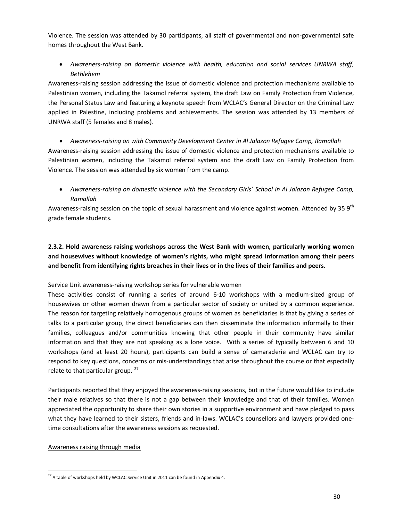Violence. The session was attended by 30 participants, all staff of governmental and non-governmental safe homes throughout the West Bank.

· *Awareness-raising on domestic violence with health, education and social services UNRWA staff, Bethlehem*

Awareness-raising session addressing the issue of domestic violence and protection mechanisms available to Palestinian women, including the Takamol referral system, the draft Law on Family Protection from Violence, the Personal Status Law and featuring a keynote speech from WCLAC's General Director on the Criminal Law applied in Palestine, including problems and achievements. The session was attended by 13 members of UNRWA staff (5 females and 8 males).

· *Awareness-raising on with Community Development Center in Al Jalazon Refugee Camp, Ramallah* Awareness-raising session addressing the issue of domestic violence and protection mechanisms available to Palestinian women, including the Takamol referral system and the draft Law on Family Protection from Violence. The session was attended by six women from the camp.

· *Awareness-raising on domestic violence with the Secondary Girls' School in Al Jalazon Refugee Camp, Ramallah*

Awareness-raising session on the topic of sexual harassment and violence against women. Attended by 35 9<sup>th</sup> grade female students.

**2.3.2. Hold awareness raising workshops across the West Bank with women, particularly working women and housewives without knowledge of women's rights, who might spread information among their peers and benefit from identifying rights breaches in their lives or in the lives of their families and peers.**

#### Service Unit awareness-raising workshop series for vulnerable women

These activities consist of running a series of around 6-10 workshops with a medium-sized group of housewives or other women drawn from a particular sector of society or united by a common experience. The reason for targeting relatively homogenous groups of women as beneficiaries is that by giving a series of talks to a particular group, the direct beneficiaries can then disseminate the information informally to their families, colleagues and/or communities knowing that other people in their community have similar information and that they are not speaking as a lone voice. With a series of typically between 6 and 10 workshops (and at least 20 hours), participants can build a sense of camaraderie and WCLAC can try to respond to key questions, concerns or mis-understandings that arise throughout the course or that especially relate to that particular group.  $27$ 

Participants reported that they enjoyed the awareness-raising sessions, but in the future would like to include their male relatives so that there is not a gap between their knowledge and that of their families. Women appreciated the opportunity to share their own stories in a supportive environment and have pledged to pass what they have learned to their sisters, friends and in-laws. WCLAC's counsellors and lawyers provided onetime consultations after the awareness sessions as requested.

#### Awareness raising through media

 $27$  A table of workshops held by WCLAC Service Unit in 2011 can be found in Appendix 4.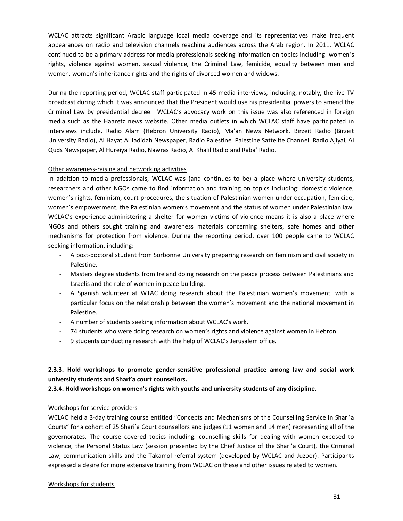WCLAC attracts significant Arabic language local media coverage and its representatives make frequent appearances on radio and television channels reaching audiences across the Arab region. In 2011, WCLAC continued to be a primary address for media professionals seeking information on topics including: women's rights, violence against women, sexual violence, the Criminal Law, femicide, equality between men and women, women's inheritance rights and the rights of divorced women and widows.

During the reporting period, WCLAC staff participated in 45 media interviews, including, notably, the live TV broadcast during which it was announced that the President would use his presidential powers to amend the Criminal Law by presidential decree. WCLAC's advocacy work on this issue was also referenced in foreign media such as the Haaretz news website. Other media outlets in which WCLAC staff have participated in interviews include, Radio Alam (Hebron University Radio), Ma'an News Network, Birzeit Radio (Birzeit University Radio), Al Hayat Al Jadidah Newspaper, Radio Palestine, Palestine Sattelite Channel, Radio Ajiyal, Al Quds Newspaper, Al Hureiya Radio, Nawras Radio, Al Khalil Radio and Raba' Radio.

#### Other awareness-raising and networking activities

In addition to media professionals, WCLAC was (and continues to be) a place where university students, researchers and other NGOs came to find information and training on topics including: domestic violence, women's rights, feminism, court procedures, the situation of Palestinian women under occupation, femicide, women's empowerment, the Palestinian women's movement and the status of women under Palestinian law. WCLAC's experience administering a shelter for women victims of violence means it is also a place where NGOs and others sought training and awareness materials concerning shelters, safe homes and other mechanisms for protection from violence. During the reporting period, over 100 people came to WCLAC seeking information, including:

- A post-doctoral student from Sorbonne University preparing research on feminism and civil society in Palestine.
- Masters degree students from Ireland doing research on the peace process between Palestinians and Israelis and the role of women in peace-building.
- A Spanish volunteer at WTAC doing research about the Palestinian women's movement, with a particular focus on the relationship between the women's movement and the national movement in Palestine.
- A number of students seeking information about WCLAC's work.
- 74 students who were doing research on women's rights and violence against women in Hebron.
- 9 students conducting research with the help of WCLAC's Jerusalem office.

## **2.3.3. Hold workshops to promote gender-sensitive professional practice among law and social work university students and Shari'a court counsellors.**

**2.3.4. Hold workshops on women's rights with youths and university students of any discipline.**

#### Workshops for service providers

WCLAC held a 3-day training course entitled "Concepts and Mechanisms of the Counselling Service in Shari'a Courts" for a cohort of 25 Shari'a Court counsellors and judges (11 women and 14 men) representing all of the governorates. The course covered topics including: counselling skills for dealing with women exposed to violence, the Personal Status Law (session presented by the Chief Justice of the Shari'a Court), the Criminal Law, communication skills and the Takamol referral system (developed by WCLAC and Juzoor). Participants expressed a desire for more extensive training from WCLAC on these and other issues related to women.

#### Workshops for students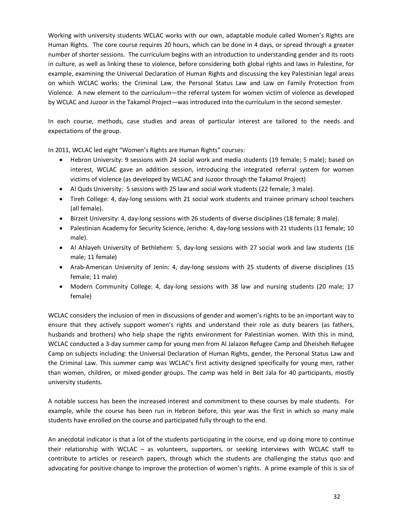Working with university students WCLAC works with our own, adaptable module called Women's Rights are Human Rights. The core course requires 20 hours, which can be done in 4 days, or spread through a greater number of shorter sessions. The curriculum begins with an introduction to understanding gender and its roots in culture, as well as linking these to violence, before considering both global rights and laws in Palestine, for example, examining the Universal Declaration of Human Rights and discussing the key Palestinian legal areas on which WCLAC works: the Criminal Law, the Personal Status Law and Law on Family Protection from Violence. A new element to the curriculum—the referral system for women victim of violence as developed by WCLAC and Juzoor in the Takamol Project—was introduced into the curriculum in the second semester.

In each course, methods, case studies and areas of particular interest are tailored to the needs and expectations of the group.

In 2011, WCLAC led eight "Women's Rights are Human Rights" courses:

- · Hebron University: 9 sessions with 24 social work and media students (19 female; 5 male); based on interest, WCLAC gave an addition session, introducing the integrated referral system for women victims of violence (as developed by WCLAC and Juzoor through the Takamol Project)
- · Al Quds University: 5 sessions with 25 law and social work students (22 female; 3 male).
- · Tireh College: 4, day-long sessions with 21 social work students and trainee primary school teachers (all female).
- · Birzeit University: 4, day-long sessions with 26 students of diverse disciplines (18 female; 8 male).
- · Palestinian Academy for Security Science, Jericho: 4, day-long sessions with 21 students (11 female; 10 male).
- Al Ahlayeh University of Bethlehem: 5, day-long sessions with 27 social work and law students (16 male; 11 female)
- · Arab-American University of Jenin: 4, day-long sessions with 25 students of diverse disciplines (15 female; 11 male)
- · Modern Community College: 4, day-long sessions with 38 law and nursing students (20 male; 17 female)

WCLAC considers the inclusion of men in discussions of gender and women's rights to be an important way to ensure that they actively support women's rights and understand their role as duty bearers (as fathers, husbands and brothers) who help shape the rights environment for Palestinian women. With this in mind, WCLAC conducted a 3-day summer camp for young men from Al Jalazon Refugee Camp and Dheisheh Refugee Camp on subjects including: the Universal Declaration of Human Rights, gender, the Personal Status Law and the Criminal Law. This summer camp was WCLAC's first activity designed specifically for young men, rather than women, children, or mixed-gender groups. The camp was held in Beit Jala for 40 participants, mostly university students.

A notable success has been the increased interest and commitment to these courses by male students. For example, while the course has been run in Hebron before, this year was the first in which so many male students have enrolled on the course and participated fully through to the end.

An anecdotal indicator is that a lot of the students participating in the course, end up doing more to continue their relationship with WCLAC – as volunteers, supporters, or seeking interviews with WCLAC staff to contribute to articles or research papers, through which the students are challenging the status quo and advocating for positive change to improve the protection of women's rights. A prime example of this is six of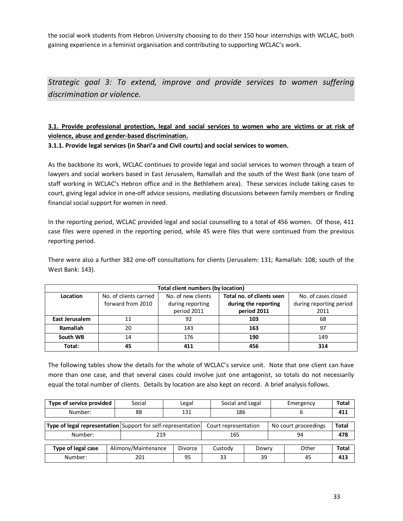the social work students from Hebron University choosing to do their 150 hour internships with WCLAC, both gaining experience in a feminist organisation and contributing to supporting WCLAC's work.

*Strategic goal 3: To extend, improve and provide services to women suffering discrimination or violence.*

## **3.1. Provide professional protection, legal and social services to women who are victims or at risk of violence, abuse and gender-based discrimination.**

**3.1.1. Provide legal services (in Shari'a and Civil courts) and social services to women.**

As the backbone its work, WCLAC continues to provide legal and social services to women through a team of lawyers and social workers based in East Jerusalem, Ramallah and the south of the West Bank (one team of staff working in WCLAC's Hebron office and in the Bethlehem area). These services include taking cases to court, giving legal advice in one-off advice sessions, mediating discussions between family members or finding financial social support for women in need.

In the reporting period, WCLAC provided legal and social counselling to a total of 456 women. Of those, 411 case files were opened in the reporting period, while 45 were files that were continued from the previous reporting period.

There were also a further 382 one-off consultations for clients (Jerusalem: 131; Ramallah: 108; south of the West Bank: 143).

| Total client numbers (by location) |                                                                           |                  |                      |                         |  |  |  |  |  |  |
|------------------------------------|---------------------------------------------------------------------------|------------------|----------------------|-------------------------|--|--|--|--|--|--|
| Location                           | Total no. of clients seen<br>No. of new clients<br>No. of clients carried |                  |                      |                         |  |  |  |  |  |  |
|                                    | forward from 2010                                                         | during reporting | during the reporting | during reporting period |  |  |  |  |  |  |
|                                    |                                                                           | period 2011      | period 2011          | 2011                    |  |  |  |  |  |  |
| East Jerusalem                     | 11                                                                        | 92               | 103                  | 68                      |  |  |  |  |  |  |
| Ramallah                           | 20                                                                        | 143              | 163                  | 97                      |  |  |  |  |  |  |
| South WB                           | 14                                                                        | 176              | 190                  | 149                     |  |  |  |  |  |  |
| Total:                             | 45                                                                        | 411              | 456                  | 314                     |  |  |  |  |  |  |

The following tables show the details for the whole of WCLAC's service unit. Note that one client can have more than one case, and that several cases could involve just one antagonist, so totals do not necessarily equal the total number of clients. Details by location are also kept on record. A brief analysis follows.

<span id="page-32-0"></span>

| Type of service provided                                     | Social              | Legal   | Social and Legal     |       |                      | Emergency | <b>Total</b> |
|--------------------------------------------------------------|---------------------|---------|----------------------|-------|----------------------|-----------|--------------|
| Number:                                                      | 88                  | 131     | 186                  |       |                      |           | 411          |
| Type of legal representation Support for self-representation |                     |         | Court representation |       | No court proceedings |           | <b>Total</b> |
| Number:                                                      |                     | 219     |                      |       | 94                   |           | 478          |
| Type of legal case                                           | Alimony/Maintenance | Divorce |                      | Dowry |                      | Other     | <b>Total</b> |
| Number:                                                      | 201                 | 95      | 33                   | 39    | 45                   |           | 413          |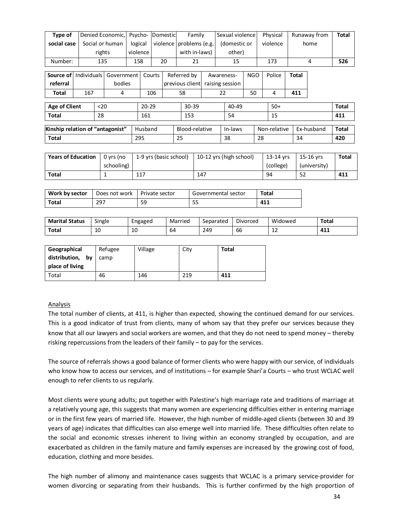| Type of                   |                                  |        | Denied Economic,          | Psycho-  |                    |                | Domestic               |           | Family          |                     |              | Sexual violence         |            |              | Physical               |              |    | Runaway from              | <b>Total</b> |  |
|---------------------------|----------------------------------|--------|---------------------------|----------|--------------------|----------------|------------------------|-----------|-----------------|---------------------|--------------|-------------------------|------------|--------------|------------------------|--------------|----|---------------------------|--------------|--|
| social case               |                                  |        | Social or human           | logical  |                    |                | violence               |           | problems (e.g.  |                     | (domestic or |                         |            |              | violence<br>home       |              |    |                           |              |  |
|                           |                                  | rights |                           | violence |                    |                |                        |           | with in-laws)   |                     |              | other)                  |            |              |                        |              |    |                           |              |  |
| Number:                   |                                  | 135    |                           |          | 158                |                | 20                     |           | 21              |                     |              | 15                      |            |              | 173                    |              |    | 4                         | 526          |  |
| Source of                 | <b>Individuals</b>               |        | Government                |          |                    | Courts         |                        |           | Referred by     |                     |              | Awareness-              | <b>NGO</b> |              | Police                 | <b>Total</b> |    |                           |              |  |
| referral                  |                                  |        | bodies                    |          |                    |                |                        |           | previous client |                     |              | raising session         |            |              |                        |              |    |                           |              |  |
| <b>Total</b>              | 167                              |        | 4                         |          |                    | 106            |                        | 58        |                 |                     | 22           |                         | 50         |              | 4                      | 411          |    |                           |              |  |
| <b>Age of Client</b>      |                                  | $20$   |                           |          | $20 - 29$<br>30-39 |                |                        | 40-49     |                 | $50+$               |              |                         |            | <b>Total</b> |                        |              |    |                           |              |  |
| Total                     |                                  | 28     |                           |          | 161                |                |                        | 54<br>153 |                 |                     | 15           |                         |            | 411          |                        |              |    |                           |              |  |
|                           | Kinship relation of "antagonist" |        |                           | Husband  |                    | Blood-relative |                        |           | In-laws         |                     |              | Non-relative            |            |              | Ex-husband             | <b>Total</b> |    |                           |              |  |
| <b>Total</b>              |                                  |        |                           |          | 295                |                |                        | 25        |                 |                     |              | 38                      |            | 28           |                        |              | 34 |                           | 420          |  |
|                           |                                  |        |                           |          |                    |                |                        |           |                 |                     |              |                         |            |              |                        |              |    |                           |              |  |
| <b>Years of Education</b> |                                  |        | $0$ yrs (no<br>schooling) |          |                    |                | 1-9 yrs (basic school) |           |                 |                     |              | 10-12 yrs (high school) |            |              | 13-14 yrs<br>(college) |              |    | 15-16 yrs<br>(university) | <b>Total</b> |  |
| <b>Total</b>              |                                  |        | 1                         |          | 117                |                | 147                    |           |                 |                     | 94           |                         | 52         |              | 411                    |              |    |                           |              |  |
|                           |                                  |        |                           |          |                    |                |                        |           |                 |                     |              |                         |            |              |                        |              |    |                           |              |  |
| Work by sector            |                                  |        | Does not work             |          | Private sector     |                |                        |           |                 | Governmental sector |              | <b>Total</b>            |            |              |                        |              |    |                           |              |  |
| <b>Total</b>              |                                  | 297    |                           |          | 59                 |                |                        |           | 55              |                     |              |                         |            | 411          |                        |              |    |                           |              |  |

| <b>Marital Status</b> | $\sim$<br>Single     | Engaged | Married                        | Separated | Divorced     | Widowed | Total |
|-----------------------|----------------------|---------|--------------------------------|-----------|--------------|---------|-------|
| Total                 | 1 <sup>c</sup><br>τu | 10      | $\overline{\phantom{0}}$<br>64 | 249       | $\sim$<br>bb | --      | 411   |

| Geographical        | Refugee | Village | City | <b>Total</b> |
|---------------------|---------|---------|------|--------------|
| distribution,<br>bv | camp    |         |      |              |
| place of living     |         |         |      |              |
| Total               | 46      | 146     | 219  | 411          |

## **Analysis**

The total number of clients, at 411, is higher than expected, showing the continued demand for our services. This is a good indicator of trust from clients, many of whom say that they prefer our services because they know that all our lawyers and social workers are women, and that they do not need to spend money – thereby risking repercussions from the leaders of their family – to pay for the services.

The source of referrals shows a good balance of former clients who were happy with our service, of individuals who know how to access our services, and of institutions – for example Shari'a Courts – who trust WCLAC well enough to refer clients to us regularly.

Most clients were young adults; put together with Palestine's high marriage rate and traditions of marriage at a relatively young age, this suggests that many women are experiencing difficulties either in entering marriage or in the first few years of married life. However, the high number of middle-aged clients (between 30 and 39 years of age) indicates that difficulties can also emerge well into married life. These difficulties often relate to the social and economic stresses inherent to living within an economy strangled by occupation, and are exacerbated as children in the family mature and family expenses are increased by the growing cost of food, education, clothing and more besides.

The high number of alimony and maintenance cases suggests that WCLAC is a primary service-provider for women divorcing or separating from their husbands. This is further confirmed by the high proportion of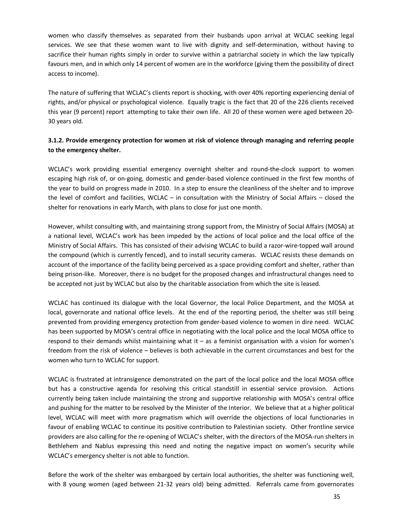women who classify themselves as separated from their husbands upon arrival at WCLAC seeking legal services. We see that these women want to live with dignity and self-determination, without having to sacrifice their human rights simply in order to survive within a patriarchal society in which the law typically favours men, and in which only 14 percent of women are in the workforce (giving them the possibility of direct access to income).

The nature of suffering that WCLAC's clients report is shocking, with over 40% reporting experiencing denial of rights, and/or physical or psychological violence. Equally tragic is the fact that 20 of the 226 clients received this year (9 percent) report attempting to take their own life. All 20 of these women were aged between 20- 30 years old.

## **3.1.2. Provide emergency protection for women at risk of violence through managing and referring people to the emergency shelter.**

WCLAC's work providing essential emergency overnight shelter and round-the-clock support to women escaping high risk of, or on-going, domestic and gender-based violence continued in the first few months of the year to build on progress made in 2010. In a step to ensure the cleanliness of the shelter and to improve the level of comfort and facilities, WCLAC – in consultation with the Ministry of Social Affairs – closed the shelter for renovations in early March, with plans to close for just one month.

However, whilst consulting with, and maintaining strong support from, the Ministry of Social Affairs (MOSA) at a national level, WCLAC's work has been impeded by the actions of local police and the local office of the Ministry of Social Affairs. This has consisted of their advising WCLAC to build a razor-wire-topped wall around the compound (which is currently fenced), and to install security cameras. WCLAC resists these demands on account of the importance of the facility being perceived as a space providing comfort and shelter, rather than being prison-like. Moreover, there is no budget for the proposed changes and infrastructural changes need to be accepted not just by WCLAC but also by the charitable association from which the site is leased.

WCLAC has continued its dialogue with the local Governor, the local Police Department, and the MOSA at local, governorate and national office levels. At the end of the reporting period, the shelter was still being prevented from providing emergency protection from gender-based violence to women in dire need. WCLAC has been supported by MOSA's central office in negotiating with the local police and the local MOSA office to respond to their demands whilst maintaining what it – as a feminist organisation with a vision for women's freedom from the risk of violence – believes is both achievable in the current circumstances and best for the women who turn to WCLAC for support.

WCLAC is frustrated at intransigence demonstrated on the part of the local police and the local MOSA office but has a constructive agenda for resolving this critical standstill in essential service provision. Actions currently being taken include maintaining the strong and supportive relationship with MOSA's central office and pushing for the matter to be resolved by the Minister of the Interior. We believe that at a higher political level, WCLAC will meet with more pragmatism which will override the objections of local functionaries in favour of enabling WCLAC to continue its positive contribution to Palestinian society. Other frontline service providers are also calling for the re-opening of WCLAC's shelter, with the directors of the MOSA-run shelters in Bethlehem and Nablus expressing this need and noting the negative impact on women's security while WCLAC's emergency shelter is not able to function.

Before the work of the shelter was embargoed by certain local authorities, the shelter was functioning well, with 8 young women (aged between 21-32 years old) being admitted. Referrals came from governorates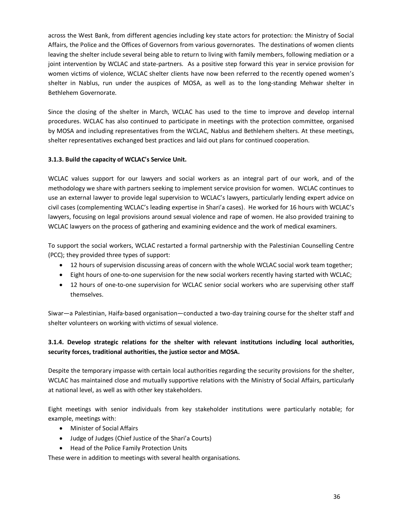across the West Bank, from different agencies including key state actors for protection: the Ministry of Social Affairs, the Police and the Offices of Governors from various governorates. The destinations of women clients leaving the shelter include several being able to return to living with family members, following mediation or a joint intervention by WCLAC and state-partners. As a positive step forward this year in service provision for women victims of violence, WCLAC shelter clients have now been referred to the recently opened women's shelter in Nablus, run under the auspices of MOSA, as well as to the long-standing Mehwar shelter in Bethlehem Governorate.

Since the closing of the shelter in March, WCLAC has used to the time to improve and develop internal procedures. WCLAC has also continued to participate in meetings with the protection committee, organised by MOSA and including representatives from the WCLAC, Nablus and Bethlehem shelters. At these meetings, shelter representatives exchanged best practices and laid out plans for continued cooperation.

## **3.1.3. Build the capacity of WCLAC's Service Unit.**

WCLAC values support for our lawyers and social workers as an integral part of our work, and of the methodology we share with partners seeking to implement service provision for women. WCLAC continues to use an external lawyer to provide legal supervision to WCLAC's lawyers, particularly lending expert advice on civil cases (complementing WCLAC's leading expertise in Shari'a cases). He worked for 16 hours with WCLAC's lawyers, focusing on legal provisions around sexual violence and rape of women. He also provided training to WCLAC lawyers on the process of gathering and examining evidence and the work of medical examiners.

To support the social workers, WCLAC restarted a formal partnership with the Palestinian Counselling Centre (PCC); they provided three types of support:

- · 12 hours of supervision discussing areas of concern with the whole WCLAC social work team together;
- · Eight hours of one-to-one supervision for the new social workers recently having started with WCLAC;
- · 12 hours of one-to-one supervision for WCLAC senior social workers who are supervising other staff themselves.

Siwar—a Palestinian, Haifa-based organisation—conducted a two-day training course for the shelter staff and shelter volunteers on working with victims of sexual violence.

## **3.1.4. Develop strategic relations for the shelter with relevant institutions including local authorities, security forces, traditional authorities, the justice sector and MOSA.**

Despite the temporary impasse with certain local authorities regarding the security provisions for the shelter, WCLAC has maintained close and mutually supportive relations with the Ministry of Social Affairs, particularly at national level, as well as with other key stakeholders.

Eight meetings with senior individuals from key stakeholder institutions were particularly notable; for example, meetings with:

- · Minister of Social Affairs
- · Judge of Judges (Chief Justice of the Shari'a Courts)
- · Head of the Police Family Protection Units

These were in addition to meetings with several health organisations.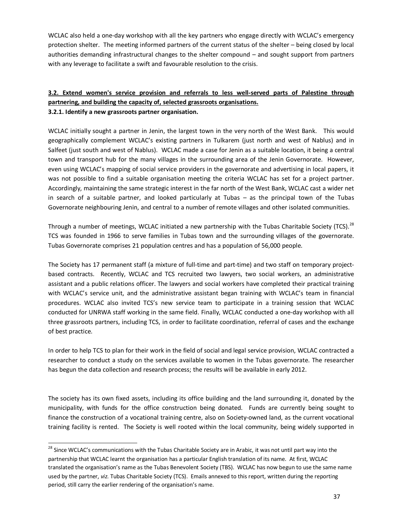WCLAC also held a one-day workshop with all the key partners who engage directly with WCLAC's emergency protection shelter. The meeting informed partners of the current status of the shelter – being closed by local authorities demanding infrastructural changes to the shelter compound – and sought support from partners with any leverage to facilitate a swift and favourable resolution to the crisis.

## **3.2. Extend women's service provision and referrals to less well-served parts of Palestine through partnering, and building the capacity of, selected grassroots organisations. 3.2.1. Identify a new grassroots partner organisation.**

WCLAC initially sought a partner in Jenin, the largest town in the very north of the West Bank. This would geographically complement WCLAC's existing partners in Tulkarem (just north and west of Nablus) and in Salfeet (just south and west of Nablus). WCLAC made a case for Jenin as a suitable location, it being a central town and transport hub for the many villages in the surrounding area of the Jenin Governorate. However, even using WCLAC's mapping of social service providers in the governorate and advertising in local papers, it was not possible to find a suitable organisation meeting the criteria WCLAC has set for a project partner. Accordingly, maintaining the same strategic interest in the far north of the West Bank, WCLAC cast a wider net in search of a suitable partner, and looked particularly at Tubas – as the principal town of the Tubas Governorate neighbouring Jenin, and central to a number of remote villages and other isolated communities.

Through a number of meetings, WCLAC initiated a new partnership with the Tubas Charitable Society (TCS).<sup>28</sup> TCS was founded in 1966 to serve families in Tubas town and the surrounding villages of the governorate. Tubas Governorate comprises 21 population centres and has a population of 56,000 people.

The Society has 17 permanent staff (a mixture of full-time and part-time) and two staff on temporary projectbased contracts. Recently, WCLAC and TCS recruited two lawyers, two social workers, an administrative assistant and a public relations officer. The lawyers and social workers have completed their practical training with WCLAC's service unit, and the administrative assistant began training with WCLAC's team in financial procedures. WCLAC also invited TCS's new service team to participate in a training session that WCLAC conducted for UNRWA staff working in the same field. Finally, WCLAC conducted a one-day workshop with all three grassroots partners, including TCS, in order to facilitate coordination, referral of cases and the exchange of best practice.

In order to help TCS to plan for their work in the field of social and legal service provision, WCLAC contracted a researcher to conduct a study on the services available to women in the Tubas governorate. The researcher has begun the data collection and research process; the results will be available in early 2012.

The society has its own fixed assets, including its office building and the land surrounding it, donated by the municipality, with funds for the office construction being donated. Funds are currently being sought to finance the construction of a vocational training centre, also on Society-owned land, as the current vocational training facility is rented. The Society is well rooted within the local community, being widely supported in

<sup>&</sup>lt;sup>28</sup> Since WCLAC's communications with the Tubas Charitable Society are in Arabic, it was not until part way into the partnership that WCLAC learnt the organisation has a particular English translation of its name. At first, WCLAC translated the organisation's name as the Tubas Benevolent Society (TBS). WCLAC has now begun to use the same name used by the partner, *viz.* Tubas Charitable Society (TCS). Emails annexed to this report, written during the reporting period, still carry the earlier rendering of the organisation's name.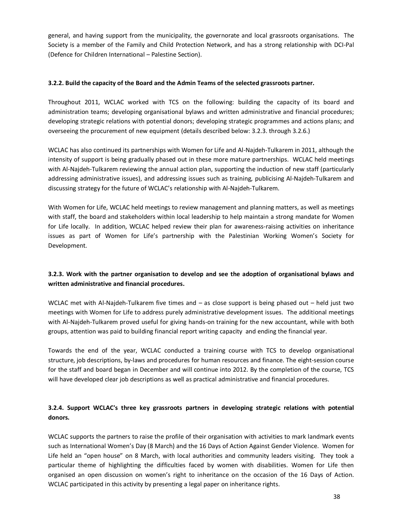general, and having support from the municipality, the governorate and local grassroots organisations. The Society is a member of the Family and Child Protection Network, and has a strong relationship with DCI-Pal (Defence for Children International – Palestine Section).

#### **3.2.2. Build the capacity of the Board and the Admin Teams of the selected grassroots partner.**

Throughout 2011, WCLAC worked with TCS on the following: building the capacity of its board and administration teams; developing organisational bylaws and written administrative and financial procedures; developing strategic relations with potential donors; developing strategic programmes and actions plans; and overseeing the procurement of new equipment (details described below: 3.2.3. through 3.2.6.)

WCLAC has also continued its partnerships with Women for Life and Al-Najdeh-Tulkarem in 2011, although the intensity of support is being gradually phased out in these more mature partnerships. WCLAC held meetings with Al-Najdeh-Tulkarem reviewing the annual action plan, supporting the induction of new staff (particularly addressing administrative issues), and addressing issues such as training, publicising Al-Najdeh-Tulkarem and discussing strategy for the future of WCLAC's relationship with Al-Najdeh-Tulkarem.

With Women for Life, WCLAC held meetings to review management and planning matters, as well as meetings with staff, the board and stakeholders within local leadership to help maintain a strong mandate for Women for Life locally. In addition, WCLAC helped review their plan for awareness-raising activities on inheritance issues as part of Women for Life's partnership with the Palestinian Working Women's Society for Development.

## **3.2.3. Work with the partner organisation to develop and see the adoption of organisational bylaws and written administrative and financial procedures.**

WCLAC met with Al-Najdeh-Tulkarem five times and – as close support is being phased out – held just two meetings with Women for Life to address purely administrative development issues. The additional meetings with Al-Najdeh-Tulkarem proved useful for giving hands-on training for the new accountant, while with both groups, attention was paid to building financial report writing capacity and ending the financial year.

Towards the end of the year, WCLAC conducted a training course with TCS to develop organisational structure, job descriptions, by-laws and procedures for human resources and finance. The eight-session course for the staff and board began in December and will continue into 2012. By the completion of the course, TCS will have developed clear job descriptions as well as practical administrative and financial procedures.

## **3.2.4. Support WCLAC's three key grassroots partners in developing strategic relations with potential donors.**

WCLAC supports the partners to raise the profile of their organisation with activities to mark landmark events such as International Women's Day (8 March) and the 16 Days of Action Against Gender Violence. Women for Life held an "open house" on 8 March, with local authorities and community leaders visiting. They took a particular theme of highlighting the difficulties faced by women with disabilities. Women for Life then organised an open discussion on women's right to inheritance on the occasion of the 16 Days of Action. WCLAC participated in this activity by presenting a legal paper on inheritance rights.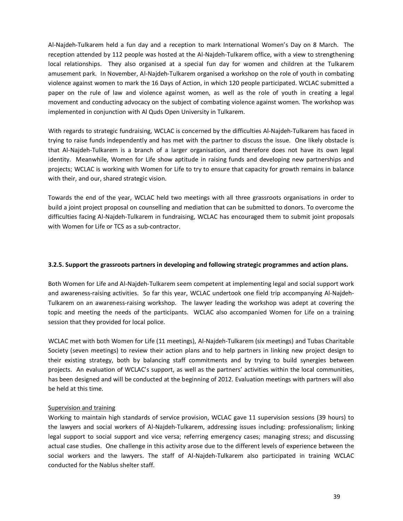Al-Najdeh-Tulkarem held a fun day and a reception to mark International Women's Day on 8 March. The reception attended by 112 people was hosted at the Al-Najdeh-Tulkarem office, with a view to strengthening local relationships. They also organised at a special fun day for women and children at the Tulkarem amusement park. In November, Al-Najdeh-Tulkarem organised a workshop on the role of youth in combating violence against women to mark the 16 Days of Action, in which 120 people participated. WCLAC submitted a paper on the rule of law and violence against women, as well as the role of youth in creating a legal movement and conducting advocacy on the subject of combating violence against women. The workshop was implemented in conjunction with Al Quds Open University in Tulkarem.

With regards to strategic fundraising, WCLAC is concerned by the difficulties Al-Najdeh-Tulkarem has faced in trying to raise funds independently and has met with the partner to discuss the issue. One likely obstacle is that Al-Najdeh-Tulkarem is a branch of a larger organisation, and therefore does not have its own legal identity. Meanwhile, Women for Life show aptitude in raising funds and developing new partnerships and projects; WCLAC is working with Women for Life to try to ensure that capacity for growth remains in balance with their, and our, shared strategic vision.

Towards the end of the year, WCLAC held two meetings with all three grassroots organisations in order to build a joint project proposal on counselling and mediation that can be submitted to donors. To overcome the difficulties facing Al-Najdeh-Tulkarem in fundraising, WCLAC has encouraged them to submit joint proposals with Women for Life or TCS as a sub-contractor.

## **3.2.5. Support the grassroots partners in developing and following strategic programmes and action plans.**

Both Women for Life and Al-Najdeh-Tulkarem seem competent at implementing legal and social support work and awareness-raising activities. So far this year, WCLAC undertook one field trip accompanying Al-Najdeh-Tulkarem on an awareness-raising workshop. The lawyer leading the workshop was adept at covering the topic and meeting the needs of the participants. WCLAC also accompanied Women for Life on a training session that they provided for local police.

WCLAC met with both Women for Life (11 meetings), Al-Najdeh-Tulkarem (six meetings) and Tubas Charitable Society (seven meetings) to review their action plans and to help partners in linking new project design to their existing strategy, both by balancing staff commitments and by trying to build synergies between projects. An evaluation of WCLAC's support, as well as the partners' activities within the local communities, has been designed and will be conducted at the beginning of 2012. Evaluation meetings with partners will also be held at this time.

#### Supervision and training

Working to maintain high standards of service provision, WCLAC gave 11 supervision sessions (39 hours) to the lawyers and social workers of Al-Najdeh-Tulkarem, addressing issues including: professionalism; linking legal support to social support and vice versa; referring emergency cases; managing stress; and discussing actual case studies. One challenge in this activity arose due to the different levels of experience between the social workers and the lawyers. The staff of Al-Najdeh-Tulkarem also participated in training WCLAC conducted for the Nablus shelter staff.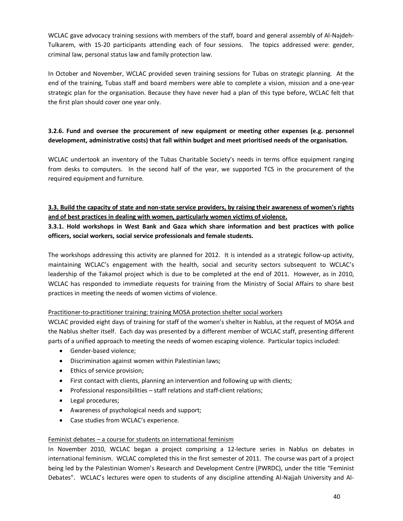WCLAC gave advocacy training sessions with members of the staff, board and general assembly of Al-Najdeh-Tulkarem, with 15-20 participants attending each of four sessions. The topics addressed were: gender, criminal law, personal status law and family protection law.

In October and November, WCLAC provided seven training sessions for Tubas on strategic planning. At the end of the training, Tubas staff and board members were able to complete a vision, mission and a one-year strategic plan for the organisation. Because they have never had a plan of this type before, WCLAC felt that the first plan should cover one year only.

## **3.2.6. Fund and oversee the procurement of new equipment or meeting other expenses (e.g. personnel development, administrative costs) that fall within budget and meet prioritised needs of the organisation.**

WCLAC undertook an inventory of the Tubas Charitable Society's needs in terms office equipment ranging from desks to computers. In the second half of the year, we supported TCS in the procurement of the required equipment and furniture.

## **3.3. Build the capacity of state and non-state service providers, by raising their awareness of women's rights and of best practices in dealing with women, particularly women victims of violence.**

## **3.3.1. Hold workshops in West Bank and Gaza which share information and best practices with police officers, social workers, social service professionals and female students.**

The workshops addressing this activity are planned for 2012. It is intended as a strategic follow-up activity, maintaining WCLAC's engagement with the health, social and security sectors subsequent to WCLAC's leadership of the Takamol project which is due to be completed at the end of 2011. However, as in 2010, WCLAC has responded to immediate requests for training from the Ministry of Social Affairs to share best practices in meeting the needs of women victims of violence.

## Practitioner-to-practitioner training: training MOSA protection shelter social workers

WCLAC provided eight days of training for staff of the women's shelter in Nablus, at the request of MOSA and the Nablus shelter itself. Each day was presented by a different member of WCLAC staff, presenting different parts of a unified approach to meeting the needs of women escaping violence. Particular topics included:

- · Gender-based violence;
- · Discrimination against women within Palestinian laws;
- · Ethics of service provision;
- · First contact with clients, planning an intervention and following up with clients;
- · Professional responsibilities staff relations and staff-client relations;
- · Legal procedures;
- · Awareness of psychological needs and support;
- · Case studies from WCLAC's experience.

## Feminist debates – a course for students on international feminism

In November 2010, WCLAC began a project comprising a 12-lecture series in Nablus on debates in international feminism. WCLAC completed this in the first semester of 2011. The course was part of a project being led by the Palestinian Women's Research and Development Centre (PWRDC), under the title "Feminist Debates". WCLAC's lectures were open to students of any discipline attending Al-Najjah University and Al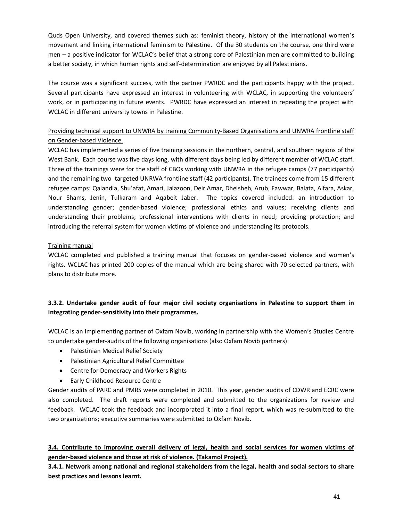Quds Open University, and covered themes such as: feminist theory, history of the international women's movement and linking international feminism to Palestine. Of the 30 students on the course, one third were men – a positive indicator for WCLAC's belief that a strong core of Palestinian men are committed to building a better society, in which human rights and self-determination are enjoyed by all Palestinians.

The course was a significant success, with the partner PWRDC and the participants happy with the project. Several participants have expressed an interest in volunteering with WCLAC, in supporting the volunteers' work, or in participating in future events. PWRDC have expressed an interest in repeating the project with WCLAC in different university towns in Palestine.

## Providing technical support to UNWRA by training Community-Based Organisations and UNWRA frontline staff on Gender-based Violence.

WCLAC has implemented a series of five training sessions in the northern, central, and southern regions of the West Bank. Each course was five days long, with different days being led by different member of WCLAC staff. Three of the trainings were for the staff of CBOs working with UNWRA in the refugee camps (77 participants) and the remaining two targeted UNRWA frontline staff (42 participants). The trainees come from 15 different refugee camps: Qalandia, Shu'afat, Amari, Jalazoon, Deir Amar, Dheisheh, Arub, Fawwar, Balata, Alfara, Askar, Nour Shams, Jenin, Tulkaram and Aqabeit Jaber. The topics covered included: an introduction to understanding gender; gender-based violence; professional ethics and values; receiving clients and understanding their problems; professional interventions with clients in need; providing protection; and introducing the referral system for women victims of violence and understanding its protocols.

## Training manual

WCLAC completed and published a training manual that focuses on gender-based violence and women's rights. WCLAC has printed 200 copies of the manual which are being shared with 70 selected partners, with plans to distribute more.

## **3.3.2. Undertake gender audit of four major civil society organisations in Palestine to support them in integrating gender-sensitivity into their programmes.**

WCLAC is an implementing partner of Oxfam Novib, working in partnership with the Women's Studies Centre to undertake gender-audits of the following organisations (also Oxfam Novib partners):

- · Palestinian Medical Relief Society
- · Palestinian Agricultural Relief Committee
- · Centre for Democracy and Workers Rights
- · Early Childhood Resource Centre

Gender audits of PARC and PMRS were completed in 2010. This year, gender audits of CDWR and ECRC were also completed. The draft reports were completed and submitted to the organizations for review and feedback. WCLAC took the feedback and incorporated it into a final report, which was re-submitted to the two organizations; executive summaries were submitted to Oxfam Novib.

**3.4. Contribute to improving overall delivery of legal, health and social services for women victims of gender-based violence and those at risk of violence. (Takamol Project).**

**3.4.1. Network among national and regional stakeholders from the legal, health and social sectors to share best practices and lessons learnt.**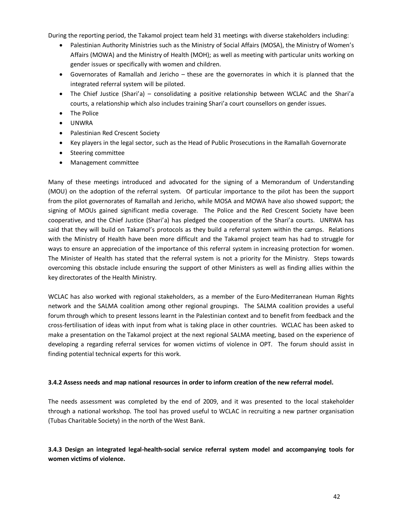During the reporting period, the Takamol project team held 31 meetings with diverse stakeholders including:

- · Palestinian Authority Ministries such as the Ministry of Social Affairs (MOSA), the Ministry of Women's Affairs (MOWA) and the Ministry of Health (MOH); as well as meeting with particular units working on gender issues or specifically with women and children.
- · Governorates of Ramallah and Jericho these are the governorates in which it is planned that the integrated referral system will be piloted.
- · The Chief Justice (Shari'a) consolidating a positive relationship between WCLAC and the Shari'a courts, a relationship which also includes training Shari'a court counsellors on gender issues.
- The Police
- · UNWRA
- · Palestinian Red Crescent Society
- · Key players in the legal sector, such as the Head of Public Prosecutions in the Ramallah Governorate
- · Steering committee
- · Management committee

Many of these meetings introduced and advocated for the signing of a Memorandum of Understanding (MOU) on the adoption of the referral system. Of particular importance to the pilot has been the support from the pilot governorates of Ramallah and Jericho, while MOSA and MOWA have also showed support; the signing of MOUs gained significant media coverage. The Police and the Red Crescent Society have been cooperative, and the Chief Justice (Shari'a) has pledged the cooperation of the Shari'a courts. UNRWA has said that they will build on Takamol's protocols as they build a referral system within the camps. Relations with the Ministry of Health have been more difficult and the Takamol project team has had to struggle for ways to ensure an appreciation of the importance of this referral system in increasing protection for women. The Minister of Health has stated that the referral system is not a priority for the Ministry. Steps towards overcoming this obstacle include ensuring the support of other Ministers as well as finding allies within the key directorates of the Health Ministry.

WCLAC has also worked with regional stakeholders, as a member of the Euro-Mediterranean Human Rights network and the SALMA coalition among other regional groupings. The SALMA coalition provides a useful forum through which to present lessons learnt in the Palestinian context and to benefit from feedback and the cross-fertilisation of ideas with input from what is taking place in other countries. WCLAC has been asked to make a presentation on the Takamol project at the next regional SALMA meeting, based on the experience of developing a regarding referral services for women victims of violence in OPT. The forum should assist in finding potential technical experts for this work.

#### **3.4.2 Assess needs and map national resources in order to inform creation of the new referral model.**

The needs assessment was completed by the end of 2009, and it was presented to the local stakeholder through a national workshop. The tool has proved useful to WCLAC in recruiting a new partner organisation (Tubas Charitable Society) in the north of the West Bank.

**3.4.3 Design an integrated legal-health-social service referral system model and accompanying tools for women victims of violence.**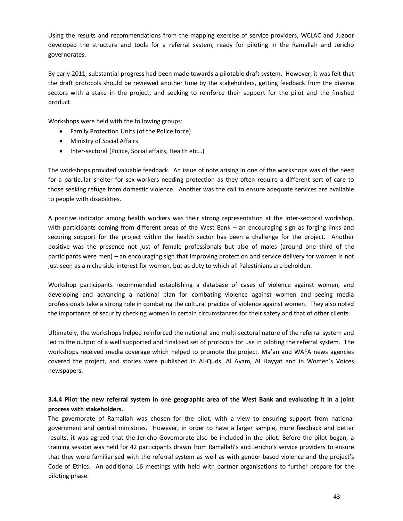Using the results and recommendations from the mapping exercise of service providers, WCLAC and Juzoor developed the structure and tools for a referral system, ready for piloting in the Ramallah and Jericho governorates.

By early 2011, substantial progress had been made towards a pilotable draft system. However, it was felt that the draft protocols should be reviewed another time by the stakeholders, getting feedback from the diverse sectors with a stake in the project, and seeking to reinforce their support for the pilot and the finished product.

Workshops were held with the following groups:

- · Family Protection Units (of the Police force)
- · Ministry of Social Affairs
- · Inter-sectoral (Police, Social affairs, Health etc…)

The workshops provided valuable feedback. An issue of note arising in one of the workshops was of the need for a particular shelter for sex-workers needing protection as they often require a different sort of care to those seeking refuge from domestic violence. Another was the call to ensure adequate services are available to people with disabilities.

A positive indicator among health workers was their strong representation at the inter-sectoral workshop, with participants coming from different areas of the West Bank – an encouraging sign as forging links and securing support for the project within the health sector has been a challenge for the project. Another positive was the presence not just of female professionals but also of males (around one third of the participants were men) – an encouraging sign that improving protection and service delivery for women is not just seen as a niche side-interest for women, but as duty to which all Palestinians are beholden.

Workshop participants recommended establishing a database of cases of violence against women, and developing and advancing a national plan for combating violence against women and seeing media professionals take a strong role in combating the cultural practice of violence against women. They also noted the importance of security checking women in certain circumstances for their safety and that of other clients.

Ultimately, the workshops helped reinforced the national and multi-sectoral nature of the referral system and led to the output of a well supported and finalised set of protocols for use in piloting the referral system. The workshops received media coverage which helped to promote the project. Ma'an and WAFA news agencies covered the project, and stories were published in Al-Quds, Al Ayam, Al Hayyat and in Women's Voices newspapers.

## **3.4.4 Pilot the new referral system in one geographic area of the West Bank and evaluating it in a joint process with stakeholders.**

The governorate of Ramallah was chosen for the pilot, with a view to ensuring support from national government and central ministries. However, in order to have a larger sample, more feedback and better results, it was agreed that the Jericho Governorate also be included in the pilot. Before the pilot began, a training session was held for 42 participants drawn from Ramallah's and Jericho's service providers to ensure that they were familiarised with the referral system as well as with gender-based violence and the project's Code of Ethics. An additional 16 meetings with held with partner organisations to further prepare for the piloting phase.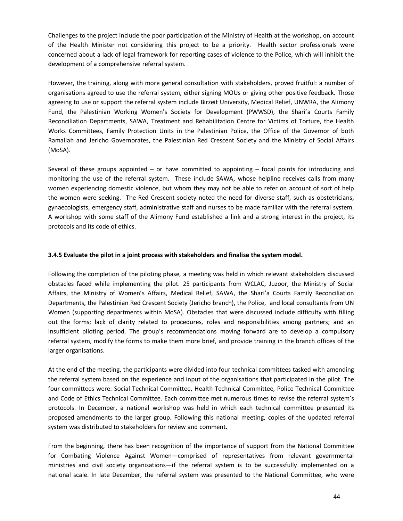Challenges to the project include the poor participation of the Ministry of Health at the workshop, on account of the Health Minister not considering this project to be a priority. Health sector professionals were concerned about a lack of legal framework for reporting cases of violence to the Police, which will inhibit the development of a comprehensive referral system.

However, the training, along with more general consultation with stakeholders, proved fruitful: a number of organisations agreed to use the referral system, either signing MOUs or giving other positive feedback. Those agreeing to use or support the referral system include Birzeit University, Medical Relief, UNWRA, the Alimony Fund, the Palestinian Working Women's Society for Development (PWWSD), the Shari'a Courts Family Reconciliation Departments, SAWA, Treatment and Rehabilitation Centre for Victims of Torture, the Health Works Committees, Family Protection Units in the Palestinian Police, the Office of the Governor of both Ramallah and Jericho Governorates, the Palestinian Red Crescent Society and the Ministry of Social Affairs (MoSA).

Several of these groups appointed – or have committed to appointing – focal points for introducing and monitoring the use of the referral system. These include SAWA, whose helpline receives calls from many women experiencing domestic violence, but whom they may not be able to refer on account of sort of help the women were seeking. The Red Crescent society noted the need for diverse staff, such as obstetricians, gynaecologists, emergency staff, administrative staff and nurses to be made familiar with the referral system. A workshop with some staff of the Alimony Fund established a link and a strong interest in the project, its protocols and its code of ethics.

#### **3.4.5 Evaluate the pilot in a joint process with stakeholders and finalise the system model.**

Following the completion of the piloting phase, a meeting was held in which relevant stakeholders discussed obstacles faced while implementing the pilot. 25 participants from WCLAC, Juzoor, the Ministry of Social Affairs, the Ministry of Women's Affairs, Medical Relief, SAWA, the Shari'a Courts Family Reconciliation Departments, the Palestinian Red Crescent Society (Jericho branch), the Police, and local consultants from UN Women (supporting departments within MoSA). Obstacles that were discussed include difficulty with filling out the forms; lack of clarity related to procedures, roles and responsibilities among partners; and an insufficient piloting period. The group's recommendations moving forward are to develop a compulsory referral system, modify the forms to make them more brief, and provide training in the branch offices of the larger organisations.

At the end of the meeting, the participants were divided into four technical committees tasked with amending the referral system based on the experience and input of the organisations that participated in the pilot. The four committees were: Social Technical Committee, Health Technical Committee, Police Technical Committee and Code of Ethics Technical Committee. Each committee met numerous times to revise the referral system's protocols. In December, a national workshop was held in which each technical committee presented its proposed amendments to the larger group. Following this national meeting, copies of the updated referral system was distributed to stakeholders for review and comment.

From the beginning, there has been recognition of the importance of support from the National Committee for Combating Violence Against Women—comprised of representatives from relevant governmental ministries and civil society organisations—if the referral system is to be successfully implemented on a national scale. In late December, the referral system was presented to the National Committee, who were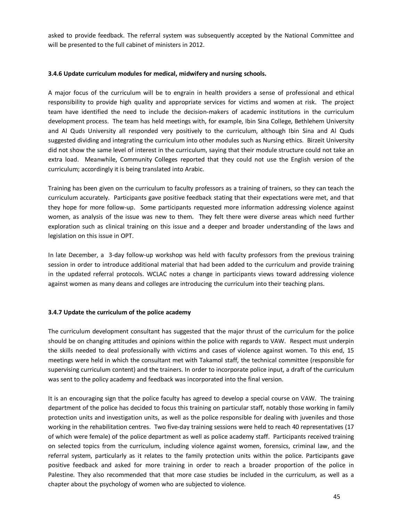asked to provide feedback. The referral system was subsequently accepted by the National Committee and will be presented to the full cabinet of ministers in 2012.

#### **3.4.6 Update curriculum modules for medical, midwifery and nursing schools.**

A major focus of the curriculum will be to engrain in health providers a sense of professional and ethical responsibility to provide high quality and appropriate services for victims and women at risk. The project team have identified the need to include the decision-makers of academic institutions in the curriculum development process. The team has held meetings with, for example, Ibin Sina College, Bethlehem University and Al Quds University all responded very positively to the curriculum, although Ibin Sina and Al Quds suggested dividing and integrating the curriculum into other modules such as Nursing ethics. Birzeit University did not show the same level of interest in the curriculum, saying that their module structure could not take an extra load. Meanwhile, Community Colleges reported that they could not use the English version of the curriculum; accordingly it is being translated into Arabic.

Training has been given on the curriculum to faculty professors as a training of trainers, so they can teach the curriculum accurately. Participants gave positive feedback stating that their expectations were met, and that they hope for more follow-up. Some participants requested more information addressing violence against women, as analysis of the issue was new to them. They felt there were diverse areas which need further exploration such as clinical training on this issue and a deeper and broader understanding of the laws and legislation on this issue in OPT.

In late December, a 3-day follow-up workshop was held with faculty professors from the previous training session in order to introduce additional material that had been added to the curriculum and provide training in the updated referral protocols. WCLAC notes a change in participants views toward addressing violence against women as many deans and colleges are introducing the curriculum into their teaching plans.

## **3.4.7 Update the curriculum of the police academy**

The curriculum development consultant has suggested that the major thrust of the curriculum for the police should be on changing attitudes and opinions within the police with regards to VAW. Respect must underpin the skills needed to deal professionally with victims and cases of violence against women. To this end, 15 meetings were held in which the consultant met with Takamol staff, the technical committee (responsible for supervising curriculum content) and the trainers. In order to incorporate police input, a draft of the curriculum was sent to the policy academy and feedback was incorporated into the final version.

It is an encouraging sign that the police faculty has agreed to develop a special course on VAW. The training department of the police has decided to focus this training on particular staff, notably those working in family protection units and investigation units, as well as the police responsible for dealing with juveniles and those working in the rehabilitation centres. Two five-day training sessions were held to reach 40 representatives (17 of which were female) of the police department as well as police academy staff. Participants received training on selected topics from the curriculum, including violence against women, forensics, criminal law, and the referral system, particularly as it relates to the family protection units within the police. Participants gave positive feedback and asked for more training in order to reach a broader proportion of the police in Palestine. They also recommended that that more case studies be included in the curriculum, as well as a chapter about the psychology of women who are subjected to violence.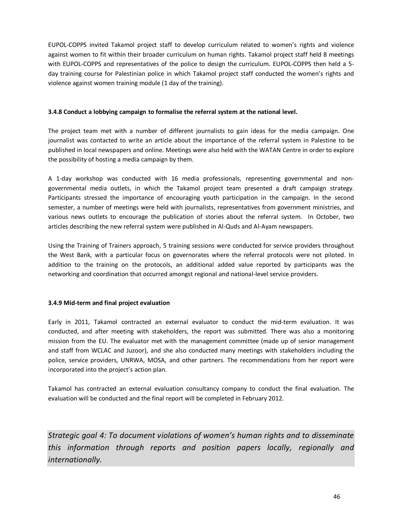EUPOL-COPPS invited Takamol project staff to develop curriculum related to women's rights and violence against women to fit within their broader curriculum on human rights. Takamol project staff held 8 meetings with EUPOL-COPPS and representatives of the police to design the curriculum. EUPOL-COPPS then held a 5 day training course for Palestinian police in which Takamol project staff conducted the women's rights and violence against women training module (1 day of the training).

#### **3.4.8 Conduct a lobbying campaign to formalise the referral system at the national level.**

The project team met with a number of different journalists to gain ideas for the media campaign. One journalist was contacted to write an article about the importance of the referral system in Palestine to be published in local newspapers and online. Meetings were also held with the WATAN Centre in order to explore the possibility of hosting a media campaign by them.

A 1-day workshop was conducted with 16 media professionals, representing governmental and nongovernmental media outlets, in which the Takamol project team presented a draft campaign strategy. Participants stressed the importance of encouraging youth participation in the campaign. In the second semester, a number of meetings were held with journalists, representatives from government ministries, and various news outlets to encourage the publication of stories about the referral system. In October, two articles describing the new referral system were published in Al-Quds and Al-Ayam newspapers.

Using the Training of Trainers approach, 5 training sessions were conducted for service providers throughout the West Bank, with a particular focus on governorates where the referral protocols were not piloted. In addition to the training on the protocols, an additional added value reported by participants was the networking and coordination that occurred amongst regional and national-level service providers.

## **3.4.9 Mid-term and final project evaluation**

Early in 2011, Takamol contracted an external evaluator to conduct the mid-term evaluation. It was conducted, and after meeting with stakeholders, the report was submitted. There was also a monitoring mission from the EU. The evaluator met with the management committee (made up of senior management and staff from WCLAC and Juzoor), and she also conducted many meetings with stakeholders including the police, service providers, UNRWA, MOSA, and other partners. The recommendations from her report were incorporated into the project's action plan.

Takamol has contracted an external evaluation consultancy company to conduct the final evaluation. The evaluation will be conducted and the final report will be completed in February 2012.

<span id="page-45-0"></span>*Strategic goal 4: To document violations of women's human rights and to disseminate this information through reports and position papers locally, regionally and internationally.*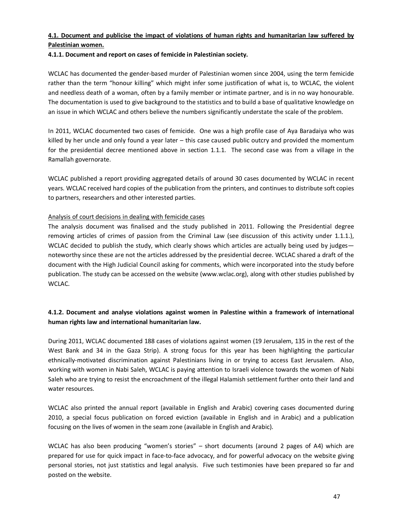## **4.1. Document and publicise the impact of violations of human rights and humanitarian law suffered by Palestinian women.**

**4.1.1. Document and report on cases of femicide in Palestinian society.**

WCLAC has documented the gender-based murder of Palestinian women since 2004, using the term femicide rather than the term "honour killing" which might infer some justification of what is, to WCLAC, the violent and needless death of a woman, often by a family member or intimate partner, and is in no way honourable. The documentation is used to give background to the statistics and to build a base of qualitative knowledge on an issue in which WCLAC and others believe the numbers significantly understate the scale of the problem.

In 2011, WCLAC documented two cases of femicide. One was a high profile case of Aya Baradaiya who was killed by her uncle and only found a year later – this case caused public outcry and provided the momentum for the presidential decree mentioned above in section 1.1.1. The second case was from a village in the Ramallah governorate.

WCLAC published a report providing aggregated details of around 30 cases documented by WCLAC in recent years. WCLAC received hard copies of the publication from the printers, and continues to distribute soft copies to partners, researchers and other interested parties.

## Analysis of court decisions in dealing with femicide cases

The analysis document was finalised and the study published in 2011. Following the Presidential degree removing articles of crimes of passion from the Criminal Law (see discussion of this activity under 1.1.1.), WCLAC decided to publish the study, which clearly shows which articles are actually being used by judges noteworthy since these are not the articles addressed by the presidential decree. WCLAC shared a draft of the document with the High Judicial Council asking for comments, which were incorporated into the study before publication. The study can be accessed on the website (www.wclac.org), along with other studies published by WCLAC.

## **4.1.2. Document and analyse violations against women in Palestine within a framework of international human rights law and international humanitarian law.**

During 2011, WCLAC documented 188 cases of violations against women (19 Jerusalem, 135 in the rest of the West Bank and 34 in the Gaza Strip). A strong focus for this year has been highlighting the particular ethnically-motivated discrimination against Palestinians living in or trying to access East Jerusalem. Also, working with women in Nabi Saleh, WCLAC is paying attention to Israeli violence towards the women of Nabi Saleh who are trying to resist the encroachment of the illegal Halamish settlement further onto their land and water resources.

WCLAC also printed the annual report (available in English and Arabic) covering cases documented during 2010, a special focus publication on forced eviction (available in English and in Arabic) and a publication focusing on the lives of women in the seam zone (available in English and Arabic).

WCLAC has also been producing "women's stories" – short documents (around 2 pages of A4) which are prepared for use for quick impact in face-to-face advocacy, and for powerful advocacy on the website giving personal stories, not just statistics and legal analysis. Five such testimonies have been prepared so far and posted on the website.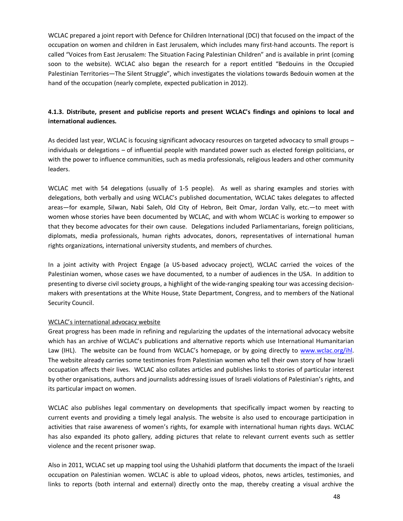WCLAC prepared a joint report with Defence for Children International (DCI) that focused on the impact of the occupation on women and children in East Jerusalem, which includes many first-hand accounts. The report is called "Voices from East Jerusalem: The Situation Facing Palestinian Children" and is available in print (coming soon to the website). WCLAC also began the research for a report entitled "Bedouins in the Occupied Palestinian Territories—The Silent Struggle", which investigates the violations towards Bedouin women at the hand of the occupation (nearly complete, expected publication in 2012).

## **4.1.3. Distribute, present and publicise reports and present WCLAC's findings and opinions to local and international audiences.**

As decided last year, WCLAC is focusing significant advocacy resources on targeted advocacy to small groups – individuals or delegations – of influential people with mandated power such as elected foreign politicians, or with the power to influence communities, such as media professionals, religious leaders and other community leaders.

WCLAC met with 54 delegations (usually of 1-5 people). As well as sharing examples and stories with delegations, both verbally and using WCLAC's published documentation, WCLAC takes delegates to affected areas—for example, Silwan, Nabi Saleh, Old City of Hebron, Beit Omar, Jordan Vally, etc.—to meet with women whose stories have been documented by WCLAC, and with whom WCLAC is working to empower so that they become advocates for their own cause. Delegations included Parliamentarians, foreign politicians, diplomats, media professionals, human rights advocates, donors, representatives of international human rights organizations, international university students, and members of churches.

In a joint activity with Project Engage (a US-based advocacy project), WCLAC carried the voices of the Palestinian women, whose cases we have documented, to a number of audiences in the USA. In addition to presenting to diverse civil society groups, a highlight of the wide-ranging speaking tour was accessing decisionmakers with presentations at the White House, State Department, Congress, and to members of the National Security Council.

## WCLAC's international advocacy website

Great progress has been made in refining and regularizing the updates of the international advocacy website which has an archive of WCLAC's publications and alternative reports which use International Humanitarian Law (IHL). The website can be found from WCLAC's homepage, or by going directly to www.wclac.org/ihl. The website already carries some testimonies from Palestinian women who tell their own story of how Israeli occupation affects their lives. WCLAC also collates articles and publishes links to stories [of particular interest](http://www.wclac.org/ihl)  by other organisations, authors and journalists addressing issues of Israeli violations of Palestinian's rights, and its particular impact on women.

WCLAC also publishes legal commentary on developments that specifically impact women by reacting to current events and providing a timely legal analysis. The website is also used to encourage participation in activities that raise awareness of women's rights, for example with international human rights days. WCLAC has also expanded its photo gallery, adding pictures that relate to relevant current events such as settler violence and the recent prisoner swap.

Also in 2011, WCLAC set up mapping tool using the Ushahidi platform that documents the impact of the Israeli occupation on Palestinian women. WCLAC is able to upload videos, photos, news articles, testimonies, and links to reports (both internal and external) directly onto the map, thereby creating a visual archive the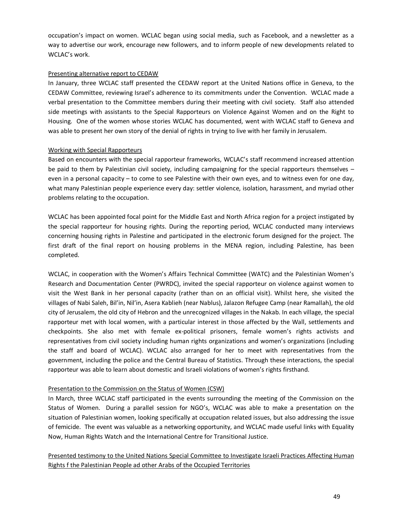occupation's impact on women. WCLAC began using social media, such as Facebook, and a newsletter as a way to advertise our work, encourage new followers, and to inform people of new developments related to WCLAC's work.

#### Presenting alternative report to CEDAW

In January, three WCLAC staff presented the CEDAW report at the United Nations office in Geneva, to the CEDAW Committee, reviewing Israel's adherence to its commitments under the Convention. WCLAC made a verbal presentation to the Committee members during their meeting with civil society. Staff also attended side meetings with assistants to the Special Rapporteurs on Violence Against Women and on the Right to Housing. One of the women whose stories WCLAC has documented, went with WCLAC staff to Geneva and was able to present her own story of the denial of rights in trying to live with her family in Jerusalem.

## Working with Special Rapporteurs

Based on encounters with the special rapporteur frameworks, WCLAC's staff recommend increased attention be paid to them by Palestinian civil society, including campaigning for the special rapporteurs themselves – even in a personal capacity – to come to see Palestine with their own eyes, and to witness even for one day, what many Palestinian people experience every day: settler violence, isolation, harassment, and myriad other problems relating to the occupation.

WCLAC has been appointed focal point for the Middle East and North Africa region for a project instigated by the special rapporteur for housing rights. During the reporting period, WCLAC conducted many interviews concerning housing rights in Palestine and participated in the electronic forum designed for the project. The first draft of the final report on housing problems in the MENA region, including Palestine, has been completed.

WCLAC, in cooperation with the Women's Affairs Technical Committee (WATC) and the Palestinian Women's Research and Documentation Center (PWRDC), invited the special rapporteur on violence against women to visit the West Bank in her personal capacity (rather than on an official visit). Whilst here, she visited the villages of Nabi Saleh, Bil'in, Nil'in, Asera Kablieh (near Nablus), Jalazon Refugee Camp (near Ramallah), the old city of Jerusalem, the old city of Hebron and the unrecognized villages in the Nakab. In each village, the special rapporteur met with local women, with a particular interest in those affected by the Wall, settlements and checkpoints. She also met with female ex-political prisoners, female women's rights activists and representatives from civil society including human rights organizations and women's organizations (including the staff and board of WCLAC). WCLAC also arranged for her to meet with representatives from the government, including the police and the Central Bureau of Statistics. Through these interactions, the special rapporteur was able to learn about domestic and Israeli violations of women's rights firsthand.

#### Presentation to the Commission on the Status of Women (CSW)

In March, three WCLAC staff participated in the events surrounding the meeting of the Commission on the Status of Women. During a parallel session for NGO's, WCLAC was able to make a presentation on the situation of Palestinian women, looking specifically at occupation related issues, but also addressing the issue of femicide. The event was valuable as a networking opportunity, and WCLAC made useful links with Equality Now, Human Rights Watch and the International Centre for Transitional Justice.

Presented testimony to the United Nations Special Committee to Investigate Israeli Practices Affecting Human Rights f the Palestinian People ad other Arabs of the Occupied Territories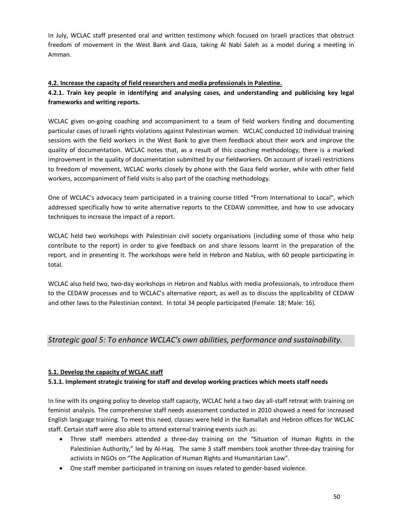In July, WCLAC staff presented oral and written testimony which focused on Israeli practices that obstruct freedom of movement in the West Bank and Gaza, taking Al Nabi Saleh as a model during a meeting in Amman.

## **4.2. Increase the capacity of field researchers and media professionals in Palestine.**

## **4.2.1. Train key people in identifying and analysing cases, and understanding and publicising key legal frameworks and writing reports.**

WCLAC gives on-going coaching and accompaniment to a team of field workers finding and documenting particular cases of Israeli rights violations against Palestinian women. WCLAC conducted 10 individual training sessions with the field workers in the West Bank to give them feedback about their work and improve the quality of documentation. WCLAC notes that, as a result of this coaching methodology, there is a marked improvement in the quality of documentation submitted by our fieldworkers. On account of Israeli restrictions to freedom of movement, WCLAC works closely by phone with the Gaza field worker, while with other field workers, accompaniment of field visits is also part of the coaching methodology.

One of WCLAC's advocacy team participated in a training course titled "From International to Local", which addressed specifically how to write alternative reports to the CEDAW committee, and how to use advocacy techniques to increase the impact of a report.

WCLAC held two workshops with Palestinian civil society organisations (including some of those who help contribute to the report) in order to give feedback on and share lessons learnt in the preparation of the report, and in presenting it. The workshops were held in Hebron and Nablus, with 60 people participating in total.

WCLAC also held two, two-day workshops in Hebron and Nablus with media professionals, to introduce them to the CEDAW processes and to WCLAC's alternative report, as well as to discuss the applicability of CEDAW and other laws to the Palestinian context. In total 34 people participated (Female: 18; Male: 16).

## *Strategic goal 5: To enhance WCLAC's own abilities, performance and sustainability.*

## **5.1. Develop the capacity of WCLAC staff**

## **5.1.1. Implement strategic training for staff and develop working practices which meets staff needs**

In line with its ongoing policy to develop staff capacity, WCLAC held a two day all-staff retreat with training on feminist analysis. The comprehensive staff needs assessment conducted in 2010 showed a need for increased English language training. To meet this need, classes were held in the Ramallah and Hebron offices for WCLAC staff. Certain staff were also able to attend external training events such as:

- · Three staff members attended a three-day training on the "Situation of Human Rights in the Palestinian Authority," led by Al-Haq. The same 3 staff members took another three-day training for activists in NGOs on "The Application of Human Rights and Humanitarian Law".
- · One staff member participated in training on issues related to gender-based violence.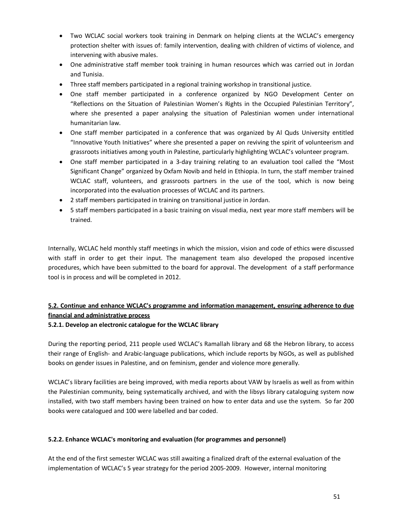- · Two WCLAC social workers took training in Denmark on helping clients at the WCLAC's emergency protection shelter with issues of: family intervention, dealing with children of victims of violence, and intervening with abusive males.
- · One administrative staff member took training in human resources which was carried out in Jordan and Tunisia.
- · Three staff members participated in a regional training workshop in transitional justice.
- · One staff member participated in a conference organized by NGO Development Center on "Reflections on the Situation of Palestinian Women's Rights in the Occupied Palestinian Territory", where she presented a paper analysing the situation of Palestinian women under international humanitarian law.
- · One staff member participated in a conference that was organized by Al Quds University entitled "Innovative Youth Initiatives" where she presented a paper on reviving the spirit of volunteerism and grassroots initiatives among youth in Palestine, particularly highlighting WCLAC's volunteer program.
- · One staff member participated in a 3-day training relating to an evaluation tool called the "Most Significant Change" organized by Oxfam Novib and held in Ethiopia. In turn, the staff member trained WCLAC staff, volunteers, and grassroots partners in the use of the tool, which is now being incorporated into the evaluation processes of WCLAC and its partners.
- · 2 staff members participated in training on transitional justice in Jordan.
- · 5 staff members participated in a basic training on visual media, next year more staff members will be trained.

Internally, WCLAC held monthly staff meetings in which the mission, vision and code of ethics were discussed with staff in order to get their input. The management team also developed the proposed incentive procedures, which have been submitted to the board for approval. The development of a staff performance tool is in process and will be completed in 2012.

## **5.2. Continue and enhance WCLAC's programme and information management, ensuring adherence to due financial and administrative process**

## **5.2.1. Develop an electronic catalogue for the WCLAC library**

During the reporting period, 211 people used WCLAC's Ramallah library and 68 the Hebron library, to access their range of English- and Arabic-language publications, which include reports by NGOs, as well as published books on gender issues in Palestine, and on feminism, gender and violence more generally.

WCLAC's library facilities are being improved, with media reports about VAW by Israelis as well as from within the Palestinian community, being systematically archived, and with the libsys library cataloguing system now installed, with two staff members having been trained on how to enter data and use the system. So far 200 books were catalogued and 100 were labelled and bar coded.

## **5.2.2. Enhance WCLAC's monitoring and evaluation (for programmes and personnel)**

At the end of the first semester WCLAC was still awaiting a finalized draft of the external evaluation of the implementation of WCLAC's 5 year strategy for the period 2005-2009. However, internal monitoring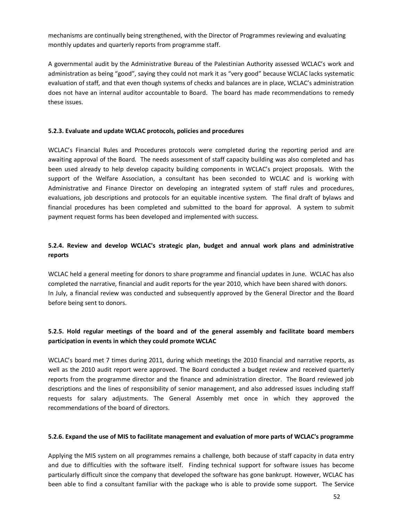mechanisms are continually being strengthened, with the Director of Programmes reviewing and evaluating monthly updates and quarterly reports from programme staff.

A governmental audit by the Administrative Bureau of the Palestinian Authority assessed WCLAC's work and administration as being "good", saying they could not mark it as "very good" because WCLAC lacks systematic evaluation of staff, and that even though systems of checks and balances are in place, WCLAC's administration does not have an internal auditor accountable to Board. The board has made recommendations to remedy these issues.

#### **5.2.3. Evaluate and update WCLAC protocols, policies and procedures**

WCLAC's Financial Rules and Procedures protocols were completed during the reporting period and are awaiting approval of the Board. The needs assessment of staff capacity building was also completed and has been used already to help develop capacity building components in WCLAC's project proposals. With the support of the Welfare Association, a consultant has been seconded to WCLAC and is working with Administrative and Finance Director on developing an integrated system of staff rules and procedures, evaluations, job descriptions and protocols for an equitable incentive system. The final draft of bylaws and financial procedures has been completed and submitted to the board for approval. A system to submit payment request forms has been developed and implemented with success.

## **5.2.4. Review and develop WCLAC's strategic plan, budget and annual work plans and administrative reports**

WCLAC held a general meeting for donors to share programme and financial updates in June. WCLAC has also completed the narrative, financial and audit reports for the year 2010, which have been shared with donors. In July, a financial review was conducted and subsequently approved by the General Director and the Board before being sent to donors.

## **5.2.5. Hold regular meetings of the board and of the general assembly and facilitate board members participation in events in which they could promote WCLAC**

WCLAC's board met 7 times during 2011, during which meetings the 2010 financial and narrative reports, as well as the 2010 audit report were approved. The Board conducted a budget review and received quarterly reports from the programme director and the finance and administration director. The Board reviewed job descriptions and the lines of responsibility of senior management, and also addressed issues including staff requests for salary adjustments. The General Assembly met once in which they approved the recommendations of the board of directors.

## **5.2.6. Expand the use of MIS to facilitate management and evaluation of more parts of WCLAC's programme**

Applying the MIS system on all programmes remains a challenge, both because of staff capacity in data entry and due to difficulties with the software itself. Finding technical support for software issues has become particularly difficult since the company that developed the software has gone bankrupt. However, WCLAC has been able to find a consultant familiar with the package who is able to provide some support. The Service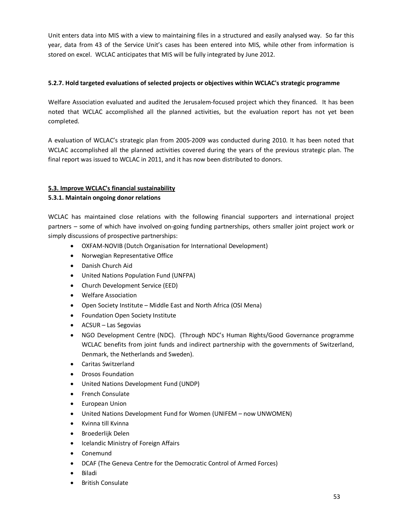Unit enters data into MIS with a view to maintaining files in a structured and easily analysed way. So far this year, data from 43 of the Service Unit's cases has been entered into MIS, while other from information is stored on excel. WCLAC anticipates that MIS will be fully integrated by June 2012.

## **5.2.7. Hold targeted evaluations of selected projects or objectives within WCLAC's strategic programme**

Welfare Association evaluated and audited the Jerusalem-focused project which they financed. It has been noted that WCLAC accomplished all the planned activities, but the evaluation report has not yet been completed.

A evaluation of WCLAC's strategic plan from 2005-2009 was conducted during 2010. It has been noted that WCLAC accomplished all the planned activities covered during the years of the previous strategic plan. The final report was issued to WCLAC in 2011, and it has now been distributed to donors.

## **5.3. Improve WCLAC's financial sustainability**

## **5.3.1. Maintain ongoing donor relations**

WCLAC has maintained close relations with the following financial supporters and international project partners – some of which have involved on-going funding partnerships, others smaller joint project work or simply discussions of prospective partnerships:

- · OXFAM-NOVIB (Dutch Organisation for International Development)
- · Norwegian Representative Office
- · Danish Church Aid
- · United Nations Population Fund (UNFPA)
- · Church Development Service (EED)
- · Welfare Association
- · Open Society Institute Middle East and North Africa (OSI Mena)
- · Foundation Open Society Institute
- · ACSUR Las Segovias
- · NGO Development Centre (NDC). (Through NDC's Human Rights/Good Governance programme WCLAC benefits from joint funds and indirect partnership with the governments of Switzerland, Denmark, the Netherlands and Sweden).
- · Caritas Switzerland
- · Drosos Foundation
- · United Nations Development Fund (UNDP)
- · French Consulate
- · European Union
- · United Nations Development Fund for Women (UNIFEM now UNWOMEN)
- · Kvinna till Kvinna
- · Broederlijk Delen
- · Icelandic Ministry of Foreign Affairs
- · Conemund
- · DCAF (The Geneva Centre for the Democratic Control of Armed Forces)
- · Biladi
- · British Consulate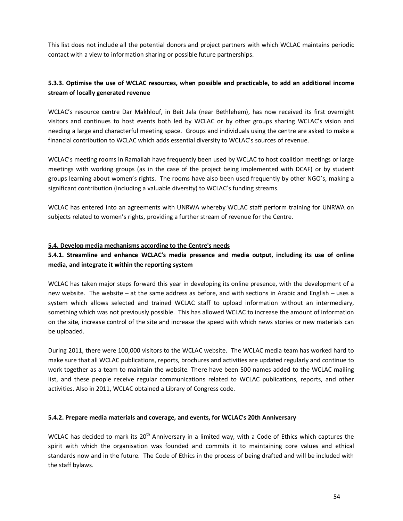This list does not include all the potential donors and project partners with which WCLAC maintains periodic contact with a view to information sharing or possible future partnerships.

## **5.3.3. Optimise the use of WCLAC resources, when possible and practicable, to add an additional income stream of locally generated revenue**

WCLAC's resource centre Dar Makhlouf, in Beit Jala (near Bethlehem), has now received its first overnight visitors and continues to host events both led by WCLAC or by other groups sharing WCLAC's vision and needing a large and characterful meeting space. Groups and individuals using the centre are asked to make a financial contribution to WCLAC which adds essential diversity to WCLAC's sources of revenue.

WCLAC's meeting rooms in Ramallah have frequently been used by WCLAC to host coalition meetings or large meetings with working groups (as in the case of the project being implemented with DCAF) or by student groups learning about women's rights. The rooms have also been used frequently by other NGO's, making a significant contribution (including a valuable diversity) to WCLAC's funding streams.

WCLAC has entered into an agreements with UNRWA whereby WCLAC staff perform training for UNRWA on subjects related to women's rights, providing a further stream of revenue for the Centre.

#### **5.4. Develop media mechanisms according to the Centre's needs**

## **5.4.1. Streamline and enhance WCLAC's media presence and media output, including its use of online media, and integrate it within the reporting system**

WCLAC has taken major steps forward this year in developing its online presence, with the development of a new website. The website – at the same address as before, and with sections in Arabic and English – uses a system which allows selected and trained WCLAC staff to upload information without an intermediary, something which was not previously possible. This has allowed WCLAC to increase the amount of information on the site, increase control of the site and increase the speed with which news stories or new materials can be uploaded.

During 2011, there were 100,000 visitors to the WCLAC website. The WCLAC media team has worked hard to make sure that all WCLAC publications, reports, brochures and activities are updated regularly and continue to work together as a team to maintain the website. There have been 500 names added to the WCLAC mailing list, and these people receive regular communications related to WCLAC publications, reports, and other activities. Also in 2011, WCLAC obtained a Library of Congress code.

#### **5.4.2. Prepare media materials and coverage, and events, for WCLAC's 20th Anniversary**

WCLAC has decided to mark its 20<sup>th</sup> Anniversary in a limited way, with a Code of Ethics which captures the spirit with which the organisation was founded and commits it to maintaining core values and ethical standards now and in the future. The Code of Ethics in the process of being drafted and will be included with the staff bylaws.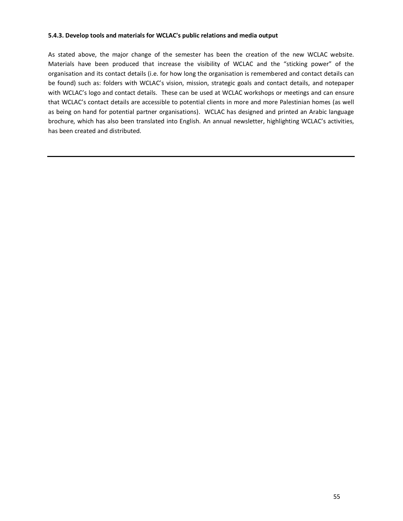#### **5.4.3. Develop tools and materials for WCLAC's public relations and media output**

As stated above, the major change of the semester has been the creation of the new WCLAC website. Materials have been produced that increase the visibility of WCLAC and the "sticking power" of the organisation and its contact details (i.e. for how long the organisation is remembered and contact details can be found) such as: folders with WCLAC's vision, mission, strategic goals and contact details, and notepaper with WCLAC's logo and contact details. These can be used at WCLAC workshops or meetings and can ensure that WCLAC's contact details are accessible to potential clients in more and more Palestinian homes (as well as being on hand for potential partner organisations). WCLAC has designed and printed an Arabic language brochure, which has also been translated into English. An annual newsletter, highlighting WCLAC's activities, has been created and distributed.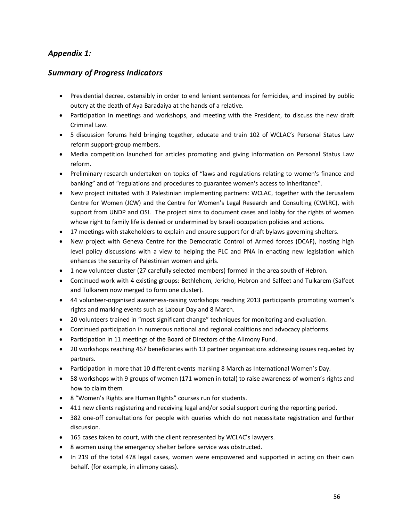## *Appendix 1:*

## *Summary of Progress Indicators*

- · Presidential decree, ostensibly in order to end lenient sentences for femicides, and inspired by public outcry at the death of Aya Baradaiya at the hands of a relative.
- · Participation in meetings and workshops, and meeting with the President, to discuss the new draft Criminal Law.
- · 5 discussion forums held bringing together, educate and train 102 of WCLAC's Personal Status Law reform support-group members.
- Media competition launched for articles promoting and giving information on Personal Status Law reform.
- · Preliminary research undertaken on topics of "laws and regulations relating to women's finance and banking" and of "regulations and procedures to guarantee women's access to inheritance".
- · New project initiated with 3 Palestinian implementing partners: WCLAC, together with the Jerusalem Centre for Women (JCW) and the Centre for Women's Legal Research and Consulting (CWLRC), with support from UNDP and OSI. The project aims to document cases and lobby for the rights of women whose right to family life is denied or undermined by Israeli occupation policies and actions.
- · 17 meetings with stakeholders to explain and ensure support for draft bylaws governing shelters.
- · New project with Geneva Centre for the Democratic Control of Armed forces (DCAF), hosting high level policy discussions with a view to helping the PLC and PNA in enacting new legislation which enhances the security of Palestinian women and girls.
- · 1 new volunteer cluster (27 carefully selected members) formed in the area south of Hebron.
- · Continued work with 4 existing groups: Bethlehem, Jericho, Hebron and Salfeet and Tulkarem (Salfeet and Tulkarem now merged to form one cluster).
- · 44 volunteer-organised awareness-raising workshops reaching 2013 participants promoting women's rights and marking events such as Labour Day and 8 March.
- · 20 volunteers trained in "most significant change" techniques for monitoring and evaluation.
- · Continued participation in numerous national and regional coalitions and advocacy platforms.
- · Participation in 11 meetings of the Board of Directors of the Alimony Fund.
- · 20 workshops reaching 467 beneficiaries with 13 partner organisations addressing issues requested by partners.
- · Participation in more that 10 different events marking 8 March as International Women's Day.
- · 58 workshops with 9 groups of women (171 women in total) to raise awareness of women's rights and how to claim them.
- · 8 "Women's Rights are Human Rights" courses run for students.
- · 411 new clients registering and receiving legal and/or social support during the reporting period.
- · 382 one-off consultations for people with queries which do not necessitate registration and further discussion.
- · 165 cases taken to court, with the client represented by WCLAC's lawyers.
- · 8 women using the emergency shelter before service was obstructed.
- In 219 of the total 478 legal cases, women were empowered and supported in acting on their own behalf. (for example, in alimony cases).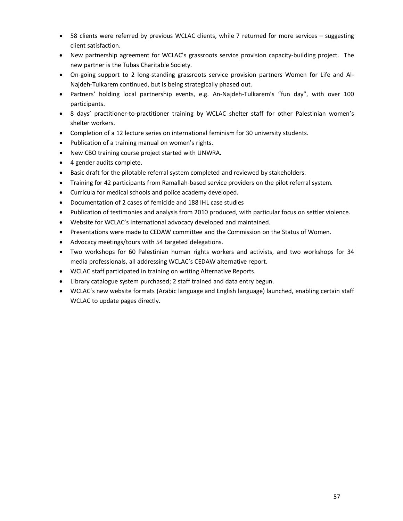- · 58 clients were referred by previous WCLAC clients, while 7 returned for more services suggesting client satisfaction.
- · New partnership agreement for WCLAC's grassroots service provision capacity-building project. The new partner is the Tubas Charitable Society.
- · On-going support to 2 long-standing grassroots service provision partners Women for Life and Al-Najdeh-Tulkarem continued, but is being strategically phased out.
- · Partners' holding local partnership events, e.g. An-Najdeh-Tulkarem's "fun day", with over 100 participants.
- · 8 days' practitioner-to-practitioner training by WCLAC shelter staff for other Palestinian women's shelter workers.
- · Completion of a 12 lecture series on international feminism for 30 university students.
- · Publication of a training manual on women's rights.
- · New CBO training course project started with UNWRA.
- · 4 gender audits complete.
- · Basic draft for the pilotable referral system completed and reviewed by stakeholders.
- · Training for 42 participants from Ramallah-based service providers on the pilot referral system.
- · Curricula for medical schools and police academy developed.
- · Documentation of 2 cases of femicide and 188 IHL case studies
- · Publication of testimonies and analysis from 2010 produced, with particular focus on settler violence.
- · Website for WCLAC's international advocacy developed and maintained.
- · Presentations were made to CEDAW committee and the Commission on the Status of Women.
- · Advocacy meetings/tours with 54 targeted delegations.
- · Two workshops for 60 Palestinian human rights workers and activists, and two workshops for 34 media professionals, all addressing WCLAC's CEDAW alternative report.
- · WCLAC staff participated in training on writing Alternative Reports.
- · Library catalogue system purchased; 2 staff trained and data entry begun.
- · WCLAC's new website formats (Arabic language and English language) launched, enabling certain staff WCLAC to update pages directly.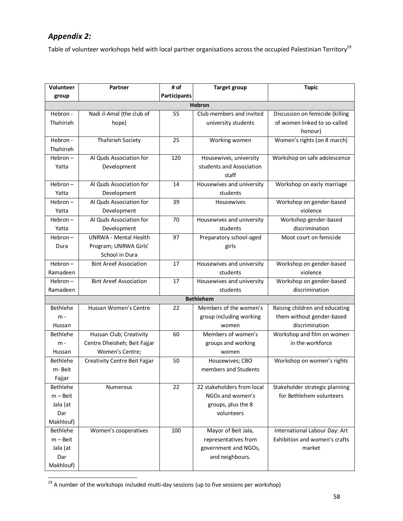## *Appendix 2:*

Table of volunteer workshops held with local partner organisations across the occupied Palestinian Territory<sup>29</sup>

| Volunteer  | Partner                       | # of         | <b>Target group</b>        | <b>Topic</b>                    |
|------------|-------------------------------|--------------|----------------------------|---------------------------------|
| group      |                               | Participants |                            |                                 |
|            |                               |              | <b>Hebron</b>              |                                 |
| Hebron -   | Nadi il-Amal (the club of     | 55           | Club members and invited   | Discussion on femicide (killing |
| Thahirieh  | hope)                         |              | university students        | of women linked to so-called    |
|            |                               |              |                            | honour)                         |
| Hebron -   | Thahirieh Society             | 25           | Working women              | Women's rights (on 8 march)     |
| Thahirieh  |                               |              |                            |                                 |
| $Hebron-$  | Al Quds Association for       | 120          | Housewives, university     | Workshop on safe adolescence    |
| Yatta      | Development                   |              | students and Association   |                                 |
|            |                               |              | staff                      |                                 |
| $Hebron-$  | Al Quds Association for       | 14           | Housewives and university  | Workshop on early marriage      |
| Yatta      | Development                   |              | students                   |                                 |
| $Hebron-$  | Al Quds Association for       | 39           | Housewives                 | Workshop on gender-based        |
| Yatta      | Development                   |              |                            | violence                        |
| $Hebron-$  | Al Quds Association for       | 70           | Housewives and university  | Workshop gender-based           |
| Yatta      | Development                   |              | students                   | discrimination                  |
| $Hebron-$  | <b>UNRWA - Mental Health</b>  | 97           | Preparatory school-aged    | Moot court on femicide          |
| Dura       | Program; UNRWA Girls'         |              | girls                      |                                 |
|            | School in Dura                |              |                            |                                 |
| $Hebron-$  | <b>Bint Areef Association</b> | 17           | Housewives and university  | Workshop on gender-based        |
| Ramadeen   |                               |              | students                   | violence                        |
| Hebron-    | <b>Bint Areef Association</b> | 17           | Housewives and university  | Workshop on gender-based        |
| Ramadeen   |                               |              | students                   | discrimination                  |
|            |                               |              | <b>Bethlehem</b>           |                                 |
| Bethlehe   | Hussan Women's Centre         | 22           | Members of the women's     | Raising children and educating  |
| $m -$      |                               |              | group including working    | them without gender-based       |
| Hussan     |                               |              | women                      | discrimination                  |
| Bethlehe   | Hussan Club; Creativity       | 60           | Members of women's         | Workshop and film on women      |
| $m -$      | Centre Dheisheh; Beit Fajjar  |              | groups and working         | in the workforce                |
| Hussan     | Women's Centre;               |              | women                      |                                 |
| Bethlehe   | Creativity Centre Beit Fajjar | 50           | Housewives; CBO            | Workshop on women's rights      |
| m- Beit    |                               |              | members and Students       |                                 |
| Fajjar     |                               |              |                            |                                 |
| Bethlehe   | Numerous                      | 22           | 22 stakeholders from local | Stakeholder strategic planning  |
| $m -$ Beit |                               |              | NGOs and women's           | for Bethlehem volunteers        |
| Jala (at   |                               |              | groups, plus the 8         |                                 |
| Dar        |                               |              | volunteers                 |                                 |
| Makhlouf)  |                               |              |                            |                                 |
| Bethlehe   | Women's cooperatives          | 100          | Mayor of Beit Jala,        | International Labour Day: Art   |
| $m -$ Beit |                               |              | representatives from       | Exhibition and women's crafts   |
| Jala (at   |                               |              | government and NGOs,       | market                          |
| Dar        |                               |              | and neighbours.            |                                 |
| Makhlouf)  |                               |              |                            |                                 |

<sup>29</sup> A number of the workshops included multi-day sessions (up to five sessions per workshop)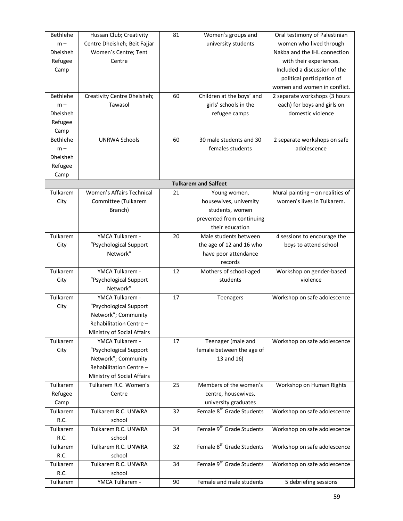| Bethlehe        | Hussan Club; Creativity      | 81 | Women's groups and                    | Oral testimony of Palestinian    |
|-----------------|------------------------------|----|---------------------------------------|----------------------------------|
| $m -$           | Centre Dheisheh; Beit Fajjar |    | university students                   | women who lived through          |
| <b>Dheisheh</b> | Women's Centre; Tent         |    |                                       | Nakba and the IHL connection     |
| Refugee         | Centre                       |    |                                       | with their experiences.          |
| Camp            |                              |    |                                       | Included a discussion of the     |
|                 |                              |    |                                       | political participation of       |
|                 |                              |    |                                       | women and women in conflict.     |
| Bethlehe        | Creativity Centre Dheisheh;  | 60 | Children at the boys' and             | 2 separate workshops (3 hours    |
| $m -$           | Tawasol                      |    | girls' schools in the                 | each) for boys and girls on      |
| Dheisheh        |                              |    | refugee camps                         | domestic violence                |
| Refugee         |                              |    |                                       |                                  |
| Camp            |                              |    |                                       |                                  |
| Bethlehe        | <b>UNRWA Schools</b>         | 60 | 30 male students and 30               | 2 separate workshops on safe     |
| $m -$           |                              |    | females students                      | adolescence                      |
| Dheisheh        |                              |    |                                       |                                  |
| Refugee         |                              |    |                                       |                                  |
| Camp            |                              |    |                                       |                                  |
|                 |                              |    | <b>Tulkarem and Salfeet</b>           |                                  |
| Tulkarem        | Women's Affairs Technical    | 21 | Young women,                          | Mural painting - on realities of |
| City            | Committee (Tulkarem          |    | housewives, university                | women's lives in Tulkarem.       |
|                 | Branch)                      |    | students, women                       |                                  |
|                 |                              |    | prevented from continuing             |                                  |
|                 |                              |    | their education                       |                                  |
| Tulkarem        | YMCA Tulkarem -              | 20 | Male students between                 | 4 sessions to encourage the      |
| City            | "Psychological Support       |    | the age of 12 and 16 who              | boys to attend school            |
|                 | Network"                     |    | have poor attendance                  |                                  |
|                 |                              |    | records                               |                                  |
| Tulkarem        | YMCA Tulkarem -              | 12 | Mothers of school-aged                | Workshop on gender-based         |
| City            | "Psychological Support       |    | students                              | violence                         |
|                 | Network"                     |    |                                       |                                  |
| Tulkarem        | YMCA Tulkarem -              | 17 | Teenagers                             | Workshop on safe adolescence     |
| City            | "Psychological Support       |    |                                       |                                  |
|                 | Network"; Community          |    |                                       |                                  |
|                 | Rehabilitation Centre -      |    |                                       |                                  |
|                 | Ministry of Social Affairs   |    |                                       |                                  |
| Tulkarem        | YMCA Tulkarem -              | 17 | Teenager (male and                    | Workshop on safe adolescence     |
| City            | "Psychological Support       |    | female between the age of             |                                  |
|                 | Network"; Community          |    | 13 and 16)                            |                                  |
|                 | Rehabilitation Centre -      |    |                                       |                                  |
|                 | Ministry of Social Affairs   |    |                                       |                                  |
| Tulkarem        | Tulkarem R.C. Women's        | 25 | Members of the women's                | Workshop on Human Rights         |
| Refugee         | Centre                       |    | centre, housewives,                   |                                  |
| Camp            |                              |    | university graduates                  |                                  |
| Tulkarem        | Tulkarem R.C. UNWRA          | 32 | Female 8 <sup>th</sup> Grade Students | Workshop on safe adolescence     |
| R.C.            | school                       |    |                                       |                                  |
| Tulkarem        | Tulkarem R.C. UNWRA          | 34 | Female 9 <sup>th</sup> Grade Students | Workshop on safe adolescence     |
| R.C.            | school                       |    |                                       |                                  |
| Tulkarem        | Tulkarem R.C. UNWRA          | 32 | Female 8 <sup>th</sup> Grade Students | Workshop on safe adolescence     |
| R.C.            | school                       |    |                                       |                                  |
| Tulkarem        | Tulkarem R.C. UNWRA          | 34 | Female 9 <sup>th</sup> Grade Students | Workshop on safe adolescence     |
| R.C.            | school                       |    |                                       |                                  |
| Tulkarem        | YMCA Tulkarem -              | 90 | Female and male students              | 5 debriefing sessions            |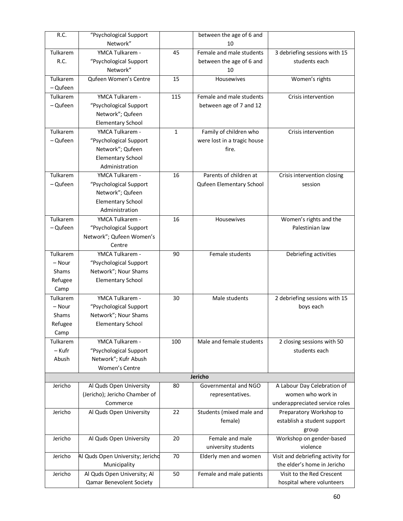| R.C.         | "Psychological Support           |              | between the age of 6 and    |                                   |
|--------------|----------------------------------|--------------|-----------------------------|-----------------------------------|
|              | Network"                         |              | 10                          |                                   |
| Tulkarem     | YMCA Tulkarem -                  | 45           | Female and male students    | 3 debriefing sessions with 15     |
| R.C.         | "Psychological Support           |              | between the age of 6 and    | students each                     |
|              | Network"                         |              | 10                          |                                   |
| Tulkarem     | Qufeen Women's Centre            | 15           | Housewives                  | Women's rights                    |
| - Qufeen     |                                  |              |                             |                                   |
| Tulkarem     | YMCA Tulkarem -                  | 115          | Female and male students    | Crisis intervention               |
| - Qufeen     | "Psychological Support           |              | between age of 7 and 12     |                                   |
|              | Network"; Qufeen                 |              |                             |                                   |
|              | <b>Elementary School</b>         |              |                             |                                   |
| Tulkarem     | YMCA Tulkarem -                  | $\mathbf{1}$ | Family of children who      | Crisis intervention               |
| - Qufeen     | "Psychological Support           |              | were lost in a tragic house |                                   |
|              | Network"; Qufeen                 |              | fire.                       |                                   |
|              | <b>Elementary School</b>         |              |                             |                                   |
|              | Administration                   |              |                             |                                   |
| Tulkarem     | YMCA Tulkarem -                  | 16           | Parents of children at      | Crisis intervention closing       |
| - Qufeen     | "Psychological Support           |              | Qufeen Elementary School    | session                           |
|              | Network"; Qufeen                 |              |                             |                                   |
|              | <b>Elementary School</b>         |              |                             |                                   |
|              | Administration                   |              |                             |                                   |
| Tulkarem     | YMCA Tulkarem -                  | 16           | Housewives                  | Women's rights and the            |
| - Qufeen     | "Psychological Support           |              |                             | Palestinian law                   |
|              | Network"; Qufeen Women's         |              |                             |                                   |
|              | Centre                           |              |                             |                                   |
| Tulkarem     | YMCA Tulkarem -                  | 90           | Female students             | Debriefing activities             |
| – Nour       | "Psychological Support           |              |                             |                                   |
| <b>Shams</b> | Network"; Nour Shams             |              |                             |                                   |
| Refugee      | <b>Elementary School</b>         |              |                             |                                   |
| Camp         |                                  |              |                             |                                   |
| Tulkarem     | YMCA Tulkarem -                  | 30           | Male students               | 2 debriefing sessions with 15     |
| - Nour       | "Psychological Support           |              |                             | boys each                         |
| Shams        | Network"; Nour Shams             |              |                             |                                   |
| Refugee      | Elementary School                |              |                             |                                   |
| Camp         |                                  |              |                             |                                   |
| Tulkarem     | YMCA Tulkarem -                  | 100          | Male and female students    | 2 closing sessions with 50        |
| – Kufr       | "Psychological Support           |              |                             | students each                     |
| Abush        | Network"; Kufr Abush             |              |                             |                                   |
|              | Women's Centre                   |              |                             |                                   |
|              |                                  |              | Jericho                     |                                   |
| Jericho      | Al Quds Open University          | 80           | Governmental and NGO        | A Labour Day Celebration of       |
|              | (Jericho); Jericho Chamber of    |              |                             | women who work in                 |
|              | Commerce                         |              | representatives.            |                                   |
|              |                                  |              |                             | underappreciated service roles    |
| Jericho      | Al Quds Open University          | 22           | Students (mixed male and    | Preparatory Workshop to           |
|              |                                  |              | female)                     | establish a student support       |
|              |                                  |              |                             | group                             |
| Jericho      | Al Quds Open University          | 20           | Female and male             | Workshop on gender-based          |
|              |                                  |              | university students         | violence                          |
| Jericho      | Al Quds Open University; Jerichd | 70           | Elderly men and women       | Visit and debriefing activity for |
|              | Municipality                     |              |                             | the elder's home in Jericho       |
| Jericho      | Al Quds Open University; Al      | 50           | Female and male patients    | Visit to the Red Crescent         |
|              | Qamar Benevolent Society         |              |                             | hospital where volunteers         |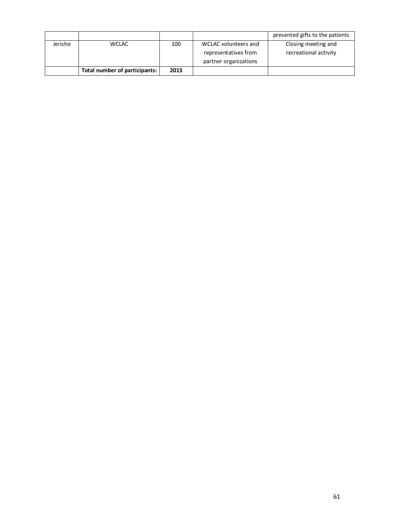|         |                               |      |                       | presented gifts to the patients |
|---------|-------------------------------|------|-----------------------|---------------------------------|
| Jericho | <b>WCLAC</b>                  | 100  | WCLAC volunteers and  | Closing meeting and             |
|         |                               |      | representatives from  | recreational activity           |
|         |                               |      | partner organizations |                                 |
|         | Total number of participants: | 2013 |                       |                                 |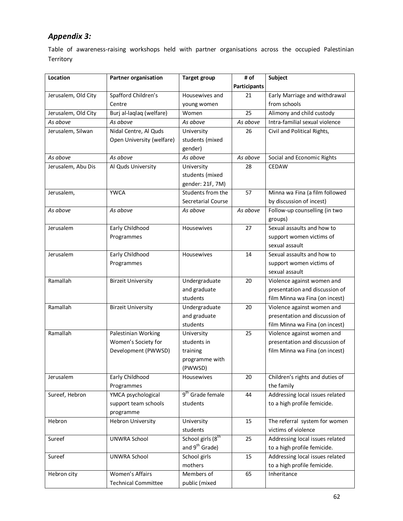## *Appendix 3:*

Table of awareness-raising workshops held with partner organisations across the occupied Palestinian Territory

| Location            | <b>Partner organisation</b> | <b>Target group</b>           | # of         | Subject                         |
|---------------------|-----------------------------|-------------------------------|--------------|---------------------------------|
|                     |                             |                               | Participants |                                 |
| Jerusalem, Old City | Spafford Children's         | Housewives and                | 21           | Early Marriage and withdrawal   |
|                     | Centre                      | young women                   |              | from schools                    |
| Jerusalem, Old City | Burj al-laqlaq (welfare)    | Women                         | 25           | Alimony and child custody       |
| As above            | As above                    | As above                      | As above     | Intra-familial sexual violence  |
| Jerusalem, Silwan   | Nidal Centre, Al Quds       | University                    | 26           | Civil and Political Rights,     |
|                     | Open University (welfare)   | students (mixed               |              |                                 |
|                     |                             | gender)                       |              |                                 |
| As above            | As above                    | As above                      | As above     | Social and Economic Rights      |
| Jerusalem, Abu Dis  | Al Quds University          | University                    | 28           | <b>CEDAW</b>                    |
|                     |                             | students (mixed               |              |                                 |
|                     |                             | gender: 21F, 7M)              |              |                                 |
| Jerusalem,          | <b>YWCA</b>                 | Students from the             | 57           | Minna wa Fina (a film followed  |
|                     |                             | Secretarial Course            |              | by discussion of incest)        |
| As above            | As above                    | As above                      | As above     | Follow-up counselling (in two   |
|                     |                             |                               |              | groups)                         |
| Jerusalem           | Early Childhood             | Housewives                    | 27           | Sexual assaults and how to      |
|                     | Programmes                  |                               |              | support women victims of        |
|                     |                             |                               |              | sexual assault                  |
| Jerusalem           | Early Childhood             | Housewives                    | 14           | Sexual assaults and how to      |
|                     | Programmes                  |                               |              | support women victims of        |
|                     |                             |                               |              | sexual assault                  |
| Ramallah            | <b>Birzeit University</b>   | Undergraduate                 | 20           | Violence against women and      |
|                     |                             | and graduate                  |              | presentation and discussion of  |
|                     |                             | students                      |              | film Minna wa Fina (on incest)  |
| Ramallah            | <b>Birzeit University</b>   | Undergraduate                 | 20           | Violence against women and      |
|                     |                             | and graduate                  |              | presentation and discussion of  |
|                     |                             | students                      |              | film Minna wa Fina (on incest)  |
| Ramallah            | Palestinian Working         | University                    | 25           | Violence against women and      |
|                     | Women's Society for         | students in                   |              | presentation and discussion of  |
|                     | Development (PWWSD)         | training                      |              | film Minna wa Fina (on incest)  |
|                     |                             | programme with                |              |                                 |
|                     |                             | (PWWSD)                       |              |                                 |
| Jerusalem           | Early Childhood             | Housewives                    | 20           | Children's rights and duties of |
|                     | Programmes                  |                               |              | the family                      |
| Sureef, Hebron      | YMCA psychological          | 9 <sup>th</sup> Grade female  | 44           | Addressing local issues related |
|                     | support team schools        | students                      |              | to a high profile femicide.     |
|                     | programme                   |                               |              |                                 |
| Hebron              | <b>Hebron University</b>    | University                    | 15           | The referral system for women   |
|                     |                             | students                      |              | victims of violence             |
| Sureef              | <b>UNWRA School</b>         | School girls (8 <sup>th</sup> | 25           | Addressing local issues related |
|                     |                             | and 9 <sup>th</sup> Grade)    |              | to a high profile femicide.     |
| Sureef              | <b>UNWRA School</b>         | School girls                  | 15           | Addressing local issues related |
|                     |                             | mothers                       |              | to a high profile femicide.     |
| Hebron city         | Women's Affairs             | Members of                    | 65           | Inheritance                     |
|                     | <b>Technical Committee</b>  | public (mixed                 |              |                                 |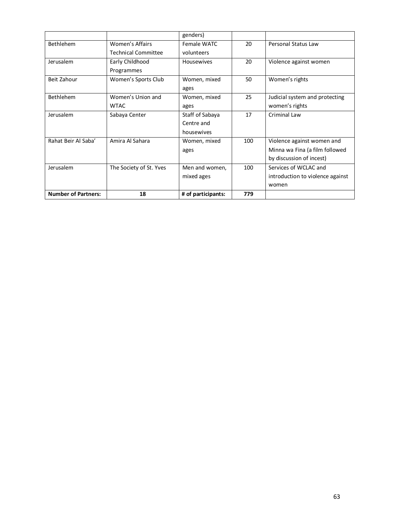|                            |                            | genders)           |     |                                  |
|----------------------------|----------------------------|--------------------|-----|----------------------------------|
| <b>Bethlehem</b>           | Women's Affairs            | Female WATC        | 20  | Personal Status Law              |
|                            | <b>Technical Committee</b> | volunteers         |     |                                  |
| Jerusalem                  | Early Childhood            | <b>Housewives</b>  | 20  | Violence against women           |
|                            | Programmes                 |                    |     |                                  |
| Beit Zahour                | Women's Sports Club        | Women, mixed       | 50  | Women's rights                   |
|                            |                            | ages               |     |                                  |
| <b>Bethlehem</b>           | Women's Union and          | Women, mixed       | 25  | Judicial system and protecting   |
|                            | <b>WTAC</b>                | ages               |     | women's rights                   |
| Jerusalem                  | Sabaya Center              | Staff of Sabaya    | 17  | Criminal Law                     |
|                            |                            | Centre and         |     |                                  |
|                            |                            | housewives         |     |                                  |
| Rahat Beir Al Saba'        | Amira Al Sahara            | Women, mixed       | 100 | Violence against women and       |
|                            |                            | ages               |     | Minna wa Fina (a film followed   |
|                            |                            |                    |     | by discussion of incest)         |
| Jerusalem                  | The Society of St. Yves    | Men and women,     | 100 | Services of WCLAC and            |
|                            |                            | mixed ages         |     | introduction to violence against |
|                            |                            |                    |     | women                            |
| <b>Number of Partners:</b> | 18                         | # of participants: | 779 |                                  |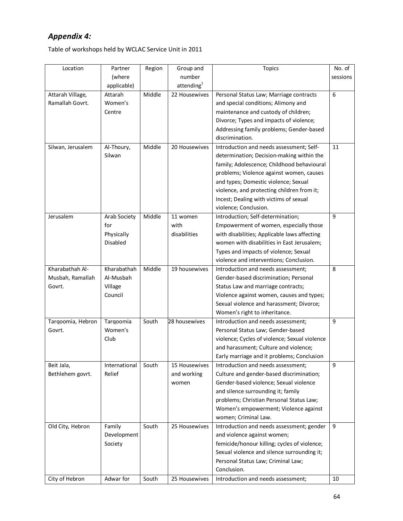## *Appendix 4:*

Table of workshops held by WCLAC Service Unit in 2011

| Location          | Partner       | Region | Group and              | <b>Topics</b>                                 | No. of   |
|-------------------|---------------|--------|------------------------|-----------------------------------------------|----------|
|                   | (where        |        | number                 |                                               | sessions |
|                   | applicable)   |        | attending <sup>1</sup> |                                               |          |
| Attarah Village,  | Attarah       | Middle | 22 Housewives          | Personal Status Law; Marriage contracts       | 6        |
| Ramallah Govrt.   | Women's       |        |                        | and special conditions; Alimony and           |          |
|                   | Centre        |        |                        | maintenance and custody of children;          |          |
|                   |               |        |                        | Divorce; Types and impacts of violence;       |          |
|                   |               |        |                        | Addressing family problems; Gender-based      |          |
|                   |               |        |                        | discrimination.                               |          |
| Silwan, Jerusalem | Al-Thoury,    | Middle | 20 Housewives          | Introduction and needs assessment; Self-      | 11       |
|                   | Silwan        |        |                        | determination; Decision-making within the     |          |
|                   |               |        |                        | family; Adolescence; Childhood behavioural    |          |
|                   |               |        |                        | problems; Violence against women, causes      |          |
|                   |               |        |                        | and types; Domestic violence; Sexual          |          |
|                   |               |        |                        | violence, and protecting children from it;    |          |
|                   |               |        |                        | Incest; Dealing with victims of sexual        |          |
|                   |               |        |                        | violence; Conclusion.                         |          |
| Jerusalem         | Arab Society  | Middle | 11 women               | Introduction; Self-determination;             | 9        |
|                   | for           |        | with                   | Empowerment of women, especially those        |          |
|                   | Physically    |        | disabilities           | with disabilities; Applicable laws affecting  |          |
|                   | Disabled      |        |                        | women with disabilities in East Jerusalem;    |          |
|                   |               |        |                        | Types and impacts of violence; Sexual         |          |
|                   |               |        |                        | violence and interventions; Conclusion.       |          |
| Kharabathah Al-   | Kharabathah   | Middle | 19 housewives          | Introduction and needs assessment;            | 8        |
| Musbah, Ramallah  | Al-Musbah     |        |                        | Gender-based discrimination; Personal         |          |
| Govrt.            | Village       |        |                        | Status Law and marriage contracts;            |          |
|                   | Council       |        |                        | Violence against women, causes and types;     |          |
|                   |               |        |                        | Sexual violence and harassment; Divorce;      |          |
|                   |               |        |                        | Women's right to inheritance.                 |          |
| Tarqoomia, Hebron | Tarqoomia     | South  | 28 housewives          | Introduction and needs assessment;            | 9        |
| Govrt.            | Women's       |        |                        | Personal Status Law; Gender-based             |          |
|                   | Club          |        |                        | violence; Cycles of violence; Sexual violence |          |
|                   |               |        |                        | and harassment; Culture and violence;         |          |
|                   |               |        |                        | Early marriage and it problems; Conclusion    |          |
| Beit Jala,        | International | South  | 15 Housewives          | Introduction and needs assessment;            | 9        |
| Bethlehem govrt.  | Relief        |        | and working            | Culture and gender-based discrimination;      |          |
|                   |               |        | women                  | Gender-based violence; Sexual violence        |          |
|                   |               |        |                        | and silence surrounding it; family            |          |
|                   |               |        |                        | problems; Christian Personal Status Law;      |          |
|                   |               |        |                        | Women's empowerment; Violence against         |          |
|                   |               |        |                        | women; Criminal Law.                          |          |
| Old City, Hebron  | Family        | South  | 25 Housewives          | Introduction and needs assessment; gender     | 9        |
|                   | Development   |        |                        | and violence against women;                   |          |
|                   | Society       |        |                        | femicide/honour killing; cycles of violence;  |          |
|                   |               |        |                        | Sexual violence and silence surrounding it;   |          |
|                   |               |        |                        | Personal Status Law; Criminal Law;            |          |
|                   |               |        |                        | Conclusion.                                   |          |
| City of Hebron    | Adwar for     | South  | 25 Housewives          | Introduction and needs assessment;            | 10       |